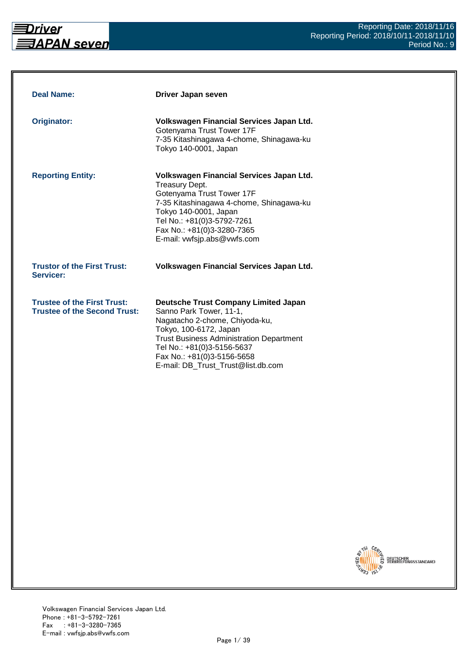

| <b>Deal Name:</b>                                                         | <b>Driver Japan seven</b>                                                                                                                                                                                                                                                               |
|---------------------------------------------------------------------------|-----------------------------------------------------------------------------------------------------------------------------------------------------------------------------------------------------------------------------------------------------------------------------------------|
| Originator:                                                               | Volkswagen Financial Services Japan Ltd.<br>Gotenyama Trust Tower 17F<br>7-35 Kitashinagawa 4-chome, Shinagawa-ku<br>Tokyo 140-0001, Japan                                                                                                                                              |
| <b>Reporting Entity:</b>                                                  | Volkswagen Financial Services Japan Ltd.<br>Treasury Dept.<br>Gotenyama Trust Tower 17F<br>7-35 Kitashinagawa 4-chome, Shinagawa-ku<br>Tokyo 140-0001, Japan<br>Tel No.: +81(0)3-5792-7261<br>Fax No.: +81(0)3-3280-7365<br>E-mail: vwfsjp.abs@vwfs.com                                 |
| <b>Trustor of the First Trust:</b><br>Servicer:                           | Volkswagen Financial Services Japan Ltd.                                                                                                                                                                                                                                                |
| <b>Trustee of the First Trust:</b><br><b>Trustee of the Second Trust:</b> | <b>Deutsche Trust Company Limited Japan</b><br>Sanno Park Tower, 11-1,<br>Nagatacho 2-chome, Chiyoda-ku,<br>Tokyo, 100-6172, Japan<br><b>Trust Business Administration Department</b><br>Tel No.: +81(0)3-5156-5637<br>Fax No.: +81(0)3-5156-5658<br>E-mail: DB_Trust_Trust@list.db.com |

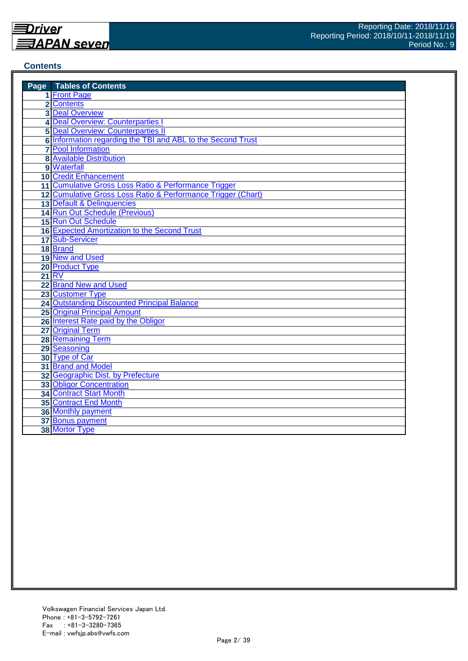#### **Contents**

| <b>Page</b> Tables of Contents                               |
|--------------------------------------------------------------|
| 1 Front Page                                                 |
| 2 Contents                                                   |
| <b>3 Deal Overview</b>                                       |
| 4 Deal Overview: Counterparties I                            |
| <b>5 Deal Overview: Counterparties II</b>                    |
| 6 Information regarding the TBI and ABL to the Second Trust  |
| <b>7</b> Pool Information                                    |
| <b>8 Available Distribution</b>                              |
| 9 Waterfall                                                  |
| <b>10 Credit Enhancement</b>                                 |
| 11 Cumulative Gross Loss Ratio & Performance Trigger         |
| 12 Cumulative Gross Loss Ratio & Performance Trigger (Chart) |
| 13 Default & Delinquencies                                   |
| 14 Run Out Schedule (Previous)                               |
| 15 Run Out Schedule                                          |
| <b>16 Expected Amortization to the Second Trust</b>          |
| 17 Sub-Servicer                                              |
| 18 Brand                                                     |
| 19 New and Used                                              |
| 20 Product Type                                              |
| 21 RV                                                        |
| 22 Brand New and Used                                        |
| 23 Customer Type                                             |
| <b>24 Outstanding Discounted Principal Balance</b>           |
| <b>25 Original Principal Amount</b>                          |
| 26 Interest Rate paid by the Obligor                         |
| 27 Original Term                                             |
| <b>28 Remaining Term</b>                                     |
| 29 Seasoning                                                 |
| 30 Type of Car                                               |
| 31 Brand and Model                                           |
| 32 Geographic Dist. by Prefecture                            |
| 33 Obligor Concentration                                     |
| 34 Contract Start Month                                      |
| <b>35 Contract End Month</b>                                 |
| 36 Monthly payment                                           |
| 37 Bonus payment                                             |
| 38 Mortor Type                                               |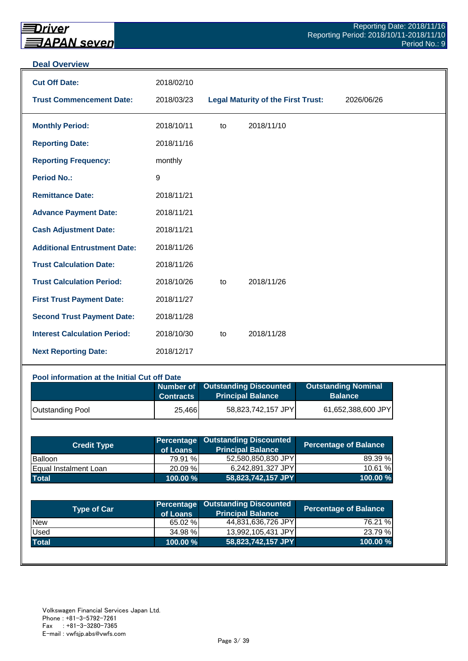#### **Deal Overview**

| <b>Cut Off Date:</b>                | 2018/02/10 |    |                                           |            |
|-------------------------------------|------------|----|-------------------------------------------|------------|
| <b>Trust Commencement Date:</b>     | 2018/03/23 |    | <b>Legal Maturity of the First Trust:</b> | 2026/06/26 |
| <b>Monthly Period:</b>              | 2018/10/11 | to | 2018/11/10                                |            |
| <b>Reporting Date:</b>              | 2018/11/16 |    |                                           |            |
| <b>Reporting Frequency:</b>         | monthly    |    |                                           |            |
| <b>Period No.:</b>                  | $9\,$      |    |                                           |            |
| <b>Remittance Date:</b>             | 2018/11/21 |    |                                           |            |
| <b>Advance Payment Date:</b>        | 2018/11/21 |    |                                           |            |
| <b>Cash Adjustment Date:</b>        | 2018/11/21 |    |                                           |            |
| <b>Additional Entrustment Date:</b> | 2018/11/26 |    |                                           |            |
| <b>Trust Calculation Date:</b>      | 2018/11/26 |    |                                           |            |
| <b>Trust Calculation Period:</b>    | 2018/10/26 | to | 2018/11/26                                |            |
| <b>First Trust Payment Date:</b>    | 2018/11/27 |    |                                           |            |
| <b>Second Trust Payment Date:</b>   | 2018/11/28 |    |                                           |            |
| <b>Interest Calculation Period:</b> | 2018/10/30 | to | 2018/11/28                                |            |
| <b>Next Reporting Date:</b>         | 2018/12/17 |    |                                           |            |

#### **Pool information at the Initial Cut off Date**

|                         | <b>Contracts</b> | Number of Outstanding Discounted<br><b>Principal Balance</b> | <b>Outstanding Nominal</b><br><b>Balance</b> |
|-------------------------|------------------|--------------------------------------------------------------|----------------------------------------------|
| <b>Outstanding Pool</b> | 25,466           | 58,823,742,157 JPY                                           | 61,652,388,600 JPY                           |

| <b>Credit Type</b>    | of Loans    | <b>Percentage Outstanding Discounted</b><br><b>Principal Balance</b> | <b>Percentage of Balance</b> |
|-----------------------|-------------|----------------------------------------------------------------------|------------------------------|
| <b>Balloon</b>        | 79.91 %     | 52,580,850,830 JPY                                                   | 89.39 %                      |
| Equal Instalment Loan | 20.09 %     | 6,242,891,327 JPY                                                    | 10.61 %                      |
| <b>Total</b>          | $100.00 \%$ | 58,823,742,157 JPY                                                   | 100.00 %                     |

| <b>Type of Car</b> | of Loans | <b>Percentage Outstanding Discounted</b><br><b>Principal Balance</b> | <b>Percentage of Balance</b> |
|--------------------|----------|----------------------------------------------------------------------|------------------------------|
| <b>New</b>         | 65.02 %  | 44,831,636,726 JPY                                                   | 76.21 %                      |
| Used               | 34.98 %  | 13,992,105,431 JPY                                                   | 23.79 %                      |
| <b>Total</b>       | 100.00 % | 58,823,742,157 JPY                                                   | 100.00%                      |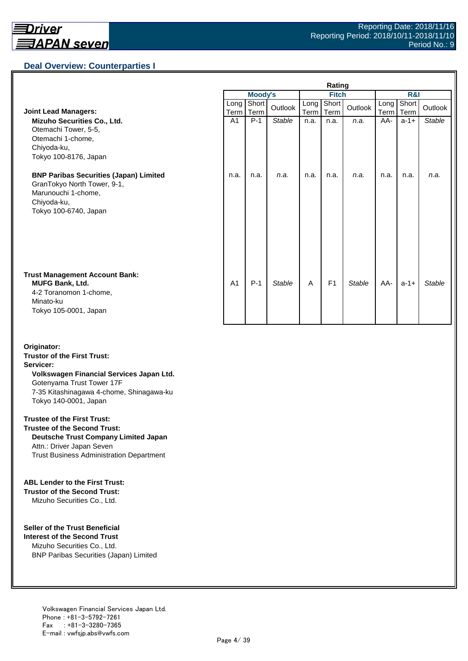## **Deal Overview: Counterparties I**

|                                                                                                                                             | Rating         |               |               |              |                |               |              |               |               |
|---------------------------------------------------------------------------------------------------------------------------------------------|----------------|---------------|---------------|--------------|----------------|---------------|--------------|---------------|---------------|
|                                                                                                                                             |                | Moody's       |               | <b>Fitch</b> |                |               | R&I          |               |               |
| <b>Joint Lead Managers:</b>                                                                                                                 | Long<br>Term   | Short<br>Term | Outlook       | Long<br>Term | Short<br>Term  | Outlook       | Long<br>Term | Short<br>Term | Outlook       |
| Mizuho Securities Co., Ltd.<br>Otemachi Tower, 5-5,<br>Otemachi 1-chome,<br>Chiyoda-ku,<br>Tokyo 100-8176, Japan                            | A <sub>1</sub> | $P-1$         | <b>Stable</b> | n.a.         | n.a.           | n.a.          | AA-          | $a-1+$        | <b>Stable</b> |
| <b>BNP Paribas Securities (Japan) Limited</b><br>GranTokyo North Tower, 9-1,<br>Marunouchi 1-chome,<br>Chiyoda-ku,<br>Tokyo 100-6740, Japan | n.a.           | n.a.          | n.a.          | n.a.         | n.a.           | n.a.          | n.a.         | n.a.          | n.a.          |
| <b>Trust Management Account Bank:</b><br><b>MUFG Bank, Ltd.</b><br>4-2 Toranomon 1-chome,<br>Minato-ku<br>Tokyo 105-0001, Japan             | A <sub>1</sub> | $P-1$         | <b>Stable</b> | A            | F <sub>1</sub> | <b>Stable</b> | AA-          | $a-1+$        | <b>Stable</b> |

#### **Originator: Trustor of the First Trust: Servicer: Volkswagen Financial Services Japan Ltd.** Gotenyama Trust Tower 17F 7-35 Kitashinagawa 4-chome, Shinagawa-ku Tokyo 140-0001, Japan

#### **Trustee of the First Trust:**

**Trustee of the Second Trust: Deutsche Trust Company Limited Japan** Attn.: Driver Japan Seven Trust Business Administration Department

#### **ABL Lender to the First Trust:**

**Trustor of the Second Trust:** Mizuho Securities Co., Ltd.

#### **Seller of the Trust Beneficial**

**Interest of the Second Trust** Mizuho Securities Co., Ltd. BNP Paribas Securities (Japan) Limited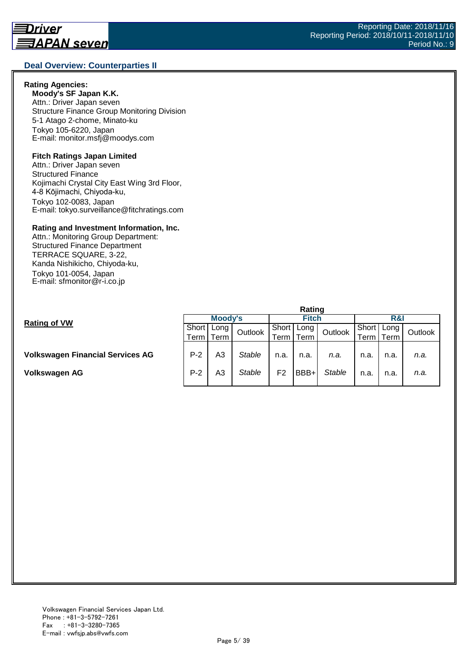#### **Deal Overview: Counterparties II**

#### **Rating Agencies:**

**Moody's SF Japan K.K.** Attn.: Driver Japan seven Structure Finance Group Monitoring Division 5-1 Atago 2-chome, Minato-ku Tokyo 105-6220, Japan E-mail: monitor.msfj@moodys.com

#### **Fitch Ratings Japan Limited**

Attn.: Driver Japan seven Structured Finance Kojimachi Crystal City East Wing 3rd Floor, 4-8 Kōjimachi, Chiyoda-ku, Tokyo 102-0083, Japan E-mail: tokyo.surveillance@fitchratings.com

#### **Rating and Investment Information, Inc.**

Attn.: Monitoring Group Department: Structured Finance Department TERRACE SQUARE, 3-22, Kanda Nishikicho, Chiyoda-ku, Tokyo 101-0054, Japan E-mail: sfmonitor@r-i.co.jp

|                                         | Rating |         |               |       |              |               |                    |      |         |  |
|-----------------------------------------|--------|---------|---------------|-------|--------------|---------------|--------------------|------|---------|--|
| <b>Rating of VW</b>                     |        | Moody's |               |       | <b>Fitch</b> |               |                    | R&I  |         |  |
|                                         | Short  | Long I  | Outlook       | Short | Long         | Outlook       | Short              | Long | Outlook |  |
|                                         | Term   | Term    |               | Term. | Term         |               | <sup>⊤</sup> erm i | Term |         |  |
|                                         |        |         |               |       |              |               |                    |      |         |  |
| <b>Volkswagen Financial Services AG</b> | $P-2$  | A3      | <b>Stable</b> | n.a.  | n.a.         | n.a.          | n.a.               | n.a. | n.a.    |  |
|                                         |        |         |               |       |              |               |                    |      |         |  |
| Volkswagen AG                           | $P-2$  | A3      | Stable        | F2    | BBB+         | <b>Stable</b> | n.a.               | n.a. | n.a.    |  |
|                                         |        |         |               |       |              |               |                    |      |         |  |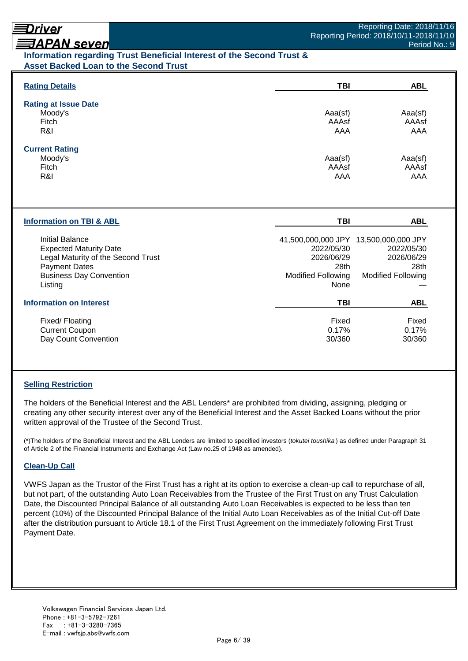# Driver

## **ヨAPAN seven**

## **Information regarding Trust Beneficial Interest of the Second Trust & Asset Backed Loan to the Second Trust**

| <b>Rating Details</b>                                                                                                                                              | <b>TBI</b>                                                                                                     | <b>ABL</b>                                                    |
|--------------------------------------------------------------------------------------------------------------------------------------------------------------------|----------------------------------------------------------------------------------------------------------------|---------------------------------------------------------------|
| <b>Rating at Issue Date</b><br>Moody's<br>Fitch<br>R&I                                                                                                             | Aaa(sf)<br>AAAsf<br>AAA                                                                                        | Aaa(sf)<br>AAAsf<br>AAA                                       |
| <b>Current Rating</b><br>Moody's<br>Fitch<br>R&I                                                                                                                   | Aaa(sf)<br>AAAsf<br>AAA                                                                                        | Aaa(sf)<br>AAAsf<br>AAA                                       |
| <b>Information on TBI &amp; ABL</b>                                                                                                                                | <b>TBI</b>                                                                                                     | <b>ABL</b>                                                    |
| <b>Initial Balance</b><br><b>Expected Maturity Date</b><br>Legal Maturity of the Second Trust<br><b>Payment Dates</b><br><b>Business Day Convention</b><br>Listing | 41,500,000,000 JPY 13,500,000,000 JPY<br>2022/05/30<br>2026/06/29<br>28th<br>Modified Following<br><b>None</b> | 2022/05/30<br>2026/06/29<br>28th<br><b>Modified Following</b> |
| <b>Information on Interest</b>                                                                                                                                     | TBI                                                                                                            | <b>ABL</b>                                                    |
| Fixed/Floating<br><b>Current Coupon</b><br>Day Count Convention                                                                                                    | Fixed<br>0.17%<br>30/360                                                                                       | Fixed<br>0.17%<br>30/360                                      |

## **Selling Restriction**

The holders of the Beneficial Interest and the ABL Lenders\* are prohibited from dividing, assigning, pledging or creating any other security interest over any of the Beneficial Interest and the Asset Backed Loans without the prior written approval of the Trustee of the Second Trust.

(\*)The holders of the Beneficial Interest and the ABL Lenders are limited to specified investors (*tokutei toushika* ) as defined under Paragraph 31 of Article 2 of the Financial Instruments and Exchange Act (Law no.25 of 1948 as amended).

#### **Clean-Up Call**

VWFS Japan as the Trustor of the First Trust has a right at its option to exercise a clean-up call to repurchase of all, but not part, of the outstanding Auto Loan Receivables from the Trustee of the First Trust on any Trust Calculation Date, the Discounted Principal Balance of all outstanding Auto Loan Receivables is expected to be less than ten percent (10%) of the Discounted Principal Balance of the Initial Auto Loan Receivables as of the Initial Cut-off Date after the distribution pursuant to Article 18.1 of the First Trust Agreement on the immediately following First Trust Payment Date.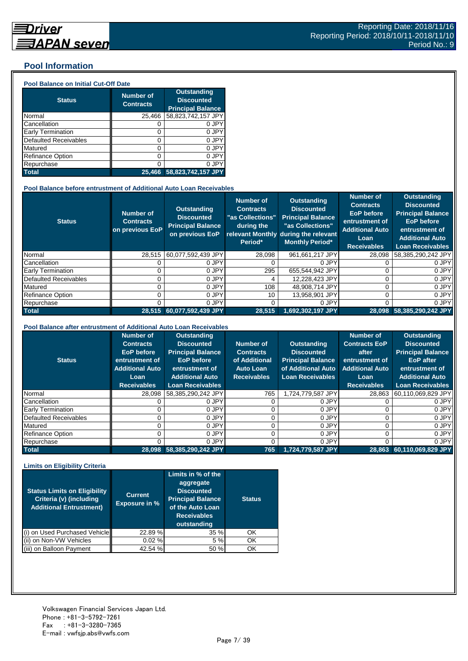## **Pool Information**

#### **Pool Balance on Initial Cut-Off Date**

| <b>Status</b>                | <b>Number of</b><br><b>Contracts</b> | <b>Outstanding</b><br><b>Discounted</b><br><b>Principal Balance</b> |
|------------------------------|--------------------------------------|---------------------------------------------------------------------|
| Normal                       | 25,466                               | 58,823,742,157 JPY                                                  |
| Cancellation                 | O                                    | 0 JPY                                                               |
| Early Termination            | 0                                    | 0 JPY                                                               |
| <b>Defaulted Receivables</b> | 0                                    | 0 JPY                                                               |
| Matured                      | ი                                    | 0 JPY                                                               |
| <b>Refinance Option</b>      | ი                                    | 0 JPY                                                               |
| Repurchase                   | ი                                    | 0 JPY                                                               |
| <b>Total</b>                 | 25.466                               | 58,823,742,157 JPY                                                  |

#### **Pool Balance before entrustment of Additional Auto Loan Receivables**

| <b>Status</b>            | <b>Number of</b><br><b>Contracts</b><br>on previous EoP | <b>Outstanding</b><br><b>Discounted</b><br><b>Principal Balance</b><br>on previous EoP | <b>Number of</b><br><b>Contracts</b><br>"as Collections"<br>during the<br>Period* | <b>Outstanding</b><br><b>Discounted</b><br><b>Principal Balance</b><br>"as Collections"<br>relevant Monthly during the relevant<br><b>Monthly Period*</b> | <b>Number of</b><br><b>Contracts</b><br><b>EoP</b> before<br>entrustment of<br><b>Additional Auto</b><br>Loan<br><b>Receivables</b> | <b>Outstanding</b><br><b>Discounted</b><br><b>Principal Balance</b><br><b>EoP</b> before<br>entrustment of<br><b>Additional Auto</b><br><b>Loan Receivables</b> |
|--------------------------|---------------------------------------------------------|----------------------------------------------------------------------------------------|-----------------------------------------------------------------------------------|-----------------------------------------------------------------------------------------------------------------------------------------------------------|-------------------------------------------------------------------------------------------------------------------------------------|-----------------------------------------------------------------------------------------------------------------------------------------------------------------|
| Normal                   | 28.515                                                  | 60,077,592,439 JPY                                                                     | 28.098                                                                            | 961.661.217 JPY                                                                                                                                           | 28.098                                                                                                                              | 58.385.290.242 JPY                                                                                                                                              |
| Cancellation             |                                                         | 0 JPY                                                                                  |                                                                                   | 0 JPY                                                                                                                                                     |                                                                                                                                     | 0 JPY                                                                                                                                                           |
| <b>Early Termination</b> |                                                         | 0 JPY                                                                                  | 295                                                                               | 655.544.942 JPY                                                                                                                                           |                                                                                                                                     | 0 JPY                                                                                                                                                           |
| Defaulted Receivables    |                                                         | 0 JPY                                                                                  | 4                                                                                 | 12,228,423 JPY                                                                                                                                            |                                                                                                                                     | 0 JPY                                                                                                                                                           |
| Matured                  |                                                         | 0 JPY                                                                                  | 108                                                                               | 48,908,714 JPY                                                                                                                                            |                                                                                                                                     | 0 JPY                                                                                                                                                           |
| <b>Refinance Option</b>  |                                                         | 0 JPY                                                                                  | 10                                                                                | 13.958.901 JPY                                                                                                                                            |                                                                                                                                     | 0 JPY                                                                                                                                                           |
| Repurchase               |                                                         | 0 JPY                                                                                  | 0                                                                                 | 0 JPY                                                                                                                                                     |                                                                                                                                     | 0 JPY                                                                                                                                                           |
| <b>Total</b>             | 28.515                                                  | 60,077,592,439 JPY                                                                     | 28,515                                                                            | $1,692,302,197$ JPY                                                                                                                                       |                                                                                                                                     | 28,098 58,385,290,242 JPY                                                                                                                                       |

#### **Pool Balance after entrustment of Additional Auto Loan Receivables**

| <b>Status</b>            | <b>Number of</b><br><b>Contracts</b><br>EoP before<br>entrustment of<br><b>Additional Auto</b><br>Loan<br><b>Receivables</b> | <b>Outstanding</b><br><b>Discounted</b><br><b>Principal Balance</b><br><b>EoP</b> before<br>entrustment of<br><b>Additional Auto</b><br><b>Loan Receivables</b> | Number of<br><b>Contracts</b><br>of Additional<br><b>Auto Loan</b><br><b>Receivables</b> | <b>Outstanding</b><br><b>Discounted</b><br><b>Principal Balance</b><br>of Additional Auto<br><b>Loan Receivables</b> | <b>Number of</b><br><b>Contracts EoP</b><br>after<br>entrustment of<br><b>Additional Auto</b><br>Loan<br><b>Receivables</b> | <b>Outstanding</b><br><b>Discounted</b><br><b>Principal Balance</b><br><b>EoP</b> after<br>entrustment of<br><b>Additional Auto</b><br><b>Loan Receivables</b> |
|--------------------------|------------------------------------------------------------------------------------------------------------------------------|-----------------------------------------------------------------------------------------------------------------------------------------------------------------|------------------------------------------------------------------------------------------|----------------------------------------------------------------------------------------------------------------------|-----------------------------------------------------------------------------------------------------------------------------|----------------------------------------------------------------------------------------------------------------------------------------------------------------|
| Normal                   | 28.098                                                                                                                       | 58,385,290,242 JPY                                                                                                                                              | 765                                                                                      | 1,724,779,587 JPY                                                                                                    | 28,863                                                                                                                      | 60,110,069,829 JPY                                                                                                                                             |
| Cancellation             |                                                                                                                              | 0 JPY                                                                                                                                                           |                                                                                          | 0 JPY                                                                                                                |                                                                                                                             | 0 JPY                                                                                                                                                          |
| <b>Early Termination</b> |                                                                                                                              | 0 JPY                                                                                                                                                           |                                                                                          | 0 JPY                                                                                                                |                                                                                                                             | 0 JPY                                                                                                                                                          |
| Defaulted Receivables    |                                                                                                                              | 0 JPY                                                                                                                                                           |                                                                                          | 0 JPY                                                                                                                |                                                                                                                             | 0 JPY                                                                                                                                                          |
| Matured                  |                                                                                                                              | 0 JPY                                                                                                                                                           |                                                                                          | 0 JPY                                                                                                                |                                                                                                                             | 0 JPY                                                                                                                                                          |
| <b>Refinance Option</b>  |                                                                                                                              | 0 JPY                                                                                                                                                           |                                                                                          | 0 JPY                                                                                                                |                                                                                                                             | 0 JPY                                                                                                                                                          |
| Repurchase               |                                                                                                                              | 0 JPY                                                                                                                                                           |                                                                                          | 0 JPY                                                                                                                |                                                                                                                             | 0 JPY                                                                                                                                                          |
| <b>Total</b>             |                                                                                                                              | 28,098 58,385,290,242 JPY                                                                                                                                       | 765                                                                                      | 1,724,779,587 JPY                                                                                                    | 28.863                                                                                                                      | $60,110,069,829$ JPY                                                                                                                                           |

#### **Limits on Eligibility Criteria**

| <b>Status Limits on Eligibility</b><br>Criteria (v) (including<br><b>Additional Entrustment)</b> | <b>Current</b><br><b>Exposure in %</b> | Limits in $%$ of the<br>aggregate<br><b>Discounted</b><br><b>Principal Balance</b><br>of the Auto Loan<br><b>Receivables</b><br>outstanding | <b>Status</b> |
|--------------------------------------------------------------------------------------------------|----------------------------------------|---------------------------------------------------------------------------------------------------------------------------------------------|---------------|
| on Used Purchased Vehicle                                                                        | 22.89%                                 | 35%                                                                                                                                         | OK            |
| on Non-VW Vehicles                                                                               | 0.02%                                  | 5 %                                                                                                                                         | OK            |
| on Balloon Payment                                                                               | 42.54 %                                | 50 %                                                                                                                                        | OK            |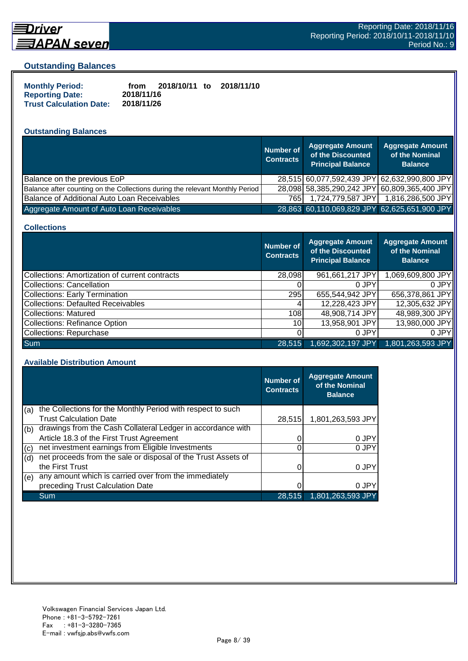

# **Driver**

#### **Outstanding Balances**

| <b>Monthly Period:</b>         | from       | 2018/10/11 to | 2018/11/10 |
|--------------------------------|------------|---------------|------------|
| <b>Reporting Date:</b>         | 2018/11/16 |               |            |
| <b>Trust Calculation Date:</b> | 2018/11/26 |               |            |

## **Outstanding Balances**

|                                                                              | <b>Number of</b><br><b>Contracts</b> | <b>Aggregate Amount</b><br>of the Discounted<br><b>Principal Balance</b> | <b>Aggregate Amount</b><br>of the Nominal<br><b>Balance</b> |
|------------------------------------------------------------------------------|--------------------------------------|--------------------------------------------------------------------------|-------------------------------------------------------------|
| Balance on the previous EoP                                                  |                                      |                                                                          | 28,515 60,077,592,439 JPY 62,632,990,800 JPY                |
| Balance after counting on the Collections during the relevant Monthly Period |                                      |                                                                          | 28,098 58,385,290,242 JPY 60,809,365,400 JPY                |
| Balance of Additional Auto Loan Receivables                                  | 765I                                 | 1,724,779,587 JPY                                                        | 1,816,286,500 JPY                                           |
| Aggregate Amount of Auto Loan Receivables                                    |                                      |                                                                          | 28,863 60,110,069,829 JPY 62,625,651,900 JPY                |

#### **Collections**

|                                                       | <b>Number of</b><br><b>Contracts</b> | <b>Aggregate Amount</b><br>of the Discounted<br><b>Principal Balance</b> | <b>Aggregate Amount</b><br>of the Nominal<br><b>Balance</b> |
|-------------------------------------------------------|--------------------------------------|--------------------------------------------------------------------------|-------------------------------------------------------------|
| <b>Collections: Amortization of current contracts</b> | 28,098                               | 961,661,217 JPY                                                          | 1,069,609,800 JPY                                           |
| Collections: Cancellation                             |                                      | 0 JPY                                                                    | 0.JPY                                                       |
| <b>Collections: Early Termination</b>                 | 295                                  | 655,544,942 JPY                                                          | 656,378,861 JPY                                             |
| <b>Collections: Defaulted Receivables</b>             |                                      | 12,228,423 JPY                                                           | 12,305,632 JPY                                              |
| Collections: Matured                                  | 108                                  | 48,908,714 JPY                                                           | 48,989,300 JPY                                              |
| <b>Collections: Refinance Option</b>                  | 10I                                  | 13,958,901 JPY                                                           | 13,980,000 JPY                                              |
| Collections: Repurchase                               |                                      | 0 JPY                                                                    | 0 JPY                                                       |
| Sum                                                   | 28,515                               | 1,692,302,197 JPY                                                        | 1,801,263,593 JPY                                           |

#### **Available Distribution Amount**

|     |                                                               | Number of<br><b>Contracts</b> | <b>Aggregate Amount</b><br>of the Nominal<br><b>Balance</b> |
|-----|---------------------------------------------------------------|-------------------------------|-------------------------------------------------------------|
| (a) | the Collections for the Monthly Period with respect to such   |                               |                                                             |
|     | <b>Trust Calculation Date</b>                                 | 28,515                        | 1,801,263,593 JPY                                           |
| (b) | drawings from the Cash Collateral Ledger in accordance with   |                               |                                                             |
|     | Article 18.3 of the First Trust Agreement                     |                               | 0 JPY                                                       |
| (c) | net investment earnings from Eligible Investments             |                               | 0 JPY                                                       |
| (d) | net proceeds from the sale or disposal of the Trust Assets of |                               |                                                             |
|     | the First Trust                                               |                               | 0 JPY                                                       |
| (e) | any amount which is carried over from the immediately         |                               |                                                             |
|     | preceding Trust Calculation Date                              |                               | 0 JPY                                                       |
|     | Sum                                                           | 28,515                        | 1,801,263,593 JPY                                           |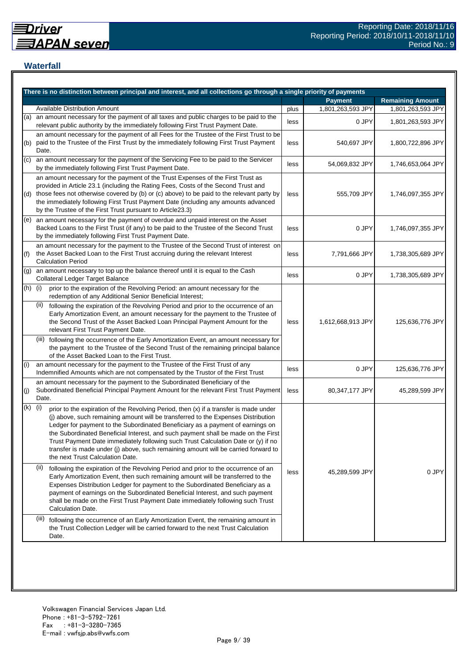## **Waterfall**

|     | There is no distinction between principal and interest, and all collections go through a single priority of payments                                                                                                                                                                                                                                                                                                                                                                                                                                                                                                                                                                                                                                                                                                                                                                                                                                                                                                              |      |                   |                         |
|-----|-----------------------------------------------------------------------------------------------------------------------------------------------------------------------------------------------------------------------------------------------------------------------------------------------------------------------------------------------------------------------------------------------------------------------------------------------------------------------------------------------------------------------------------------------------------------------------------------------------------------------------------------------------------------------------------------------------------------------------------------------------------------------------------------------------------------------------------------------------------------------------------------------------------------------------------------------------------------------------------------------------------------------------------|------|-------------------|-------------------------|
|     |                                                                                                                                                                                                                                                                                                                                                                                                                                                                                                                                                                                                                                                                                                                                                                                                                                                                                                                                                                                                                                   |      | <b>Payment</b>    | <b>Remaining Amount</b> |
|     | Available Distribution Amount                                                                                                                                                                                                                                                                                                                                                                                                                                                                                                                                                                                                                                                                                                                                                                                                                                                                                                                                                                                                     | plus | 1,801,263,593 JPY | 1,801,263,593 JPY       |
| (a) | an amount necessary for the payment of all taxes and public charges to be paid to the<br>0 JPY<br>less<br>relevant public authority by the immediately following First Trust Payment Date.                                                                                                                                                                                                                                                                                                                                                                                                                                                                                                                                                                                                                                                                                                                                                                                                                                        |      |                   | 1,801,263,593 JPY       |
| (b) | an amount necessary for the payment of all Fees for the Trustee of the First Trust to be<br>paid to the Trustee of the First Trust by the immediately following First Trust Payment<br>Date.                                                                                                                                                                                                                                                                                                                                                                                                                                                                                                                                                                                                                                                                                                                                                                                                                                      | less | 540,697 JPY       | 1,800,722,896 JPY       |
| (c) | an amount necessary for the payment of the Servicing Fee to be paid to the Servicer<br>by the immediately following First Trust Payment Date.                                                                                                                                                                                                                                                                                                                                                                                                                                                                                                                                                                                                                                                                                                                                                                                                                                                                                     | less | 54,069,832 JPY    | 1,746,653,064 JPY       |
| (d) | an amount necessary for the payment of the Trust Expenses of the First Trust as<br>provided in Article 23.1 (including the Rating Fees, Costs of the Second Trust and<br>those fees not otherwise covered by (b) or (c) above) to be paid to the relevant party by<br>the immediately following First Trust Payment Date (including any amounts advanced<br>by the Trustee of the First Trust pursuant to Article23.3)                                                                                                                                                                                                                                                                                                                                                                                                                                                                                                                                                                                                            | less | 555,709 JPY       | 1,746,097,355 JPY       |
| (e) | an amount necessary for the payment of overdue and unpaid interest on the Asset<br>Backed Loans to the First Trust (if any) to be paid to the Trustee of the Second Trust<br>by the immediately following First Trust Payment Date.                                                                                                                                                                                                                                                                                                                                                                                                                                                                                                                                                                                                                                                                                                                                                                                               | less | 0 JPY             | 1,746,097,355 JPY       |
| (f) | an amount necessary for the payment to the Trustee of the Second Trust of interest on<br>the Asset Backed Loan to the First Trust accruing during the relevant Interest<br><b>Calculation Period</b>                                                                                                                                                                                                                                                                                                                                                                                                                                                                                                                                                                                                                                                                                                                                                                                                                              | less | 7,791,666 JPY     | 1,738,305,689 JPY       |
| (g) | an amount necessary to top up the balance thereof until it is equal to the Cash<br>Collateral Ledger Target Balance                                                                                                                                                                                                                                                                                                                                                                                                                                                                                                                                                                                                                                                                                                                                                                                                                                                                                                               | less | 0 JPY             | 1,738,305,689 JPY       |
| (h) | prior to the expiration of the Revolving Period: an amount necessary for the<br>(i)<br>redemption of any Additional Senior Beneficial Interest;<br>(ii)<br>following the expiration of the Revolving Period and prior to the occurrence of an<br>Early Amortization Event, an amount necessary for the payment to the Trustee of<br>the Second Trust of the Asset Backed Loan Principal Payment Amount for the<br>relevant First Trust Payment Date.<br>(iii) following the occurrence of the Early Amortization Event, an amount necessary for<br>the payment to the Trustee of the Second Trust of the remaining principal balance<br>of the Asset Backed Loan to the First Trust.                                                                                                                                                                                                                                                                                                                                              | less | 1,612,668,913 JPY | 125,636,776 JPY         |
| (i) | an amount necessary for the payment to the Trustee of the First Trust of any<br>Indemnified Amounts which are not compensated by the Trustor of the First Trust                                                                                                                                                                                                                                                                                                                                                                                                                                                                                                                                                                                                                                                                                                                                                                                                                                                                   | less | 0 JPY             | 125,636,776 JPY         |
| (i) | an amount necessary for the payment to the Subordinated Beneficiary of the<br>Subordinated Beneficial Principal Payment Amount for the relevant First Trust Payment<br>Date.                                                                                                                                                                                                                                                                                                                                                                                                                                                                                                                                                                                                                                                                                                                                                                                                                                                      | less | 80,347,177 JPY    | 45,289,599 JPY          |
| (k) | (i)<br>prior to the expiration of the Revolving Period, then (x) if a transfer is made under<br>(j) above, such remaining amount will be transferred to the Expenses Distribution<br>Ledger for payment to the Subordinated Beneficiary as a payment of earnings on<br>the Subordinated Beneficial Interest, and such payment shall be made on the First<br>Trust Payment Date immediately following such Trust Calculation Date or (y) if no<br>transfer is made under (j) above, such remaining amount will be carried forward to<br>the next Trust Calculation Date.<br>(ii)<br>following the expiration of the Revolving Period and prior to the occurrence of an<br>Early Amortization Event, then such remaining amount will be transferred to the<br>Expenses Distribution Ledger for payment to the Subordinated Beneficiary as a<br>payment of earnings on the Subordinated Beneficial Interest, and such payment<br>shall be made on the First Trust Payment Date immediately following such Trust<br>Calculation Date. | less | 45,289,599 JPY    | 0 JPY                   |
|     | (III)<br>following the occurrence of an Early Amortization Event, the remaining amount in<br>the Trust Collection Ledger will be carried forward to the next Trust Calculation<br>Date.                                                                                                                                                                                                                                                                                                                                                                                                                                                                                                                                                                                                                                                                                                                                                                                                                                           |      |                   |                         |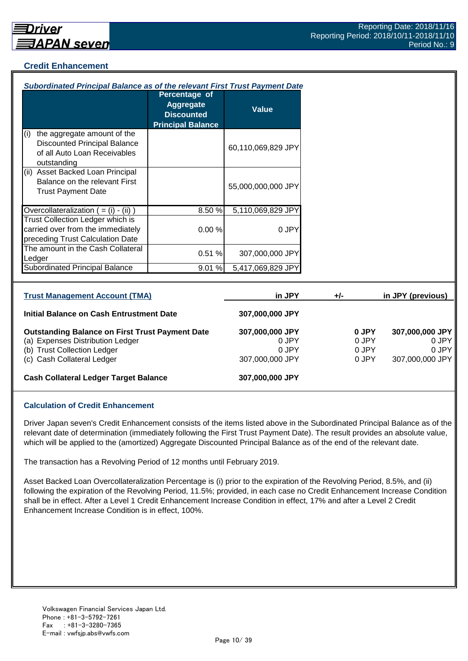## **Credit Enhancement**

| Subordinated Principal Balance as of the relevant First Trust Payment Date                                                                              |                                                                             |                                                      |                                  |                                                      |
|---------------------------------------------------------------------------------------------------------------------------------------------------------|-----------------------------------------------------------------------------|------------------------------------------------------|----------------------------------|------------------------------------------------------|
|                                                                                                                                                         | Percentage of<br>Aggregate<br><b>Discounted</b><br><b>Principal Balance</b> | <b>Value</b>                                         |                                  |                                                      |
| the aggregate amount of the<br>(i)<br><b>Discounted Principal Balance</b><br>of all Auto Loan Receivables<br>outstanding                                |                                                                             | 60,110,069,829 JPY                                   |                                  |                                                      |
| (ii) Asset Backed Loan Principal<br>Balance on the relevant First<br><b>Trust Payment Date</b>                                                          |                                                                             | 55,000,000,000 JPY                                   |                                  |                                                      |
| Overcollateralization $( = (i) - (ii))$                                                                                                                 | 8.50%                                                                       | 5,110,069,829 JPY                                    |                                  |                                                      |
| <b>Trust Collection Ledger which is</b><br>carried over from the immediately<br>preceding Trust Calculation Date                                        | 0.00%                                                                       | 0 JPY                                                |                                  |                                                      |
| The amount in the Cash Collateral<br>Ledger                                                                                                             | 0.51%                                                                       | 307,000,000 JPY                                      |                                  |                                                      |
| <b>Subordinated Principal Balance</b>                                                                                                                   | 9.01 %                                                                      | 5,417,069,829 JPY                                    |                                  |                                                      |
| <b>Trust Management Account (TMA)</b>                                                                                                                   |                                                                             | in JPY                                               | $+/-$                            | in JPY (previous)                                    |
| <b>Initial Balance on Cash Entrustment Date</b>                                                                                                         |                                                                             | 307,000,000 JPY                                      |                                  |                                                      |
| <b>Outstanding Balance on First Trust Payment Date</b><br>(a) Expenses Distribution Ledger<br>(b) Trust Collection Ledger<br>(c) Cash Collateral Ledger |                                                                             | 307,000,000 JPY<br>0 JPY<br>0 JPY<br>307,000,000 JPY | 0 JPY<br>0 JPY<br>0 JPY<br>0 JPY | 307,000,000 JPY<br>0 JPY<br>0 JPY<br>307,000,000 JPY |
| <b>Cash Collateral Ledger Target Balance</b>                                                                                                            |                                                                             | 307,000,000 JPY                                      |                                  |                                                      |

#### **Calculation of Credit Enhancement**

Driver Japan seven's Credit Enhancement consists of the items listed above in the Subordinated Principal Balance as of the relevant date of determination (immediately following the First Trust Payment Date). The result provides an absolute value, which will be applied to the (amortized) Aggregate Discounted Principal Balance as of the end of the relevant date.

The transaction has a Revolving Period of 12 months until February 2019.

Asset Backed Loan Overcollateralization Percentage is (i) prior to the expiration of the Revolving Period, 8.5%, and (ii) following the expiration of the Revolving Period, 11.5%; provided, in each case no Credit Enhancement Increase Condition shall be in effect. After a Level 1 Credit Enhancement Increase Condition in effect, 17% and after a Level 2 Credit Enhancement Increase Condition is in effect, 100%.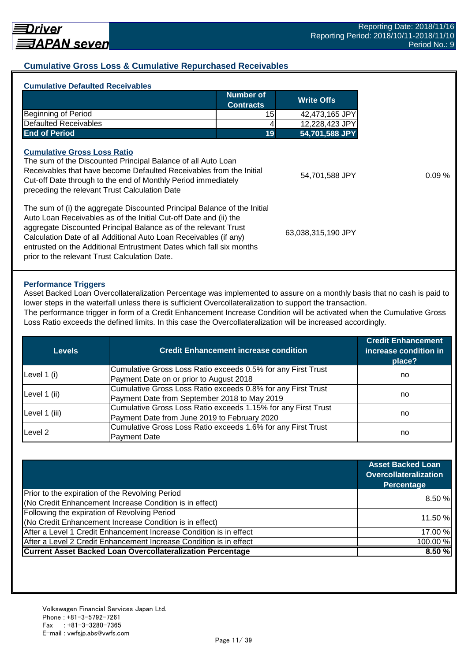## **Cumulative Gross Loss & Cumulative Repurchased Receivables**

| <b>Number of</b><br><b>Write Offs</b><br><b>Contracts</b><br>Beginning of Period<br>15<br><b>Defaulted Receivables</b><br>12,228,423 JPY<br><b>End of Period</b><br>19<br><b>Cumulative Gross Loss Ratio</b><br>The sum of the Discounted Principal Balance of all Auto Loan<br>Receivables that have become Defaulted Receivables from the Initial<br>Cut-off Date through to the end of Monthly Period immediately<br>preceding the relevant Trust Calculation Date<br>The sum of (i) the aggregate Discounted Principal Balance of the Initial<br>Auto Loan Receivables as of the Initial Cut-off Date and (ii) the<br>aggregate Discounted Principal Balance as of the relevant Trust<br>Calculation Date of all Additional Auto Loan Receivables (if any)<br>entrusted on the Additional Entrustment Dates which fall six months | <b>Cumulative Defaulted Receivables</b>       |                    |
|---------------------------------------------------------------------------------------------------------------------------------------------------------------------------------------------------------------------------------------------------------------------------------------------------------------------------------------------------------------------------------------------------------------------------------------------------------------------------------------------------------------------------------------------------------------------------------------------------------------------------------------------------------------------------------------------------------------------------------------------------------------------------------------------------------------------------------------|-----------------------------------------------|--------------------|
|                                                                                                                                                                                                                                                                                                                                                                                                                                                                                                                                                                                                                                                                                                                                                                                                                                       |                                               |                    |
|                                                                                                                                                                                                                                                                                                                                                                                                                                                                                                                                                                                                                                                                                                                                                                                                                                       |                                               | 42,473,165 JPY     |
|                                                                                                                                                                                                                                                                                                                                                                                                                                                                                                                                                                                                                                                                                                                                                                                                                                       |                                               |                    |
|                                                                                                                                                                                                                                                                                                                                                                                                                                                                                                                                                                                                                                                                                                                                                                                                                                       |                                               | 54,701,588 JPY     |
|                                                                                                                                                                                                                                                                                                                                                                                                                                                                                                                                                                                                                                                                                                                                                                                                                                       |                                               | 54,701,588 JPY     |
|                                                                                                                                                                                                                                                                                                                                                                                                                                                                                                                                                                                                                                                                                                                                                                                                                                       | prior to the relevant Trust Calculation Date. | 63,038,315,190 JPY |

#### **Performance Triggers**

Asset Backed Loan Overcollateralization Percentage was implemented to assure on a monthly basis that no cash is paid to lower steps in the waterfall unless there is sufficient Overcollateralization to support the transaction. The performance trigger in form of a Credit Enhancement Increase Condition will be activated when the Cumulative Gross

Loss Ratio exceeds the defined limits. In this case the Overcollateralization will be increased accordingly.

| Levels        | <b>Credit Enhancement increase condition</b>                  | <b>Credit Enhancement</b><br>increase condition in<br>place? |  |
|---------------|---------------------------------------------------------------|--------------------------------------------------------------|--|
|               | Cumulative Gross Loss Ratio exceeds 0.5% for any First Trust  |                                                              |  |
| Level 1 (i)   | Payment Date on or prior to August 2018                       | no                                                           |  |
| Level 1 (ii)  | Cumulative Gross Loss Ratio exceeds 0.8% for any First Trust  |                                                              |  |
|               | Payment Date from September 2018 to May 2019                  | no                                                           |  |
|               | Cumulative Gross Loss Ratio exceeds 1.15% for any First Trust |                                                              |  |
| Level 1 (iii) | Payment Date from June 2019 to February 2020                  | no                                                           |  |
| Level 2       | Cumulative Gross Loss Ratio exceeds 1.6% for any First Trust  |                                                              |  |
|               | <b>Payment Date</b>                                           | no                                                           |  |

|                                                                    | <b>Asset Backed Loan</b><br><b>Overcollateralization</b><br>Percentage |
|--------------------------------------------------------------------|------------------------------------------------------------------------|
| Prior to the expiration of the Revolving Period                    | 8.50%                                                                  |
| (No Credit Enhancement Increase Condition is in effect)            |                                                                        |
| Following the expiration of Revolving Period                       |                                                                        |
| (No Credit Enhancement Increase Condition is in effect)            | 11.50 %                                                                |
| After a Level 1 Credit Enhancement Increase Condition is in effect | 17.00 %                                                                |
| After a Level 2 Credit Enhancement Increase Condition is in effect | 100.00%                                                                |
| <b>Current Asset Backed Loan Overcollateralization Percentage</b>  | 8.50 %                                                                 |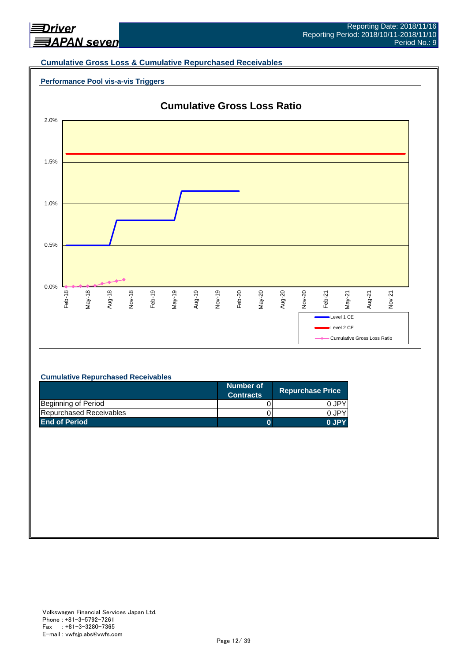

#### **Cumulative Gross Loss & Cumulative Repurchased Receivables**





#### **Cumulative Repurchased Receivables**

|                         | Number of<br><b>Contracts</b> | <b>Repurchase Price</b> |
|-------------------------|-------------------------------|-------------------------|
| Beginning of Period     |                               | 0.JPY                   |
| Repurchased Receivables |                               | 0.JPY                   |
| <b>End of Period</b>    |                               | 0 JPY                   |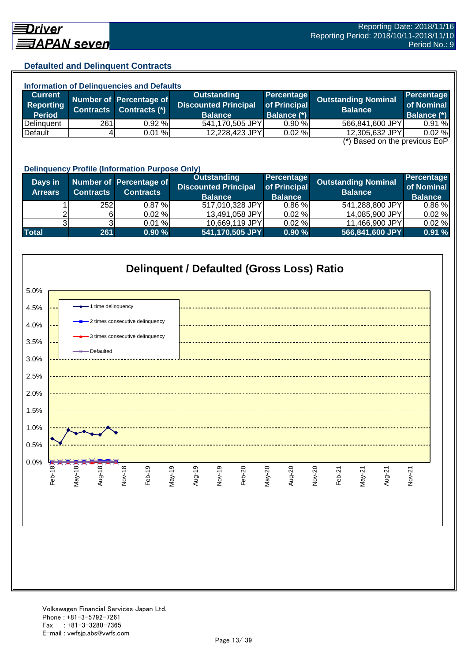## **Defaulted and Delinquent Contracts**

| <b>Information of Delinquencies and Defaults</b> |                  |                         |                             |              |                                               |                    |
|--------------------------------------------------|------------------|-------------------------|-----------------------------|--------------|-----------------------------------------------|--------------------|
| <b>Current</b>                                   |                  | Number of Percentage of | Outstanding                 | Percentage   | Outstanding Nominal                           | <b>Percentage</b>  |
| <b>Reporting</b>                                 | <b>Contracts</b> | Contracts (*)           | <b>Discounted Principal</b> | of Principal | <b>Balance</b>                                | of Nominal         |
| <b>Period</b>                                    |                  |                         | <b>Balance</b>              | Balance (*)  |                                               | <b>Balance (*)</b> |
| Delinquent                                       | 261              | 0.92%                   | 541,170,505 JPY             | 0.90%        | 566,841,600 JPY                               | 0.91%              |
| Default                                          |                  | 0.01%                   | 12,228,423 JPY              | 0.02%        | 12,305,632 JPY                                | 0.02%              |
|                                                  |                  |                         |                             |              | $(*)$ Bosed on the provisue $\Gamma_2 \Gamma$ |                    |

(\*) Based on the previous EoP

|                           | <b>Delinquency Profile (Information Purpose Only)</b> |                                             |                                                                     |                                                     |                                              |                                            |  |  |
|---------------------------|-------------------------------------------------------|---------------------------------------------|---------------------------------------------------------------------|-----------------------------------------------------|----------------------------------------------|--------------------------------------------|--|--|
| Days in<br><b>Arrears</b> | <b>Contracts</b>                                      | Number of Percentage of<br><b>Contracts</b> | <b>Outstanding</b><br><b>Discounted Principal</b><br><b>Balance</b> | <b>Percentage</b><br>of Principal<br><b>Balance</b> | <b>Outstanding Nominal</b><br><b>Balance</b> | Percentage<br>of Nominal<br><b>Balance</b> |  |  |
|                           | 252                                                   | $0.87 \%$                                   | 517,010,328 JPY                                                     | 0.86%                                               | 541,288,800 JPY                              | 0.86%                                      |  |  |
|                           |                                                       | 0.02%                                       | 13,491,058 JPY                                                      | 0.02%                                               | 14,085,900 JPY                               | 0.02%                                      |  |  |
|                           |                                                       | 0.01%                                       | 10,669,119 JPY                                                      | 0.02%                                               | 11,466,900 JPY                               | 0.02%                                      |  |  |
| <b>Total</b>              | 261                                                   | 0.90%                                       | 541,170,505 JPY                                                     | 0.90%                                               | 566,841,600 JPY                              | 0.91%                                      |  |  |

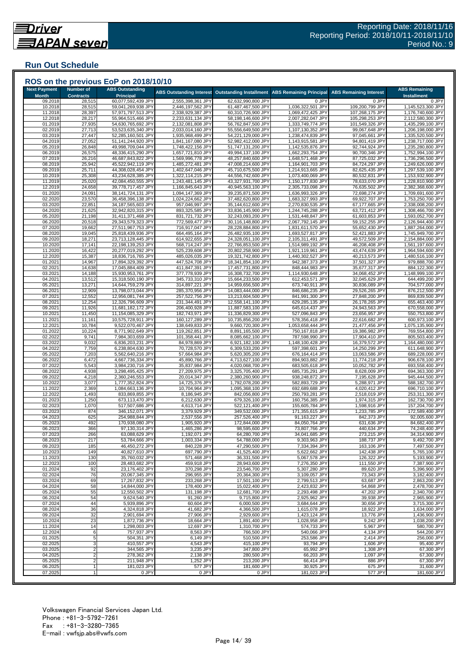## **Run Out Schedule**

| <b>Next Payment</b><br><b>Month</b> | <b>Number of</b><br><b>Contracts</b> | <b>ABS Outstanding</b><br><b>Principal</b> |                                        | ABS Outstanding Interest Outstanding Installment | <b>ABS Remaining Principal</b>         | <b>ABS Remaining Interest</b>      | <b>ABS Remaining</b><br><b>Installment</b> |
|-------------------------------------|--------------------------------------|--------------------------------------------|----------------------------------------|--------------------------------------------------|----------------------------------------|------------------------------------|--------------------------------------------|
| 09.2018                             | 28,515                               | 60,077,592,439 JPY                         | 2,555,398,361 JPY                      | 62,632,990,800 JPY                               | 0 JPY                                  | 0 JPY                              | 0 JPY                                      |
| 10.2018                             | 28,515                               | 59,041,269,938 JPY                         | 2,446,197,562 JPY                      | 61,487,467,500 JPY                               | 1,036,322,501 JPY                      | 109,200,799 JPY                    | 1,145,523,300 JPY                          |
| 11.2018<br>12.2018                  | 28,397<br>28,217                     | 57,971,797,513 JPY<br>55,964,515,466 JPY   | 2,338,929,387 JPY<br>2,233,631,134 JPY | 60,310,726,900 JPY<br>58,198,146,600 JPY         | 1,069,472,425 JPY<br>2,007,282,047 JPY | 107,268,175 JPY<br>105,298,253 JPY | 1,176,740,600 JPY<br>2,112,580,300 JPY     |
| 01.2019                             | 27,935                               | 54,630,765,692 JPY                         | 2,132,081,808 JPY                      | 56,762,847,500 JPY                               | 1,333,749,774 JPY                      | 101,549,326 JPY                    | 1,435,299,100 JPY                          |
| 02.2019                             | 27,713                               | 53,523,635,340 JPY                         | 2,033,014,160 JPY                      | 55,556,649,500 JPY                               | 1,107,130,352 JPY                      | 99,067,648 JPY                     | 1,206,198,000 JPY                          |
| 03.2019                             | 27,447                               | 52,285,160,501 JPY                         | 1,935,968,499 JPY                      | 54,221,129,000 JPY                               | 1,238,474,839 JPY                      | 97,045,661 JPY                     | 1,335,520,500 JPY                          |
| 04.2019                             | 27,052                               | 51,141,244,920 JPY                         | 1,841,167,080 JPY                      | 52,982,412,000 JPY                               | 1,143,915,581 JPY                      | 94,801,419 JPY                     | 1,238,717,000 JPY                          |
| 05.2019                             | 26,848                               | 49,998,709,044 JPY                         | 1,748,422,156 JPY                      | 51,747,131,200 JPY                               | 1,142,535,876 JPY                      | 92,744,924 JPY                     | 1,235,280,800 JPY                          |
| 06.2019                             | 26,575                               | 48,336,415,290 JPY                         | 1,657,721,810 JPY                      | 49,994,137,100 JPY                               | 1,662,293,754 JPY                      | 90,700,346 JPY                     | 1,752,994,100 JPY                          |
| 07.2019<br>08.2019                  | 26,216<br>25,942                     | 46,687,843,822 JPY<br>45,522,942,119 JPY   | 1,569,996,778 JPY<br>1,485,272,481 JPY | 48,257,840,600 JPY<br>47,008,214,600 JPY         | 1,648,571,468 JPY<br>1,164,901,703 JPY | 87,725,032 JPY<br>84,724,297 JPY   | 1,736,296,500 JPY<br>1,249,626,000 JPY     |
| 09.2019                             | 25,711                               | 44,308,028,454 JPY                         | 1,402,647,046 JPY                      | 45,710,675,500 JPY                               | 1,214,913,665 JPY                      | 82,625,435 JPY                     | 1,297,539,100 JPY                          |
| 10.2019                             | 25,308                               | 43,234,628,385 JPY                         | 1,322,114,215 JPY                      | 44,556,742,600 JPY                               | 1,073,400,069 JPY                      | 80,532,831 JPY                     | 1,153,932,900 JPY                          |
| 11.2019                             | 25,020                               | 42,084,450,555 JPY                         | 1,243,481,145 JPY                      | 43,327,931,700 JPY                               | 1,150,177,830 JPY                      | 78,633,070 JPY                     | 1,228,810,900 JPY                          |
| 12.2019                             | 24,658                               | 39,778,717,457 JPY                         | 1,166,845,643 JPY                      | 40,945,563,100 JPY                               | 2,305,733,098 JPY                      | 76,635,502 JPY                     | 2,382,368,600 JPY                          |
| 01.2020                             | 24,091                               | 38,141,724,131 JPY                         | 1,094,147,369 JPY                      | 39,235,871,500 JPY                               | 1,636,993,326 JPY                      | 72,698,274 JPY                     | 1,709,691,600 JPY                          |
| 02.2020                             | 23,570                               | 36,458,396,138 JPY                         | 1,024,224,662 JPY                      | 37,482,620,800 JPY                               | 1,683,327,993 JPY                      | 69,922,707 JPY                     | 1,753,250,700 JPY                          |
| 03.2020                             | 22,851                               | 34,187,565,603 JPY                         | 957,046,997 JPY                        | 35,144,612,600 JPY                               | 2,270,830,535 JPY                      | 67,177,665 JPY                     | 2,338,008,200 JPY                          |
| 04.2020                             | 21,625                               | 32,942,820,315 JPY                         | 893,325,585 JPY                        | 33,836,145,900 JPY                               | 1,244,745,288 JPY                      | 63,721,412 JPY                     | 1,308,466,700 JPY                          |
| 05.2020                             | 21,198                               | 31,411,371,468 JPY                         | 831,721,732 JPY                        | 32,243,093,200 JPY                               | 1,531,448,847 JPY                      | 61,603,853 JPY                     | 1,593,052,700 JPY                          |
| 06.2020<br>07.2020                  | 20,518<br>19,662                     | 29,343,579,323 JPY<br>27,511,967,753 JPY   | 772,569,477 JPY<br>716,917,047 JPY     | 30,116,148,800 JPY<br>28,228,884,800 JPY         | 2,067,792,145 JPY<br>1,831,611,570 JPY | 59,152,255 JPY<br>55,652,430 JPY   | 2,126,944,400 JPY<br>1,887,264,000 JPY     |
| 08.2020                             | 19,045                               | 25,818,439,936 JPY                         | 664,495,164 JPY                        | 26,482,935,100 JPY                               | 1,693,527,817 JPY                      | 52,421,883 JPY                     | 1,745,949,700 JPY                          |
| 09.2020                             | 18,271                               | 23,713,128,445 JPY                         | 614,922,655 JPY                        | 24,328,051,100 JPY                               | 2,105,311,491 JPY                      | 49,572,509 JPY                     | 2,154,884,000 JPY                          |
| 10.2020                             | 17,141                               | 22,198,139,253 JPY                         | 568,714,247 JPY                        | 22,766,853,500 JPY                               | 1,514,989,192 JPY                      | 46,208,408 JPY                     | 1,561,197,600 JPY                          |
| 11.2020                             | 16,422                               | 20,277,019,292 JPY                         | 525,239,608 JPY                        | 20,802,258,900 JPY                               | 1,921,119,961 JPY                      | 43,474,639 JPY                     | 1,964,594,600 JPY                          |
| 12.2020                             | 15,387                               | 18,836,716,765 JPY                         | 485,026,035 JPY                        | 19,321,742,800 JPY                               | 1,440,302,527 JPY                      | 40,213,573 JPY                     | 1,480,516,100 JPY                          |
| 01.2021                             | 14,967                               | 17,894,329,392 JPY                         | 447,524,708 JPY                        | 18,341,854,100 JPY                               | 942,387,373 JPY                        | 37,501,327 JPY                     | 979,888,700 JPY                            |
| 02.2021                             | 14,638                               | 17,045,884,409 JPY                         | 411,847,391 JPY                        | 17,457,731,800 JPY                               | 848,444,983 JPY                        | 35,677,317 JPY                     | 884,122,300 JPY                            |
| 03.2021                             | 14,188                               | 15,930,953,761 JPY                         | 377,778,939 JPY                        | 16,308,732,700 JPY                               | 1,114,930,648 JPY                      | 34,068,452 JPY                     | 1,148,999,100 JPY                          |
| 04.2021                             | 13,512                               | 15,318,500,190 JPY                         | 345,733,310 JPY                        | 15,664,233,500 JPY                               | 612,453,571 JPY                        | 32,045,629 JPY                     | 644,499,200 JPY                            |
| 05.2021                             | 13,271                               | 14,644,759,279 JPY<br>13,798,073,044 JPY   | 314,897,221 JPY                        | 14,959,656,500 JPY                               | 673,740,911 JPY                        | 30,836,089 JPY                     | 704,577,000 JPY                            |
| 06.2021<br>07.2021                  | 12,909<br>12,552                     | 12,956,081,744 JPY                         | 285,370,956 JPY<br>257,522,756 JPY     | 14,083,444,000 JPY<br>13,213,604,500 JPY         | 846,686,235 JPY<br>841,991,300 JPY     | 29,526,265 JPY<br>27,848,200 JPY   | 876,212,500 JPY<br>869,839,500 JPY         |
| 08.2021                             | 12,254                               | 12,326,796,609 JPY                         | 231,344,491 JPY                        | 12,558,141,100 JPY                               | 629,285,135 JPY                        | 26,178,265 JPY                     | 655,463,400 JPY                            |
| 09.2021                             | 11,926                               | 11,681,182,172 JPY                         | 206,400,928 JPY                        | 11,887,583,100 JPY                               | 645,614,437 JPY                        | 24,943,563 JPY                     | 670,558,000 JPY                            |
| 10.2021                             | 11,450                               | 11,154,085,329 JPY                         | 182,743,971 JPY                        | 11,336,829,300 JPY                               | 527,096,843 JPY                        | 23,656,957 JPY                     | 550,753,800 JPY                            |
| 11.2021                             | 11,161                               | 10,575,728,911 JPY                         | 160,127,289 JPY                        | 10,735,856,200 JPY                               | 578,356,418 JPY                        | 22,616,682 JPY                     | 600,973,100 JPY                            |
| 12.2021                             | 10,784                               | 9,522,070,467 JPY                          | 138,649,833 JPY                        | 9,660,720,300 JPY                                | 1,053,658,444 JPY                      | 21,477,456 JPY                     | 1,075,135,900 JPY                          |
| 01.2022                             | 10,224                               | 8,771,902,649 JPY                          | 119,262,851 JPY                        | 8,891,165,500 JPY                                | 750,167,818 JPY                        | 19,386,982 JPY                     | 769,554,800 JPY                            |
| 02.2022                             | 9,741                                | 7,984,303,659 JPY                          | 101,358,441 JPY                        | 8,085,662,100 JPY                                | 787,598,990 JPY                        | 17,904,410 JPY                     | 805,503,400 JPY                            |
| 03.2022                             | 9,032                                | 6,836,203,231 JPY                          | 84,978,869 JPY                         | 6,921,182,100 JPY                                | 1,148,100,428 JPY                      | 16,379,572 JPY                     | 1,164,480,000 JPY                          |
| 04.2022<br>05.2022                  | 7,759<br>7,203                       | 6,238,804,630 JPY<br>5,562,640,216 JPY     | 70,728,570 JPY<br>57,664,984 JPY       | 6,309,533,200 JPY<br>5,620,305,200 JPY           | 597,398,601 JPY<br>676,164,414 JPY     | 14,250,299 JPY<br>13,063,586 JPY   | 611,648,900 JPY<br>689,228,000 JPY         |
| 06.2022                             | 6,472                                | 4,667,736,334 JPY                          | 45,890,766 JPY                         | 4,713,627,100 JPY                                | 894,903,882 JPY                        | 11,774,218 JPY                     | 906,678,100 JPY                            |
| 07.2022                             | 5,543                                | 3,984,230,716 JPY                          | 35,837,984 JPY                         | 4,020,068,700 JPY                                | 683,505,618 JPY                        | 10,052,782 JPY                     | 693,558,400 JPY                            |
| 08.2022                             | 4,938                                | 3,298,495,425 JPY                          | 27,209,975 JPY                         | 3,325,705,400 JPY                                | 685,735,291 JPY                        | 8,628,009 JPY                      | 694,363,300 JPY                            |
| 09.2022                             | 4,218                                | 2,360,246,553 JPY                          | 20,014,347 JPY                         | 2,380,260,900 JPY                                | 938,248,872 JPY                        | 7,195,628 JPY                      | 945,444,500 JPY                            |
| 10.2022                             | 3,077                                | 1,777,352,824 JPY                          | 14,725,376 JPY                         | 1,792,078,200 JPY                                | 582,893,729 JPY                        | 5,288,971 JPY                      | 588,182,700 JPY                            |
| 11.2022                             | 2,369                                | 1,084,663,136 JPY                          | 10,704,964 JPY                         | 1,095,368,100 JPY                                | 692,689,688 JPY                        | 4,020,412 JPY                      | 696,710,100 JPY                            |
| 12.2022                             | 1,493                                | 833,869,855 JPY                            | 8,186,945 JPY                          | 842,056,800 JPY                                  | 250,793,281 JPY                        | 2,518,019 JPY                      | 253,311,300 JPY                            |
| 01.2023                             | 1,250                                | 673,113,470 JPY                            | 6,212,630 JPY                          | 679,326,100 JPY                                  | 160,756,385 JPY                        | 1,974,315 JPY                      | 162,730,700 JPY                            |
| 02.2023                             | 1,070                                | 517,507,686 JPY                            | 4,613,714 JPY                          | 522,121,400 JPY                                  | 155,605,784 JPY                        | 1,598,916 JPY                      | 157,204,700 JPY                            |
| 03.2023                             | 874                                  | 346,152,071 JPY                            | 3,379,929 JPY                          | 349,532,000 JPY                                  | 171,355,615 JPY                        | 1,233,785 JPY                      | 172,589,400 JPY                            |
| 04.2023                             | 625                                  | 254,988,844 JPY                            | 2,537,556 JPY                          | 257,526,400 JPY                                  | 91,163,227 JPY                         | 842,373 JPY                        | 92,005,600 JPY                             |
| 05.2023<br>06.2023                  | 492<br>366                           | 170,938,080 JPY<br>97,130,314 JPY          | 1,905,920 JPY<br>1,465,286 JPY         | 172,844,000 JPY<br>98,595,600 JPY                | 84,050,764 JPY<br>73,807,766 JPY       | 631,636 JPY<br>440,634 JPY         | 84,682,400 JPY<br>74,248,400 JPY           |
| 07.2023                             | 266                                  | 63,088,629 JPY                             | 1,192,071 JPY                          | 64,280,700 JPY                                   | 34,041,685 JPY                         | 273,215 JPY                        | 34,314,900 JPY                             |
| 08.2023                             | 217                                  | 53,784,666 JPY                             | 1,003,334 JPY                          | 54,788,000 JPY                                   | 9.303.963 JPY                          | 188,737 JPY                        | 9,492,700 JPY                              |
| 09.2023                             | 185                                  | 46,450,272 JPY                             | 840.228 JPY                            | 47.290.500 JPY                                   | 7,334,394 JPY                          | 163,106 JPY                        | 7,497,500 JPY                              |
| 10.2023                             | 149                                  | 40,827,610 JPY                             | 697,790 JPY                            | 41,525,400 JPY                                   | 5,622,662 JPY                          | 142,438 JPY                        | 5,765,100 JPY                              |
| 11.2023                             | 130                                  | 35,760,032 JPY                             | 571,468 JPY                            | 36,331,500 JPY                                   | 5,067,578 JPY                          | 126,322 JPY                        | 5,193,900 JPY                              |
| 12.2023                             | 100                                  | 28,483,682 JPY                             | 459,918 JPY                            | 28,943,600 JPY                                   | 7,276,350 JPY                          | 111,550 JPY                        | 7,387,900 JPY                              |
| 01.2024                             | 92                                   | 23,176,402 JPY                             | 370,298 JPY                            | 23,546,700 JPY                                   | 5,307,280 JPY                          | 89,620 JPY                         | 5,396,900 JPY                              |
| 02.2024                             | 76                                   | 20,067,345 JPY                             | 296,955 JPY                            | 20,364,300 JPY                                   | 3,109,057 JPY                          | 73,343 JPY                         | 3,182,400 JPY                              |
| 03.2024                             | 69                                   | 17,267,832 JPY                             | 233,268 JPY                            | 17,501,100 JPY                                   | 2,799,513 JPY                          | 63,687 JPY                         | 2.863.200 JPY                              |
| 04.2024<br>05.2024                  | 58                                   | 14,844,000 JPY<br>12,550,502 JPY           | 178,400 JPY<br>131,198 JPY             | 15,022,400 JPY<br>12,681,700 JPY                 | 2,423,832 JPY<br>2,293,498 JPY         | 54,868 JPY<br>47,202 JPY           | 2,478,700 JPY<br>2,340,700 JPY             |
| 06.2024                             | 55<br>54                             | 9,624,540 JPY                              | 91,260 JPY                             | 9,715,800 JPY                                    | 2,925,962 JPY                          | 39,938 JPY                         | 2,965,900 JPY                              |
| 07.2024                             | 44                                   | 5,939,896 JPY                              | 60,604 JPY                             | 6,000,500 JPY                                    | 3,684,644 JPY                          | 30,656 JPY                         | 3,715,300 JPY                              |
| 08.2024                             | 36                                   | 4,324,818 JPY                              | 41,682 JPY                             | 4,366,500 JPY                                    | 1,615,078 JPY                          | 18,922 JPY                         | 1,634,000 JPY                              |
| 09.2024                             | 32                                   | 2,901,694 JPY                              | 27,906 JPY                             | 2,929,600 JPY                                    | 1,423,124 JPY                          | 13,776 JPY                         | 1,436,900 JPY                              |
| 10.2024                             | 23                                   | 1,872,736 JPY                              | 18,664 JPY                             | 1,891,400 JPY                                    | 1,028,958 JPY                          | 9,242 JPY                          | 1,038,200 JPY                              |
| 11.2024                             | 14                                   | 1,298,003 JPY                              | 12,697 JPY                             | 1.310.700 JPY                                    | 574,733 JPY                            | 5,967 JPY                          | 580,700 JPY                                |
| 12.2024                             | 6                                    | 757,937 JPY                                | 8,563 JPY                              | 766,500 JPY                                      | 540,066 JPY                            | 4,134 JPY                          | 544,200 JPY                                |
| 01.2025                             | 5                                    | 504,351 JPY                                | 6,149 JPY                              | 510,500 JPY                                      | 253,586 JPY                            | 2,414 JPY                          | 256,000 JPY                                |
| 02.2025                             |                                      | 410,557 JPY                                | 4,543 JPY                              | 415,100 JPY                                      | 93,794 JPY                             | 1,606 JPY                          | 95,400 JPY                                 |
| 03.2025                             |                                      | 344,565 JPY                                | 3,235 JPY                              | 347,800 JPY                                      | 65,992 JPY                             | 1,308 JPY                          | 67,300 JPY                                 |
| 04.2025                             |                                      | 278,362 JPY                                | 2,138 JPY                              | 280,500 JPY                                      | 66,203 JPY                             | 1,097 JPY                          | 67,300 JPY                                 |
| 05.2025                             |                                      | 211,948 JPY                                | 1,252 JPY                              | 213,200 JPY                                      | 66,414 JPY                             | 886 JPY                            | 67,300 JPY                                 |
| 06.2025                             |                                      | 181,023 JPY                                | 577 JPY                                | 181,600 JPY                                      | 30,925 JPY                             | 675 JPY                            | 31,600 JPY                                 |
| 07.2025                             |                                      | 0 JPY                                      | 0 JPY                                  | 0 JPY                                            | 181,023 JPY                            | 577 JPY                            | 181,600 JPY                                |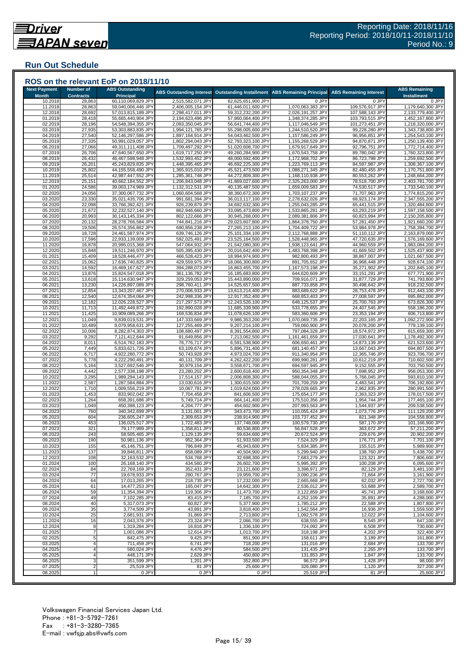## **Run Out Schedule**

| <b>Next Payment</b> |                                      |                                            |                                        |                                          |                                        |                                    |                                            |
|---------------------|--------------------------------------|--------------------------------------------|----------------------------------------|------------------------------------------|----------------------------------------|------------------------------------|--------------------------------------------|
| <b>Month</b>        | <b>Number of</b><br><b>Contracts</b> | <b>ABS Outstanding</b><br><b>Principal</b> | <b>ABS Outstanding Interest</b>        | <b>Outstanding Installment</b>           | <b>ABS Remaining Principal</b>         | <b>ABS Remaining Interest</b>      | <b>ABS Remaining</b><br><b>Installment</b> |
| 10.2018             | 28,863                               | 60,110,069,829 JPY                         | 2,515,582,071 JPY                      | 62,625,651,900 JPY                       | 0 JPY                                  | 0 JPY                              | 0 JPY                                      |
| 11.2018             | 28,863                               | 59,040,006,446 JPY                         | 2,406,005,154 JPY                      | 61,446,011,600 JPY                       | 1,070,063,383 JPY                      | 109,576,917 JPY                    | 1,179,640,300 JPY                          |
| 12.2018<br>01.2019  | 28,692<br>28,418                     | 57,013,815,189 JPY<br>55,665,440,904 JPY   | 2,298,417,011 JPY<br>2,194,623,496 JPY | 59,312,232,200 JPY<br>57,860,064,400 JPY | 2,026,191,257 JPY<br>1,348,374,285 JPY | 107,588,143 JPY<br>103,793,515 JPY | 2,133,779,400 JPY<br>1,452,167,800 JPY     |
| 02.2019             | 28,196                               | 54,548,394,355 JPY                         | 2,093,350,045 JPY                      | 56,641,744,400 JPY                       | 1,117,046,549 JPY                      | 101,273,451 JPY                    | 1,218,320,000 JPY                          |
| 03.2019             | 27,935                               | 53,303,883,835 JPY                         | 1,994,121,765 JPY                      | 55,298,005,600 JPY                       | 1,244,510,520 JPY                      | 99,228,280 JPY                     | 1,343,738,800 JPY                          |
| 04.2019<br>05.2019  | 27,540<br>27,335                     | 52,146,297,586 JPY<br>50,991,029,057 JPY   | 1,897,164,914 JPY<br>1,802,294,043 JPY | 54,043,462,500 JPY<br>52,793,323,100 JPY | 1,157,586,249 JPY<br>1,155,268,529 JPY | 96,956,851 JPY<br>94,870,871 JPY   | 1,254,543,100 JPY<br>1,250,139,400 JPY     |
| 06.2019             | 27,066                               | 49,311,111,408 JPY                         | 1,709,497,292 JPY                      | 51,020,608,700 JPY                       | 1,679,917,649 JPY                      | 92,796,751 JPY                     | 1,772,714,400 JPY                          |
| 07.2019             | 26,706                               | 47,640,567,650 JPY                         | 1,619,717,250 JPY                      | 49,260,284,900 JPY                       | 1,670,543,758 JPY                      | 89,780,042 JPY                     | 1,760,323,800 JPY                          |
| 08.2019             | 26,432                               | 46,467,598,948 JPY                         | 1,532,993,452 JPY                      | 48,000,592,400 JPY                       | 1,172,968,702 JPY                      | 86,723,798 JPY                     | 1,259,692,500 JPY                          |
| 09.2019<br>10.2019  | 26,201<br>25,802                     | 45,243,829,835 JPY<br>44,155,558,490 JPY   | 1,448,395,465 JPY<br>1,365,915,010 JPY | 46,692,225,300 JPY<br>45,521,473,500 JPY | 1,223,769,113 JPY<br>1,088,271,345 JPY | 84,597,987 JPY<br>82,480,455 JPY   | 1,308,367,100 JPY<br>1,170,751,800 JPY     |
| 11.2019             | 25,514                               | 42,987,447,552 JPY                         | 1,285,361,748 JPY                      | 44,272,809,300 JPY                       | 1,168,110,938 JPY                      | 80,553,262 JPY                     | 1,248,664,200 JPY                          |
| 12.2019             | 25,151                               | 40,662,184,552 JPY                         | 1,206,843,048 JPY                      | 41,869,027,600 JPY                       | 2,325,263,000 JPY                      | 78,518,700 JPY                     | 2,403,781,700 JPY                          |
| 01.2020<br>02.2020  | 24,586<br>24,056                     | 39,003,174,969 JPY<br>37,300,067,732 JPY   | 1,132,312,531 JPY<br>1,060,604,568 JPY | 40,135,487,500 JPY<br>38,360,672,300 JPY | 1,659,009,583 JPY<br>1,703,107,237 JPY | 74,530,517 JPY<br>71,707,963 JPY   | 1,733,540,100 JPY<br>1,774,815,200 JPY     |
| 03.2020             | 23,330                               | 35,021,435,706 JPY                         | 991,681,394 JPY                        | 36,013,117,100 JPY                       | 2,278,632,026 JPY                      | 68,923,174 JPY                     | 2,347,555,200 JPY                          |
| 04.2020             | 22,098                               | 33,766,392,421 JPY                         | 926,239,879 JPY                        | 34,692,632,300 JPY                       | 1,255,043,285 JPY                      | 65,441,515 JPY                     | 1,320,484,800 JPY                          |
| 05.2020             | 21,672                               | 32,232,527,140 JPY                         | 862,946,660 JPY                        | 33,095,473,800 JPY                       | 1,533,865,281 JPY                      | 63,293,219 JPY                     | 1,597,158,500 JPY                          |
| 06.2020<br>07.2020  | 20,993<br>20,132                     | 30,143,145,334 JPY<br>28,278,766,584 JPY   | 802,122,666 JPY<br>744,841,216 JPY     | 30,945,268,000 JPY<br>29,023,607,800 JPY | 2,089,381,806 JPY<br>1,864,378,750 JPY | 60,823,994 JPY<br>57,281,450 JPY   | 2,150,205,800 JPY<br>1,921,660,200 JPY     |
| 08.2020             | 19,506                               | 26,574,356,862 JPY                         | 690,856,238 JPY                        | 27,265,213,100 JPY                       | 1,704,409,722 JPY                      | 53,984,978 JPY                     | 1,758,394,700 JPY                          |
| 09.2020             | 18,728                               | 24,461,587,974 JPY                         | 639,746,126 JPY                        | 25,101,334,100 JPY                       | 2,112,768,888 JPY                      | 51,110,112 JPY                     | 2,163,879,000 JPY                          |
| 10.2020             | 17,596                               | 22,933,139,009 JPY                         | 592,025,491 JPY                        | 23,525,164,500 JPY                       | 1,528,448,965 JPY                      | 47,720,635 JPY                     | 1,576,169,600 JPY                          |
| 11.2020<br>12.2020  | 16,878<br>15,848                     | 20,995,015,368 JPY<br>19,511,246,970 JPY   | 547,064,932 JPY<br>505,395,430 JPY     | 21,542,080,300 JPY<br>20,016,642,400 JPY | 1,938,123,641 JPY<br>1,483,768,398 JPY | 44,960,559 JPY<br>41,669,502 JPY   | 1,983,084,200 JPY<br>1,525,437,900 JPY     |
| 01.2021             | 15,409                               | 18,528,446,477 JPY                         | 466,528,423 JPY                        | 18,994,974,900 JPY                       | 982,800,493 JPY                        | 38,867,007 JPY                     | 1,021,667,500 JPY                          |
| 02.2021             | 15,062                               | 17,636,740,825 JPY                         | 429,559,975 JPY                        | 18,066,300,800 JPY                       | 891,705,652 JPY                        | 36,968,448 JPY                     | 928,674,100 JPY                            |
| 03.2021             | 14,592                               | 16,469,167,627 JPY                         | 394,288,073 JPY                        | 16,863,455,700 JPY                       | 1,167,573,198 JPY                      | 35,271,902 JPY                     | 1,202,845,100 JPY                          |
| 04.2021<br>05.2021  | 13,876<br>13,618                     | 15,824,547,018 JPY<br>15,114,630,947 JPY   | 361,136,782 JPY<br>329,259,053 JPY     | 16,185,683,800 JPY<br>15,443,890,000 JPY | 644,620,609 JPY<br>709,916,071 JPY     | 33,151,291 JPY<br>31,877,729 JPY   | 677,771,900 JPY<br>741,793,800 JPY         |
| 06.2021             | 13,230                               | 14,226,897,089 JPY                         | 298,760,411 JPY                        | 14,525,657,500 JPY                       | 887,733,858 JPY                        | 30,498,642 JPY                     | 918,232,500 JPY                            |
| 07.2021             | 12,854                               | 13,343,207,467 JPY                         | 270,006,933 JPY                        | 13,613,214,400 JPY                       | 883,689,622 JPY                        | 28,753,478 JPY                     | 912,443,100 JPY                            |
| 08.2021             | 12,540                               | 12,674,354,064 JPY                         | 242,998,336 JPY                        | 12,917,352,400 JPY                       | 668,853,403 JPY                        | 27,008,597 JPY                     | 695,862,000 JPY                            |
| 09.2021<br>10.2021  | 12,182<br>11,713                     | 12,026,228,527 JPY<br>11,492,449,872 JPY   | 217,297,573 JPY<br>192,890,028 JPY     | 12,243,526,100 JPY<br>11,685,339,900 JPY | 648,125,537 JPY<br>533,778,655 JPY     | 25,700,763 JPY<br>24,407,545 JPY   | 673,826,300 JPY<br>558,186,200 JPY         |
| 11.2021             | 11,425                               | 10,909,089,266 JPY                         | 169,536,834 JPY                        | 11,078,626,100 JPY                       | 583,360,606 JPY                        | 23,353,194 JPY                     | 606,713,800 JPY                            |
| 12.2021             | 11,049                               | 9,839,019,531 JPY                          | 147,333,669 JPY                        | 9,986,353,200 JPY                        | 1,070,069,735 JPY                      | 22,203,165 JPY                     | 1,092,272,900 JPY                          |
| 01.2022<br>02.2022  | 10,489<br>10,006                     | 9,079,958,631 JPY<br>8,282,874,303 JPY     | 127,255,469 JPY<br>108,680,497 JPY     | 9,207,214,100 JPY<br>8,391,554,800 JPY   | 759,060,900 JPY<br>797,084,328 JPY     | 20,078,200 JPY<br>18,574,972 JPY   | 779,139,100 JPY<br>815,659,300 JPY         |
| 03.2022             | 9,292                                | 7,121,412,644 JPY                          | 91,649,856 JPY                         | 7,213,062,500 JPY                        | 1,161,461,659 JPY                      | 17,030,641 JPY                     | 1,178,492,300 JPY                          |
| 04.2022             | 8,011                                | 6,514,762,183 JPY                          | 76,776,717 JPY                         | 6,591,538,900 JPY                        | 606,650,461 JPY                        | 14,873,139 JPY                     | 621,523,600 JPY                            |
| 05.202              | 7,449                                | 5,833,621,726 JPY                          | 63,109,674 JPY                         | 5,896,731,400 JPY                        | 681,140,457 JPY                        | 13,667,043 JPY                     | 694,807,500 JPY                            |
| 06.202<br>07.2022   | 6,717<br>5,778                       | 4,922,280,772 JP\<br>4,222,290,491 JPY     | 50,743,928 JPY<br>40,131,709 JPY       | 4,973,024,700 JPY<br>4,262,422,200 JPY   | 911,340,954 JPY<br>699,990,281 JPY     | 12,365,746 JPY<br>10,612,219 JPY   | 923,706,700 JPY<br>710,602,500 JPY         |
| 08.2022             | 5,164                                | 3,527,692,546 JPY                          | 30,979,154 JPY                         | 3,558,671,700 JPY                        | 694,597,945 JPY                        | 9,152,555 JPY                      | 703,750,500 JPY                            |
| 09.2022             | 4,442                                | 2,577,338,198 JPY                          | 23,280,202 JPY                         | 2,600,618,400 JPY                        | 950,354,348 JPY                        | 7,698,952 JPY                      | 958,053,300 JPY                            |
| 10.2022<br>11.2022  | 3,295<br>2,587                       | 1,989,294,143 JPY<br>1,287,584,884 JPY     | 17,514,157 JPY<br>13,030,616 JPY       | 2,006,808,300 JPY<br>1,300,615,500 JPY   | 588,044,055 JPY<br>701,709,259 JPY     | 5,766,045 JPY<br>4,483,541 JPY     | 593,810,100 JPY<br>706,192,800 JPY         |
| 12.2022             | 1,710                                | 1,009,556,219 JPY                          | 10,067,781 JPY                         | 1,019,624,000 JPY                        | 278,028,665 JPY                        | 2,962,835 JPY                      | 280,991,500 JPY                            |
| 01.2023             | 1,453                                | 833,902,042 JPY                            | 7,704,458 JPY                          | 841,606,500 JPY                          | 175,654,177 JPY                        | 2,363,323 JPY                      | 178,017,500 JPY                            |
| 02.2023             | 1,264                                | 658,391,686 JPY                            | 5,749,714 JPY                          | 664,141,400 JPY                          | 175,510,356 JPY                        | 1,954,744 JPY                      | 177,465,100 JPY                            |
| 03.2023<br>04.2023  | 1,049<br>760                         | 450,398,123 JPY<br>340,342,699 JPY         | 4,204,777 JPY<br>3,131,001 JPY         | 454,602,900 JPY<br>343,473,700 JPY       | 207,993,563 JPY<br>110,055,424 JPY     | 1,544,937 JPY<br>1,073,776 JPY     | 209,538,500 JPY<br>111,129,200 JPY         |
| 05.2023             | 604                                  | 236,605,247 JPY                            | 2,309,653 JPY                          | 238,914,900 JPY                          | 103,737,452 JPY                        | 821,348 JPY                        | 104,558,800 JPY                            |
| 06.2023             | 453                                  | 136,025,517 JPY                            | 1,722,483 JPY                          | 137,748,000 JPY                          | 100,579,730 JPY                        | 587,170 JPY                        | 101,166,900 JPY                            |
| 07.2023             | 321                                  | 79,177,989 JPY                             | 1,358,811 JPY                          | 80,536,800 JPY                           | 56,847,528 JPY                         | 363,672 JPY                        | 57,211,200 JPY                             |
| 08.2023<br>09.2023  | 243<br>190                           | 58,505,465 JPY<br>50,981,136 JPY           | 1,129,135 JPY<br>952,364 JPY           | 59,634,600 JPY<br>51,933,500 JPY         | 20,672,524 JPY<br>7,524,329 JPY        | 229,676 JPY<br>176,771 JPY         | 20,902,200 JPY<br>7,701,100 JPY            |
| 10.2023             | 155                                  | 45,146,751 JPY                             | 796,849 JPY                            | 45,943,600 JPY                           | 5,834,385 JPY                          | 155,515 JPY                        | 5,989,900 JPY                              |
| 11.2023             | 137                                  | 39,846,811 JPY                             | 658,089 JPY                            | 40,504,900 JPY                           | 5,299,940 JPY                          | 138,760 JPY                        | 5,438,700 JPY                              |
| 12.2023<br>01.2024  | 108<br>100                           | 32,163,532 JPY<br>26,168,140 JPY           | 534,768 JPY<br>434,560 JPY             | 32,698,300 JPY<br>26,602,700 JPY         | 7,683,279 JPY<br>5,995,392 JPY         | 123,321 JPY<br>100,208 JPY         | 7,806,600 JPY<br>6,095,600 JPY             |
| 02.2024             | 84                                   | 22,769,169 JPY                             | 352,431 JPY                            | 23,121,600 JPY                           | 3,398,971 JPY                          | 82,129 JPY                         | 3,481,100 JPY                              |
| 03.2024             | 77                                   | 19,678,933 JPY                             | 280,767 JPY                            | 19,959,700 JPY                           | 3,090,236 JPY                          | 71,664 JPY                         | 3,161,900 JPY                              |
| 04.2024             | 64                                   | 17,013,265 JPY                             | 218,735 JPY                            | 17,232,000 JPY                           | 2,665,668 JPY                          | 62,032 JPY                         | 2.727.700 JPY                              |
| 05.2024<br>06.2024  | 61<br>59                             | 14,477,253 JPY<br>11,354,394 JPY           | 165,047 JPY<br>119,306 JPY             | 14,642,300 JPY<br>11,473,700 JPY         | 2,536,012 JPY<br>3,122,859 JPY         | 53,688 JPY<br>45,741 JPY           | 2,589,700 JPY<br>3,168,600 JPY             |
| 07.2024             | 49                                   | 7,102,285 JPY                              | 83,415 JPY                             | 7,185,700 JPY                            | 4,252,109 JPY                          | 35,891 JPY                         | 4,288,000 JPY                              |
| 08.2024             | 40                                   | 5,317,073 JPY                              | 60,827 JPY                             | 5,377,900 JPY                            | 1,785,212 JPY                          | 22,588 JPY                         | 1,807,800 JPY                              |
| 09.2024             | 35                                   | 3,774,509 JPY                              | 43,891 JPY                             | 3,818,400 JPY                            | 1,542,564 JPY                          | 16,936 JPY<br>12,022 JPY           | 1,559,500 JPY                              |
| 10.2024<br>11.2024  | 25<br>16                             | 2,681,931 JPY<br>2,043,376 JPY             | 31,869 JPY<br>23,324 JPY               | 2,713,800 JPY<br>2,066,700 JPY           | 1,092,578 JPY<br>638,555 JPY           | 8,545 JPY                          | 1,104,600 JPY<br>647,100 JPY               |
| 12.2024             | 8                                    | 1,319,284 JPY                              | 16,816 JPY                             | 1,336,100 JPY                            | 724,092 JPY                            | 6,508 JPY                          | 730,600 JPY                                |
| 01.2025             |                                      | 1,001,086 JPY                              | 12,614 JPY                             | 1,013,700 JPY                            | 318,198 JPY                            | 4,202 JPY                          | 322,400 JPY                                |
| 02.2025             | 5                                    | 842,475 JPY                                | 9,425 JPY                              | 851,900 JPY                              | 158,611 JPY                            | 3,189 JPY                          | 161,800 JPY                                |
| 03.2025<br>04.2025  |                                      | 711,459 JPY<br>580,024 JPY                 | 6,741 JPY<br>4,476 JPY                 | 718,200 JPY<br>584,500 JPY               | 131,016 JPY<br>131,435 JPY             | 2,684 JPY<br>2,265 JPY             | 133,700 JPY<br>133,700 JPY                 |
|                     |                                      | 448,171 JPY                                | 2,629 JPY                              | 450,800 JPY                              | 131,853 JPY                            | 1,847 JPY                          | 133,700 JPY                                |
| 05.2025             |                                      |                                            |                                        | 352,800 JPY                              | 96,572 JPY                             | 1,428 JPY                          | 98,000 JPY                                 |
| 06.2025<br>07.2025  | 3<br>$\overline{c}$                  | 351,599 JPY<br>25,519 JPY                  | 1,201 JPY<br>81 JPY                    | 25,600 JPY                               | 326,080 JPY                            | 1,120 JPY                          | 327,200 JPY                                |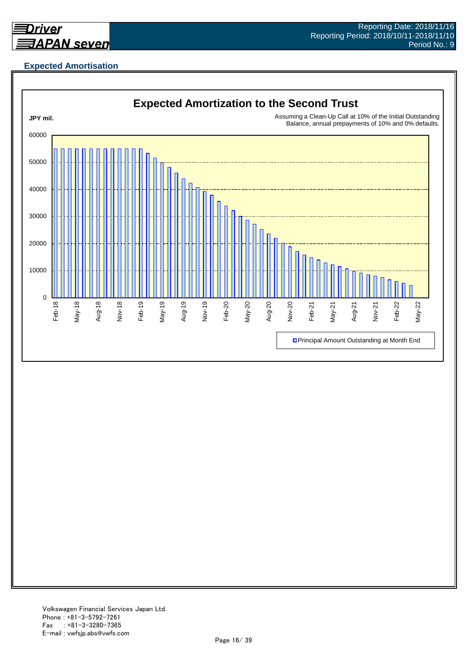

## **Expected Amortisation**

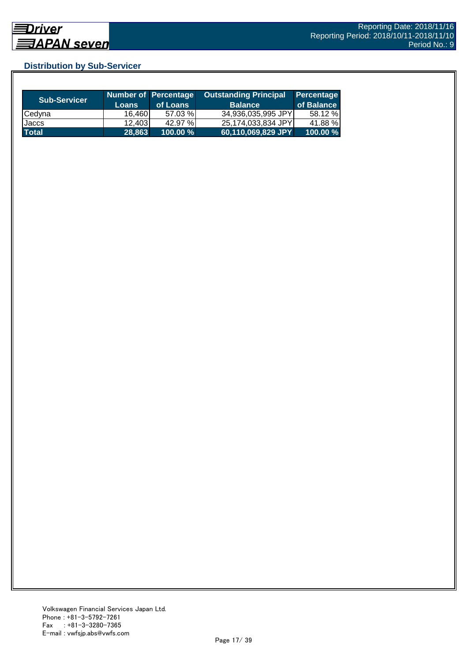## **Distribution by Sub-Servicer**

| <b>Sub-Servicer</b> | <b>Loans</b> | Number of Percentage<br>of Loans | <b>Outstanding Principal</b><br><b>Balance</b> | Percentage<br>of Balance |
|---------------------|--------------|----------------------------------|------------------------------------------------|--------------------------|
| <b>Cedyna</b>       | 16.460       | 57.03 %                          | 34,936,035,995 JPY                             | 58.12 %                  |
| Jaccs               | 12,403       | 42.97 %                          | 25,174,033,834 JPY                             | 41.88 %                  |
| <b>Total</b>        | 28.863       | 100.00 %                         | 60,110,069,829 JPY                             | $100.00 \%$              |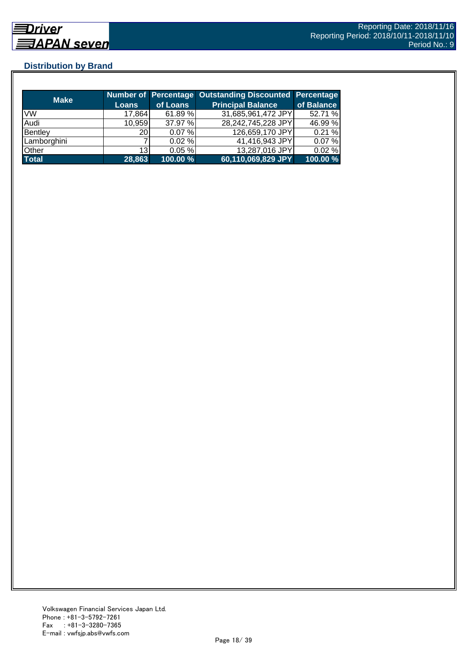## **Distribution by Brand**

| <b>Make</b>  |                 |          | <b>Number of Percentage Outstanding Discounted Percentage</b> |            |
|--------------|-----------------|----------|---------------------------------------------------------------|------------|
|              | Loans           | of Loans | <b>Principal Balance</b>                                      | of Balance |
| <b>VW</b>    | 17,864          | 61.89%   | 31,685,961,472 JPY                                            | 52.71 %    |
| Audi         | 10,959          | 37.97 %  | 28,242,745,228 JPY                                            | 46.99 %    |
| Bentley      | 20              | 0.07%    | 126,659,170 JPY                                               | 0.21%      |
| Lamborghini  |                 | 0.02%    | 41,416,943 JPY                                                | 0.07%      |
| Other        | 13 <sup>l</sup> | 0.05%    | 13,287,016 JPY                                                | 0.02%      |
| <b>Total</b> | 28,863          | 100.00 % | 60,110,069,829 JPY                                            | 100.00 %   |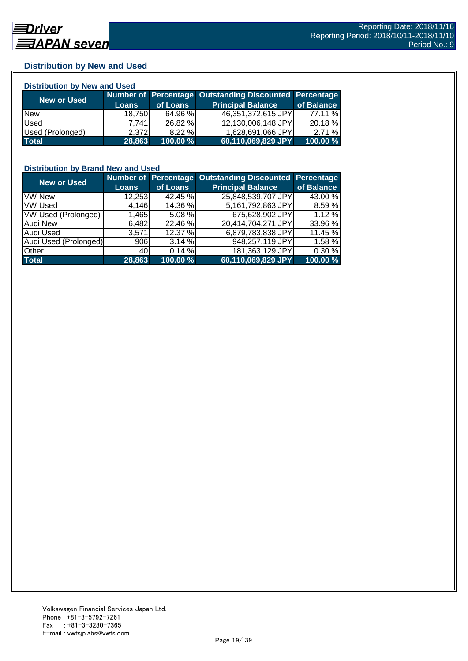## **Distribution by New and Used**

| <b>Distribution by New and Used</b> |              |          |                                                        |            |  |  |
|-------------------------------------|--------------|----------|--------------------------------------------------------|------------|--|--|
|                                     |              |          | Number of Percentage Outstanding Discounted Percentage |            |  |  |
| <b>New or Used</b>                  | <b>Loans</b> | of Loans | <b>Principal Balance</b>                               | of Balance |  |  |
| <b>New</b>                          | 18.750       | 64.96 %  | 46,351,372,615 JPY                                     | 77.11 %    |  |  |
| Used                                | 7.7411       | 26.82 %  | 12,130,006,148 JPY                                     | 20.18 %    |  |  |
| Used (Prolonged)                    | 2.372        | 8.22%    | 1,628,691,066 JPY                                      | 2.71%      |  |  |
| <b>Total</b>                        | 28,863       | 100.00 % | 60,110,069,829 JPY                                     | 100.00 %   |  |  |

## **Distribution by Brand New and Used**

| <b>New or Used</b>         |              |           | Number of Percentage Outstanding Discounted | <b>Percentage</b> |
|----------------------------|--------------|-----------|---------------------------------------------|-------------------|
|                            | <b>Loans</b> | of Loans  | <b>Principal Balance</b>                    | of Balance        |
| <b>VW New</b>              | 12,253       | 42.45 %   | 25,848,539,707 JPY                          | 43.00 %           |
| <b>VW Used</b>             | 4,146        | 14.36 %   | 5,161,792,863 JPY                           | 8.59 %            |
| <b>VW Used (Prolonged)</b> | 1,465        | $5.08 \%$ | 675,628,902 JPY                             | 1.12%             |
| <b>Audi New</b>            | 6,482        | 22.46 %   | 20,414,704,271 JPY                          | 33.96 %           |
| Audi Used                  | 3,571        | 12.37 %   | 6,879,783,838 JPY                           | 11.45 %           |
| Audi Used (Prolonged)      | 906          | 3.14%     | 948,257,119 JPY                             | 1.58 %            |
| <b>Other</b>               | 40           | 0.14%     | 181,363,129 JPY                             | 0.30 %            |
| <b>Total</b>               | 28,863       | 100.00 %  | 60,110,069,829 JPY                          | 100.00 %          |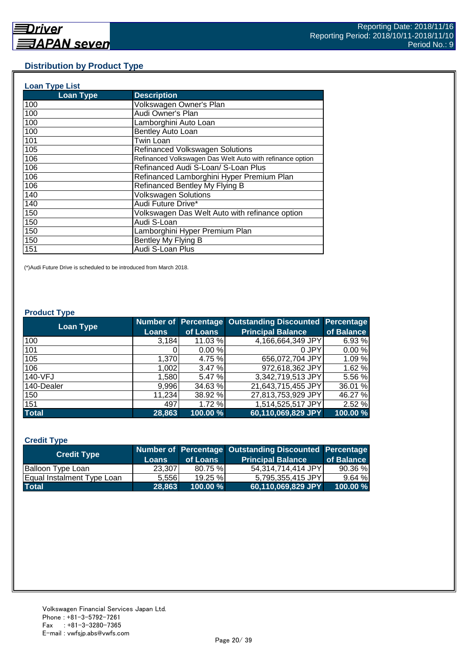#### **Distribution by Product Type**

| <b>Loan Type List</b> |                                                           |
|-----------------------|-----------------------------------------------------------|
| <b>Loan Type</b>      | <b>Description</b>                                        |
| 100                   | Volkswagen Owner's Plan                                   |
| 100                   | Audi Owner's Plan                                         |
| 100                   | Lamborghini Auto Loan                                     |
| 100                   | Bentley Auto Loan                                         |
| 101                   | Twin Loan                                                 |
| 105                   | <b>Refinanced Volkswagen Solutions</b>                    |
| 106                   | Refinanced Volkswagen Das Welt Auto with refinance option |
| 106                   | Refinanced Audi S-Loan/ S-Loan Plus                       |
| 106                   | Refinanced Lamborghini Hyper Premium Plan                 |
| 106                   | Refinanced Bentley My Flying B                            |
| 140                   | <b>Volkswagen Solutions</b>                               |
| 140                   | Audi Future Drive*                                        |
| 150                   | Volkswagen Das Welt Auto with refinance option            |
| 150                   | Audi S-Loan                                               |
| 150                   | Lamborghini Hyper Premium Plan                            |
| 150                   | Bentley My Flying B                                       |
| 151                   | Audi S-Loan Plus                                          |

(\*)Audi Future Drive is scheduled to be introduced from March 2018.

#### **Product Type**

| <b>Loan Type</b> |              |          | <b>Number of Percentage Outstanding Discounted</b> | <b>Percentage</b> |
|------------------|--------------|----------|----------------------------------------------------|-------------------|
|                  | <b>Loans</b> | of Loans | <b>Principal Balance</b>                           | of Balance        |
| 100              | 3,184        | 11.03 %  | 4,166,664,349 JPY                                  | 6.93 %            |
| 101              |              | 0.00%    | 0 JPY                                              | 0.00%             |
| 105              | 1,370        | 4.75 %   | 656,072,704 JPY                                    | 1.09%             |
| 106              | 1,002        | 3.47 %   | 972,618,362 JPY                                    | 1.62 %            |
| 140-VFJ          | 1,580        | 5.47 %   | 3,342,719,513 JPY                                  | 5.56 %            |
| 140-Dealer       | 9,996        | 34.63 %  | 21,643,715,455 JPY                                 | 36.01 %           |
| 150              | 11,234       | 38.92 %  | 27,813,753,929 JPY                                 | 46.27 %           |
| 151              | 497          | 1.72%    | 1,514,525,517 JPY                                  | 2.52 %            |
| <b>Total</b>     | 28,863       | 100.00 % | 60,110,069,829 JPY                                 | 100.00 %          |

#### **Credit Type**

| <b>Credit Type</b>         |        |             | Number of Percentage Outstanding Discounted Percentage |            |
|----------------------------|--------|-------------|--------------------------------------------------------|------------|
|                            | Loans  | of Loans    | <b>Principal Balance</b>                               | of Balance |
| Balloon Type Loan          | 23,307 | 80.75%      | 54.314.714.414 JPYL                                    | 90.36%     |
| Equal Instalment Type Loan | 5.556  | $19.25 \%$  | 5,795,355,415 JPY                                      | 9.64%      |
| <b>Total</b>               | 28.863 | $100.00 \%$ | 60,110,069,829 JPY                                     | 100.00 %   |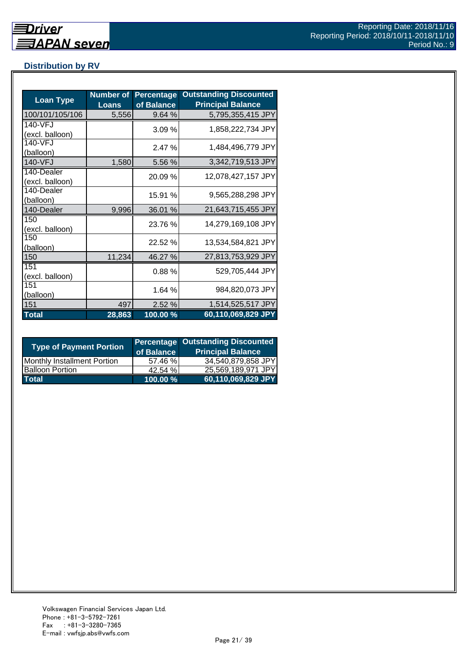## **Distribution by RV**

| <b>Loan Type</b>              | <b>Number of</b><br><b>Loans</b> | <b>Percentage</b><br>of Balance | <b>Outstanding Discounted</b><br><b>Principal Balance</b> |
|-------------------------------|----------------------------------|---------------------------------|-----------------------------------------------------------|
| 100/101/105/106               | 5,556                            | 9.64%                           | 5,795,355,415 JPY                                         |
| 140-VFJ<br>(excl. balloon)    |                                  | 3.09%                           | 1,858,222,734 JPY                                         |
| 140-VFJ<br>(balloon)          |                                  | 2.47 %                          | 1,484,496,779 JPY                                         |
| 140-VFJ                       | 1,580                            | 5.56 %                          | 3,342,719,513 JPY                                         |
| 140-Dealer<br>(excl. balloon) |                                  | 20.09 %                         | 12,078,427,157 JPY                                        |
| 140-Dealer<br>(balloon)       |                                  | 15.91 %                         | 9,565,288,298 JPY                                         |
| 140-Dealer                    | 9,996                            | 36.01 %                         | 21,643,715,455 JPY                                        |
| 150<br>(excl. balloon)        |                                  | 23.76 %                         | 14,279,169,108 JPY                                        |
| 150<br>(balloon)              |                                  | 22.52 %                         | 13,534,584,821 JPY                                        |
| 150                           | 11,234                           | 46.27 %                         | 27,813,753,929 JPY                                        |
| 151<br>(excl. balloon)        |                                  | 0.88%                           | 529,705,444 JPY                                           |
| 151<br>(balloon)              |                                  | 1.64 %                          | 984,820,073 JPY                                           |
| 151                           | 497                              | 2.52 %                          | 1,514,525,517 JPY                                         |
| <b>Total</b>                  | 28,863                           | 100.00 %                        | 60,110,069,829 JPY                                        |

| <b>Type of Payment Portion</b>     | of Balance | <b>Percentage Outstanding Discounted</b><br><b>Principal Balance</b> |
|------------------------------------|------------|----------------------------------------------------------------------|
| <b>Monthly Installment Portion</b> | 57.46 %    | 34,540,879,858 JPY                                                   |
| <b>Balloon Portion</b>             | 42.54%     | 25,569,189,971 JPY                                                   |
| <b>Total</b>                       | 100.00 %   | 60,110,069,829 JPY                                                   |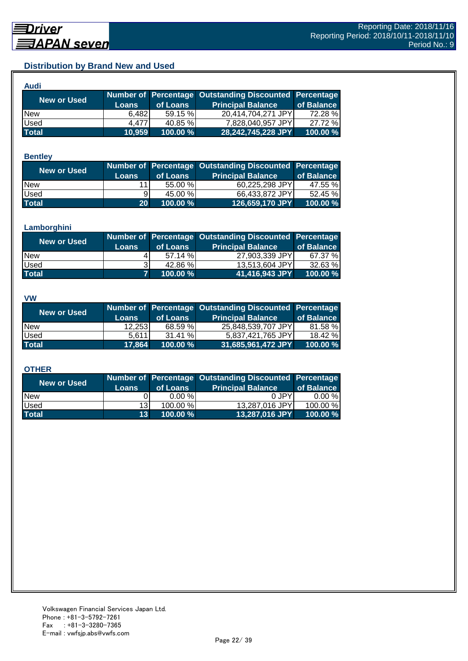## **Distribution by Brand New and Used**

| Audi         |              |          |                                                        |            |
|--------------|--------------|----------|--------------------------------------------------------|------------|
| New or Used  |              |          | Number of Percentage Outstanding Discounted Percentage |            |
|              | <b>Loans</b> | of Loans | <b>Principal Balance</b>                               | of Balance |
| <b>New</b>   | 6,482        | 59.15 %  | 20,414,704,271 JPY                                     | 72.28 %    |
| Used         | 4.477        | 40.85 %  | 7,828,040,957 JPY                                      | 27.72 %    |
| <b>Total</b> | 10,959       | 100.00 % | 28,242,745,228 JPY                                     | 100.00 %   |

#### **Bentley**

| New or Used  | <b>Loans</b>    | of Loans | Number of Percentage Outstanding Discounted Percentage<br><b>Principal Balance</b> | of Balance |
|--------------|-----------------|----------|------------------------------------------------------------------------------------|------------|
| <b>New</b>   | 11              | 55.00 %  | 60,225,298 JPY                                                                     | 47.55 %    |
| Used         | 91              | 45.00 %  | 66.433.872 JPYI                                                                    | 52.45 %    |
| <b>Total</b> | 20 <sup>1</sup> | 100.00 % | 126,659,170 JPY                                                                    | 100.00 %   |

#### **Lamborghini**

| New or Used  | <b>Loans</b> | of Loans | Number of Percentage Outstanding Discounted Percentage<br><b>Principal Balance</b> | of Balance |
|--------------|--------------|----------|------------------------------------------------------------------------------------|------------|
| <b>New</b>   |              | 57.14%   | 27,903,339 JPY                                                                     | 67.37 %    |
| <b>Used</b>  |              | 42.86 %  | 13.513.604 JPYI                                                                    | 32.63 %    |
| <b>Total</b> |              | 100.00 % | 41,416,943 JPY                                                                     | 100.00 %   |

#### **VW**

| <b>New or Used</b> |              |          | Number of Percentage Outstanding Discounted Percentage |            |
|--------------------|--------------|----------|--------------------------------------------------------|------------|
|                    | <b>Loans</b> | of Loans | <b>Principal Balance</b>                               | of Balance |
| <b>New</b>         | 12,253       | 68.59 %  | 25,848,539,707 JPY                                     | 81.58 %    |
| <b>Used</b>        | 5.611        | 31.41%   | 5.837.421.765 JPYI                                     | 18.42 %    |
| <b>Total</b>       | 17,864       | 100.00 % | 31,685,961,472 JPY                                     | 100.00 %   |

#### **OTHER**

| <b>New or Used</b> | <b>Loans</b>    | of Loans  | Number of Percentage Outstanding Discounted Percentage<br><b>Principal Balance</b> | of Balance |
|--------------------|-----------------|-----------|------------------------------------------------------------------------------------|------------|
| <b>New</b>         |                 | $0.00 \%$ | 0 JPY                                                                              | $0.00 \%$  |
| Used               | 13 <sub>l</sub> | 100.00 %  | 13,287,016 JPY                                                                     | 100.00 %   |
| <b>Total</b>       | 13 <sup>1</sup> | 100.00 %  | 13,287,016 JPY                                                                     | 100.00 %   |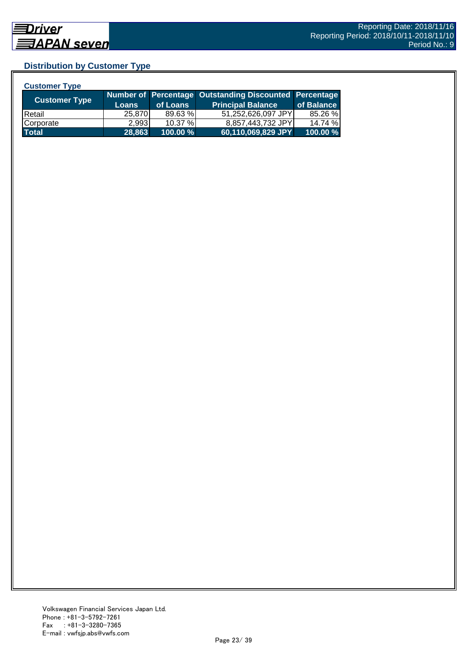## **Distribution by Customer Type**

| <b>Customer Type</b> |              |          |                                                        |            |
|----------------------|--------------|----------|--------------------------------------------------------|------------|
|                      |              |          | Number of Percentage Outstanding Discounted Percentage |            |
| <b>Customer Type</b> | <b>Loans</b> | of Loans | <b>Principal Balance</b>                               | of Balance |
| <b>IRetail</b>       | 25,870       | 89.63 %  | 51,252,626,097 JPY                                     | 85.26 %    |
| Corporate            | 2.993        | 10.37 %  | 8,857,443,732 JPY                                      | 14.74 %    |
| <b>Total</b>         | 28,863       | 100.00 % | 60,110,069,829 JPY                                     | 100.00 %   |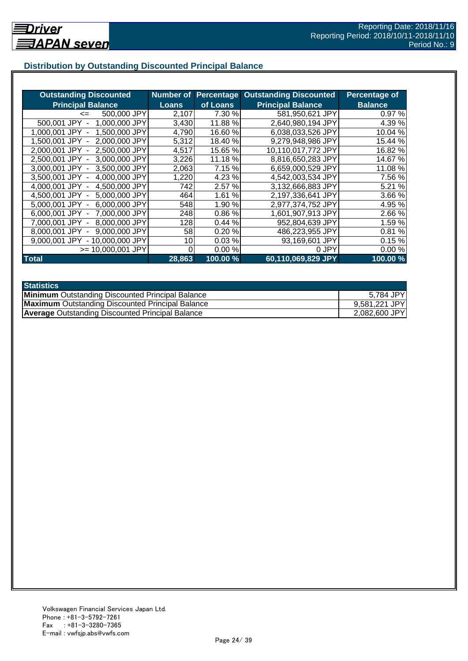## **Distribution by Outstanding Discounted Principal Balance**

| <b>Outstanding Discounted</b>     | Number of    | <b>Percentage</b> | <b>Outstanding Discounted</b> | Percentage of  |
|-----------------------------------|--------------|-------------------|-------------------------------|----------------|
| <b>Principal Balance</b>          | <b>Loans</b> | of Loans          | <b>Principal Balance</b>      | <b>Balance</b> |
| 500,000 JPY<br>$\leq$             | 2,107        | 7.30 %            | 581,950,621 JPY               | 0.97%          |
| 500,001 JPY<br>1,000,000 JPY      | 3,430        | 11.88%            | 2,640,980,194 JPY             | 4.39 %         |
| 1,500,000 JPY<br>1.000.001 JPY -  | 4,790        | 16.60 %           | 6,038,033,526 JPY             | 10.04 %        |
| 2,000,000 JPY<br>1.500.001 JPY -  | 5,312        | 18.40 %           | 9,279,948,986 JPY             | 15.44 %        |
| 2.000.001 JPY -<br>2.500,000 JPY  | 4,517        | 15.65 %           | 10,110,017,772 JPY            | 16.82 %        |
| 3,000,000 JPY<br>2,500,001 JPY -  | 3,226        | 11.18 %           | 8,816,650,283 JPY             | 14.67 %        |
| 3,500,000 JPY<br>3,000,001 JPY -  | 2,063        | 7.15 %            | 6,659,000,529 JPY             | 11.08 %        |
| 4,000,000 JPY<br>3.500.001 JPY -  | 1,220        | 4.23 %            | 4,542,003,534 JPY             | 7.56 %         |
| 4,000,001 JPY -<br>4,500,000 JPY  | 742          | 2.57%             | 3,132,666,883 JPY             | 5.21 %         |
| 5,000,000 JPY<br>4,500,001 JPY -  | 464          | 1.61 %            | 2,197,336,641 JPY             | 3.66 %         |
| 6,000,000 JPY<br>5.000,001 JPY -  | 548          | 1.90%             | 2,977,374,752 JPY             | 4.95 %         |
| 7,000,000 JPY<br>6,000,001 JPY -  | 248          | 0.86%             | 1,601,907,913 JPY             | 2.66 %         |
| 8,000,000 JPY<br>7,000,001 JPY -  | 128          | 0.44%             | 952,804,639 JPY               | 1.59 %         |
| 9,000,000 JPY<br>8.000.001 JPY    | 58           | 0.20%             | 486,223,955 JPY               | 0.81%          |
| - 10,000,000 JPY<br>9,000,001 JPY | 10           | 0.03%             | 93,169,601 JPY                | 0.15%          |
| $>= 10,000,001$ JPY               |              | 0.00%             | 0 JPY                         | 0.00%          |
| <b>Total</b>                      | 28,863       | 100.00 %          | 60,110,069,829 JPY            | 100.00 %       |

| <b>Statistics</b>                                       |               |
|---------------------------------------------------------|---------------|
| <b>Minimum</b> Outstanding Discounted Principal Balance | 5,784 JPY     |
| <b>Maximum</b> Outstanding Discounted Principal Balance | 9,581,221 JPY |
| <b>Average Outstanding Discounted Principal Balance</b> | 2,082,600 JPY |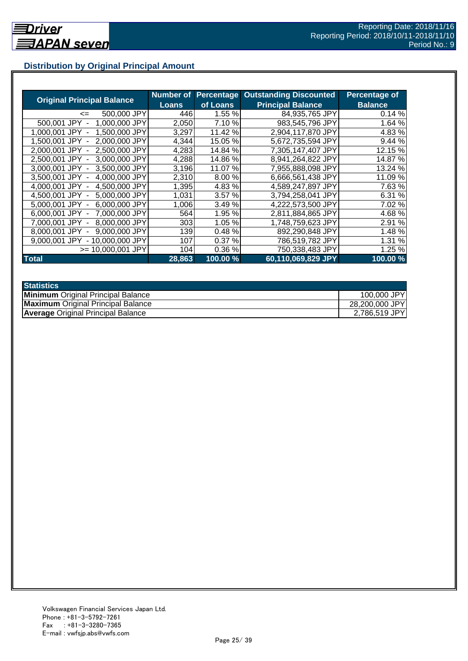## **Distribution by Original Principal Amount**

|                                           | Number of |          | <b>Percentage Outstanding Discounted</b> | Percentage of  |
|-------------------------------------------|-----------|----------|------------------------------------------|----------------|
| <b>Original Principal Balance</b>         | Loans     | of Loans | <b>Principal Balance</b>                 | <b>Balance</b> |
| 500,000 JPY<br><=                         | 446       | 1.55 %   | 84,935,765 JPY                           | 0.14%          |
| 1,000,000 JPY<br>500,001 JPY              | 2,050     | 7.10 %   | 983,545,796 JPY                          | 1.64 %         |
| 1,500,000 JPY<br>1.000.001<br>JPY         | 3,297     | 11.42 %  | 2,904,117,870 JPY                        | 4.83 %         |
| 2.000.000 JPY<br>1.500.001 JPY            | 4,344     | 15.05 %  | 5,672,735,594 JPY                        | 9.44%          |
| 2,500,000 JPY<br>2.000.001 JPY -          | 4,283     | 14.84 %  | 7,305,147,407 JPY                        | 12.15 %        |
| 2,500,001 JPY -<br>3,000,000 JPY          | 4,288     | 14.86 %  | 8,941,264,822 JPY                        | 14.87 %        |
| 3.000.001 JPY -<br>3.500,000 JPY          | 3,196     | 11.07 %  | 7,955,888,098 JPY                        | 13.24 %        |
| 3,500,001 JPY -<br>4,000,000 JPY          | 2,310     | 8.00%    | 6,666,561,438 JPY                        | 11.09 %        |
| 4,500,000 JPY<br>4.000.001 JPY -          | 1,395     | 4.83 %   | 4,589,247,897 JPY                        | 7.63 %         |
| 4,500,001 JPY -<br>5,000,000 JPY          | 1,031     | 3.57%    | 3,794,258,041 JPY                        | 6.31 %         |
| 6,000,000 JPY<br>5.000.001 JPY -          | 1,006     | 3.49 %   | 4,222,573,500 JPY                        | 7.02 %         |
| 7,000,000 JPY<br>6.000.001 JPY -          | 564       | 1.95 %   | 2,811,884,865 JPY                        | 4.68%          |
| 8,000,000 JPY<br>7.000.001 JPY            | 303       | 1.05 %   | 1,748,759,623 JPY                        | 2.91 %         |
| 9,000,000 JPY<br>8.000.001 JPY            | 139       | 0.48%    | 892,290,848 JPY                          | 1.48 %         |
| 9.000.001 JPY<br>10.000.000 JPY<br>$\sim$ | 107       | 0.37%    | 786,519,782 JPY                          | 1.31 %         |
| >= 10.000.001 JPY                         | 104       | 0.36%    | 750,338,483 JPY                          | 1.25 %         |
| <b>Total</b>                              | 28,863    | 100.00 % | 60,110,069,829 JPY                       | 100.00 %       |

| <b>Statistics</b>                         |                |
|-------------------------------------------|----------------|
| <b>Minimum</b> Original Principal Balance | 100,000 JPY    |
| <b>Maximum</b> Original Principal Balance | 28,200,000 JPY |
| <b>Average Original Principal Balance</b> | 2,786,519 JPY  |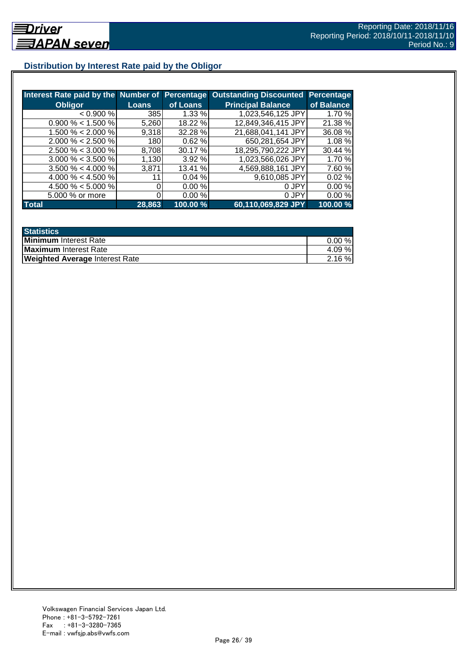## **Distribution by Interest Rate paid by the Obligor**

| Interest Rate paid by the Number of Percentage |              |          | <b>Outstanding Discounted</b> | Percentage |
|------------------------------------------------|--------------|----------|-------------------------------|------------|
| <b>Obligor</b>                                 | <b>Loans</b> | of Loans | <b>Principal Balance</b>      | of Balance |
| < 0.900 %                                      | 385          | 1.33 %   | 1,023,546,125 JPY             | 1.70 %     |
| $0.900\% < 1.500\%$                            | 5,260        | 18.22 %  | 12,849,346,415 JPY            | 21.38 %    |
| $1.500\% < 2.000\%$                            | 9,318        | 32.28 %  | 21,688,041,141 JPY            | 36.08 %    |
| $2.000\% < 2.500\%$                            | 180          | 0.62%    | 650,281,654 JPY               | 1.08%      |
| $2.500\% < 3.000\%$                            | 8,708        | 30.17 %  | 18,295,790,222 JPY            | 30.44 %    |
| $3.000\% < 3.500\%$                            | 1,130        | 3.92%    | 1,023,566,026 JPY             | 1.70 %     |
| $3.500\% < 4.000\%$                            | 3,871        | 13.41 %  | 4,569,888,161 JPY             | 7.60 %     |
| 4.000 % < 4.500 %                              | 11           | 0.04%    | 9,610,085 JPY                 | 0.02%      |
| 4.500 % < 5.000 %                              |              | 0.00%    | 0 JPY                         | 0.00%      |
| 5.000 % or more                                |              | 0.00%    | 0 JPY                         | 0.00%      |
| <b>Total</b>                                   | 28,863       | 100.00 % | 60,110,069,829 JPY            | 100.00 %   |

| <b>Statistics</b>                     |           |
|---------------------------------------|-----------|
| <b>Minimum</b> Interest Rate          | $0.00 \%$ |
| Maximum Interest Rate                 | 4.09 %    |
| <b>Weighted Average Interest Rate</b> | $2.16\%$  |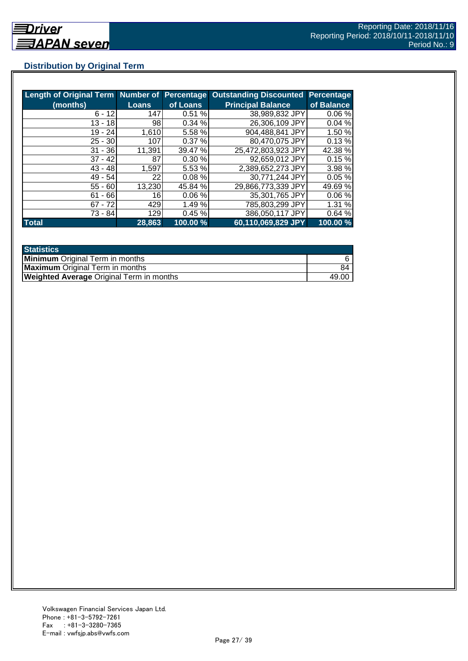## **Distribution by Original Term**

| Length of Original Term Number of Percentage |              |           | <b>Outstanding Discounted</b> | Percentage |
|----------------------------------------------|--------------|-----------|-------------------------------|------------|
| (months)                                     | <b>Loans</b> | of Loans  | <b>Principal Balance</b>      | of Balance |
| $6 - 12$                                     | 147          | 0.51%     | 38,989,832 JPY                | 0.06%      |
| $13 - 18$                                    | 98           | 0.34 %    | 26,306,109 JPY                | 0.04%      |
| $19 - 24$                                    | 1,610        | 5.58 %    | 904,488,841 JPY               | 1.50 %     |
| $25 - 30$                                    | 107          | 0.37%     | 80.470,075 JPY                | 0.13%      |
| $31 - 36$                                    | 11,391       | 39.47 %   | 25,472,803,923 JPY            | 42.38 %    |
| $37 - 42$                                    | 87           | 0.30%     | 92,659,012 JPY                | 0.15%      |
| $43 - 48$                                    | 1,597        | 5.53 %    | 2,389,652,273 JPY             | 3.98 %     |
| $49 - 54$                                    | 22           | $0.08 \%$ | 30,771,244 JPY                | 0.05%      |
| $55 - 60$                                    | 13,230       | 45.84 %   | 29,866,773,339 JPY            | 49.69%     |
| $61 - 66$                                    | 16           | 0.06%     | 35,301,765 JPY                | 0.06%      |
| $67 - 72$                                    | 429          | 1.49 %    | 785,803,299 JPY               | 1.31%      |
| 73 - 84                                      | 129          | 0.45%     | 386,050,117 JPY               | 0.64%      |
| <b>Total</b>                                 | 28,863       | 100.00 %  | 60,110,069,829 JPY            | 100.00 %   |

| <b>Statistics</b>                               |       |
|-------------------------------------------------|-------|
| <b>Minimum</b> Original Term in months          |       |
| <b>Maximum</b> Original Term in months          | 84    |
| <b>Weighted Average Original Term in months</b> | 49.00 |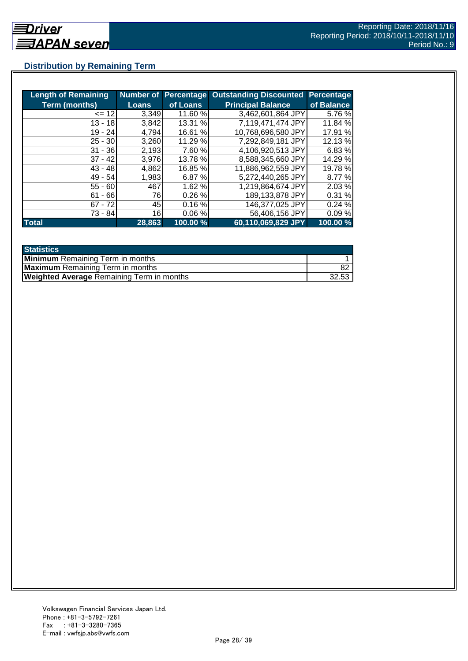## **Distribution by Remaining Term**

| <b>Length of Remaining</b> |              |          | <b>Number of Percentage Outstanding Discounted</b> | <b>Percentage</b> |
|----------------------------|--------------|----------|----------------------------------------------------|-------------------|
| <b>Term (months)</b>       | <b>Loans</b> | of Loans | <b>Principal Balance</b>                           | of Balance        |
| $= 12$                     | 3,349        | 11.60 %  | 3,462,601,864 JPY                                  | 5.76 %            |
| $13 - 18$                  | 3,842        | 13.31 %  | 7,119,471,474 JPY                                  | 11.84 %           |
| 19 - 24                    | 4.794        | 16.61 %  | 10,768,696,580 JPY                                 | 17.91 %           |
| $25 - 30$                  | 3,260        | 11.29 %  | 7,292,849,181 JPY                                  | 12.13 %           |
| $31 - 36$                  | 2,193        | 7.60 %   | 4,106,920,513 JPY                                  | 6.83%             |
| $37 - 42$                  | 3,976        | 13.78 %  | 8,588,345,660 JPY                                  | 14.29 %           |
| $43 - 48$                  | 4,862        | 16.85 %  | 11,886,962,559 JPY                                 | 19.78 %           |
| $49 - 54$                  | 1,983        | 6.87 %   | 5,272,440,265 JPY                                  | 8.77 %            |
| $55 - 60$                  | 467          | 1.62 %   | 1,219,864,674 JPY                                  | 2.03%             |
| - 66<br>61                 | 76           | 0.26%    | 189,133,878 JPY                                    | 0.31%             |
| $67 - 72$                  | 451          | 0.16%    | 146,377,025 JPY                                    | 0.24%             |
| 73 - 84                    | 16           | 0.06%    | 56,406,156 JPY                                     | 0.09%             |
| <b>Total</b>               | 28,863       | 100.00 % | 60,110,069,829 JPY                                 | 100.00 %          |

| <b>Statistics</b>                                |       |  |
|--------------------------------------------------|-------|--|
| <b>Minimum</b> Remaining Term in months          |       |  |
| <b>Maximum</b> Remaining Term in months          |       |  |
| <b>Weighted Average Remaining Term in months</b> | 32.53 |  |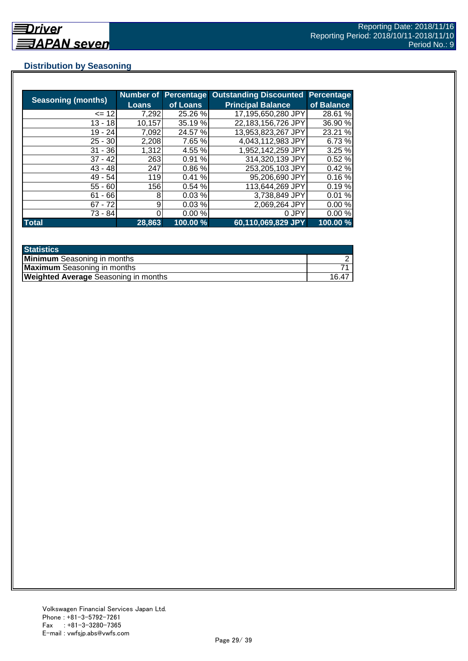## **Distribution by Seasoning**

| <b>Seasoning (months)</b> |              |          | Number of Percentage Outstanding Discounted | <b>Percentage</b> |
|---------------------------|--------------|----------|---------------------------------------------|-------------------|
|                           | <b>Loans</b> | of Loans | <b>Principal Balance</b>                    | of Balance        |
| $= 12$                    | 7,292        | 25.26 %  | 17,195,650,280 JPY                          | 28.61 %           |
| $13 - 18$                 | 10,157       | 35.19 %  | 22,183,156,726 JPY                          | 36.90 %           |
| $19 - 24$                 | 7,092        | 24.57 %  | 13,953,823,267 JPY                          | 23.21 %           |
| $25 - 30$                 | 2,208        | 7.65 %   | 4,043,112,983 JPY                           | 6.73%             |
| $31 - 36$                 | 1,312        | 4.55 %   | 1,952,142,259 JPY                           | 3.25%             |
| $37 - 42$                 | 263          | 0.91%    | 314,320,139 JPY                             | 0.52%             |
| $43 - 48$                 | 247          | 0.86%    | 253,205,103 JPY                             | 0.42%             |
| $49 - 54$                 | <b>119</b>   | 0.41%    | 95,206,690 JPY                              | 0.16%             |
| $55 - 60$                 | 156          | 0.54 %   | 113,644,269 JPY                             | 0.19%             |
| $61 - 66$                 | 8            | 0.03%    | 3,738,849 JPY                               | 0.01%             |
| $67 - 72$                 | 9            | 0.03%    | 2,069,264 JPY                               | 0.00%             |
| 73 - 84                   |              | 0.00%    | 0 JPY                                       | 0.00%             |
| <b>Total</b>              | 28,863       | 100.00 % | 60,110,069,829 JPY                          | 100.00 %          |

| <b>Statistics</b>                           |       |
|---------------------------------------------|-------|
| <b>Minimum</b> Seasoning in months          |       |
| <b>Maximum</b> Seasoning in months          |       |
| <b>Weighted Average Seasoning in months</b> | 16.47 |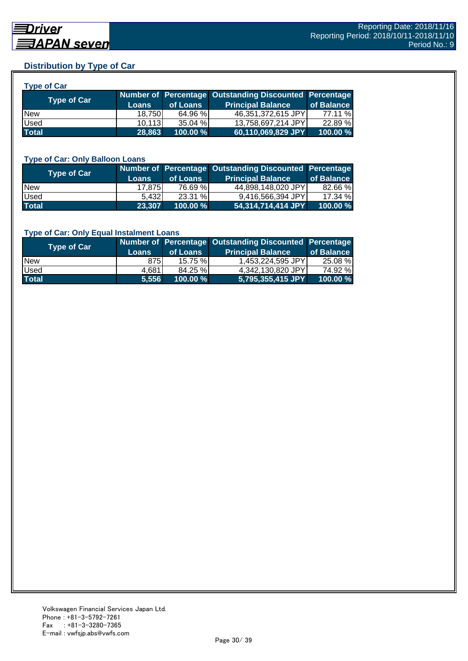## **Distribution by Type of Car**

| nt<br>. |
|---------|
|---------|

| <b>Type of Car</b> | <b>Loans</b> | of Loans    | Number of Percentage Outstanding Discounted Percentage<br><b>Principal Balance</b> | of Balance |
|--------------------|--------------|-------------|------------------------------------------------------------------------------------|------------|
| <b>New</b>         | 18.750       | 64.96 %     | 46,351,372,615 JPY                                                                 | 77.11 %    |
| <b>Used</b>        | 10.113       | 35.04 %     | 13,758,697,214 JPY                                                                 | 22.89 %    |
| <b>Total</b>       | 28,863       | $100.00 \%$ | 60,110,069,829 JPY                                                                 | 100.00 %   |

#### **Type of Car: Only Balloon Loans**

| <b>Type of Car</b> | <b>Loans</b>    | of Loans    | Number of Percentage Outstanding Discounted Percentage<br><b>Principal Balance</b> | of Balance |
|--------------------|-----------------|-------------|------------------------------------------------------------------------------------|------------|
| <b>New</b>         | 17.875 <b>1</b> | 76.69 %     | 44.898.148.020 JPYL                                                                | 82.66 %    |
| Used               | 5.432           | 23.31%      | 9,416,566,394 JPY                                                                  | 17.34%     |
| <b>Total</b>       | 23,307          | $100.00 \%$ | 54,314,714,414 JPY                                                                 | 100.00%    |

#### **Type of Car: Only Equal Instalment Loans**

| <b>Type of Car</b> | <b>Loans</b> | of Loans    | Number of Percentage Outstanding Discounted Percentage<br><b>Principal Balance</b> | of Balance |
|--------------------|--------------|-------------|------------------------------------------------------------------------------------|------------|
| <b>New</b>         | 875I         | $15.75 \%$  | 1,453,224,595 JPY                                                                  | 25.08 %    |
| <b>Used</b>        | 4.681        | 84.25 %     | 4,342,130,820 JPY                                                                  | 74.92 %    |
| <b>Total</b>       | 5.556        | $100.00 \%$ | 5,795,355,415 JPY                                                                  | 100.00 %   |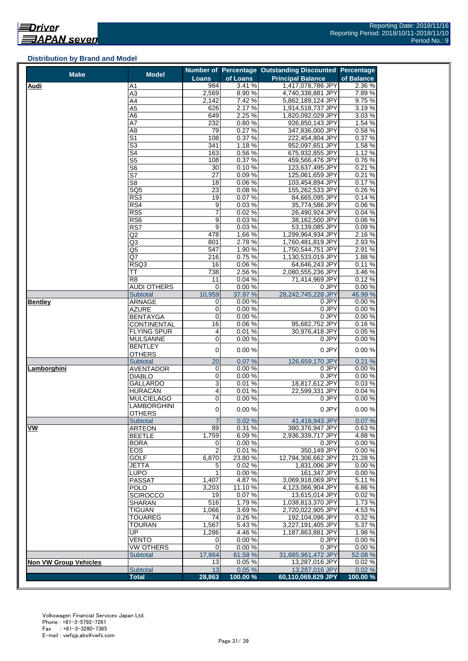#### **Distribution by Brand and Model**

| <b>Loans</b><br>of Loans<br>of Balance<br>984<br>3.41%<br>2.36 %<br>1,417,078,786 JPY<br><b>Audi</b><br>A1<br>$\overline{A3}$<br>2,569<br>8.90%<br>4,740,338,881 JPY<br>7.89%<br>A4<br>2,142<br>7.42%<br>9.75 %<br>5,862,189,124 JPY<br>626<br>2.17%<br>3.19%<br>A5<br>1,914,518,737 JPY<br>2.25 %<br>649<br>3.03%<br>1,820,092,029 JPY<br>A6<br>A7<br>232<br>0.80%<br>1.54 %<br>926,850,143 JPY<br>0.27%<br>0.58%<br>A <sub>8</sub><br>79<br>347,836,000 JPY<br>$\overline{\mathsf{S}1}$<br>108<br>0.37%<br>0.37 %<br>222,454,804 JPY<br>$\overline{\mathbb{S}^3}$<br>1.18%<br>341<br>1.58%<br>952,097,651 JPY<br>163<br>S4<br>0.56%<br>675,932,855 JPY<br>1.12 %<br>$\overline{\text{S5}}$<br>0.37%<br>0.76%<br>108<br>459,566,476 JPY<br>30<br>0.10%<br>0.21%<br>123,637,495 JPY<br>S <sub>6</sub><br>$\overline{\mathsf{S}7}$<br>27<br>0.09%<br>0.21%<br>125,061,659 JPY<br>S <sub>8</sub><br>0.06%<br>0.17%<br>18<br>103,454,894 JPY<br>$\overline{23}$<br>0.08%<br>0.26%<br>SQ <sub>5</sub><br>155,262,533 JPY<br>0.07%<br>RS3<br>19<br>0.14%<br>84,665,095 JPY<br>RS4<br>0.03%<br>35,774,586 JPY<br>0.06%<br>9<br>7<br>0.02%<br>RS <sub>5</sub><br>26,490,924 JPY<br>0.04%<br>9<br>0.03%<br>0.06%<br>RS6<br>38,162,500 JPY<br>$\overline{9}$<br>RS7<br>0.03%<br>53,139,085 JPY<br>0.09%<br>478<br>1.66%<br>2.16%<br>Q2<br>1,299,964,934 JPY<br>801<br>2.78%<br>2.93 %<br>Q3<br>1,760,481,819 JPY<br>1.90%<br>547<br>2.91 %<br>Q5<br>1,750,544,751 JPY<br>Q7<br>216<br>0.75%<br>1.88%<br>1,130,533,019 JPY<br>RSQ3<br>16<br>0.06%<br>64.646.243 JPY<br>0.11%<br>738<br>2.56%<br>3.46 %<br>TT<br>2,080,555,236 JPY<br>$\overline{R8}$<br>11<br>0.04%<br>71,414,969 JPY<br>0.12%<br>$\mathbf 0$<br>0.00%<br>0 JPY<br>0.00%<br>AUDI OTHERS<br>37.97 %<br>10,959<br>28,242,745,228 JPY<br>46.99 %<br><b>Subtotal</b><br><b>ARNAGE</b><br>0.00%<br>0.00%<br><b>Bentley</b><br>0<br>0 JPY<br><b>AZURE</b><br>0<br>0.00%<br>0 JPY<br>0.00%<br>0<br>0 JPY<br>0.00%<br>0.00%<br><b>BENTAYGA</b><br>16<br>0.06%<br>95,682,752 JPY<br>0.16%<br><b>CONTINENTAL</b><br>0.01%<br><b>FLYING SPUR</b><br>4<br>30,976,418 JPY<br>0.05%<br>0<br>0.00%<br>0.00%<br><b>MULSANNE</b><br>0 JPY<br>BENTLEY<br>0<br>0.00%<br>0 JPY<br>0.00%<br><b>OTHERS</b><br>20<br>0.07%<br>126,659,170 JPY<br><b>Subtotal</b><br>0.21%<br>Lamborghini<br><b>AVENTADOR</b><br>0.00%<br>0 JPY<br>0<br>0.00%<br>0<br>0.00%<br>0 JPY<br><b>DIABLO</b><br>3<br>0.01%<br>18,817,612 JPY<br>GALLARDO<br>0.01%<br>HURACÁN<br>4<br>22,599,331 JPY<br>$\mathbf 0$<br>0.00%<br>0 JPY<br>0.00%<br><b>MULCIELAGO</b><br><b>LAMBORGHINI</b><br>$\pmb{0}$<br>0.00%<br>0 JPY<br>0.00%<br><b>OTHERS</b><br>0.02%<br>41,416,943 JPY<br><b>Subtotal</b><br>$\overline{7}$<br>0.07%<br>VW<br><b>ARTEON</b><br>89<br>0.31%<br>380,376,947 JPY<br>0.63%<br>1.759<br>6.09%<br>2,936,339,717 JPY<br>4.88%<br><b>BEETLE</b><br>0.00%<br>0 JPY<br>0.00%<br><b>BORA</b><br>0<br>EOS<br>$\overline{2}$<br>0.01%<br>350,149 JPY<br>0.00%<br><b>GOLF</b><br>6,870<br>23.80%<br>12,794,306,662 JPY<br>21.28 %<br>0.02%<br>1,831,006 JPY<br>0.00%<br><b>JETTA</b><br>5<br><b>LUPO</b><br>1<br>0.00%<br>161,347 JPY<br>0.00%<br><b>PASSAT</b><br>1,407<br>4.87%<br>3.069.918.069 JPY<br>5.11 %<br>11.10%<br>4,123,066,904 JPY<br>6.86%<br><b>POLO</b><br>3,203<br>0.07%<br><b>SCIROCCO</b><br>13,615,014 JPY<br>0.02%<br>19<br>516<br>SHARAN<br>$1.79\%$<br>1.73%<br>1,038,813,370 JPY<br>1,066<br>3.69%<br>2,720,022,905 JPY<br>4.53%<br><b>TIGUAN</b><br>0.26%<br>0.32 %<br><b>TOUAREG</b><br>74<br>192,104,096 JPY<br>1,567<br>5.43%<br>5.37 %<br><b>TOURAN</b><br>3,227,191,405 JPY<br>UP<br>1,286<br>4.46%<br>1.98%<br>1,187,863,881 JPY<br><b>VENTO</b><br>0.00%<br>0.00%<br>0<br>0 JPY<br>0<br>0.00%<br>0 JPY<br>0.00%<br><b>VW OTHERS</b><br>Subtotal<br>17,864<br>61.58 %<br>52.08 %<br>31,685,961,472 JPY<br><b>Non VW Group Vehicles</b><br>13<br>0.05%<br>13,287,016 JPY<br>0.02%<br>Subtotal<br>13<br>0.05%<br>0.02%<br>13,287,016 JPY<br>28,863<br>100.00%<br>60,110,069,829 JPY<br><b>Total</b> | <b>Make</b> | <b>Model</b> |  | Number of Percentage Outstanding Discounted Percentage |          |
|-------------------------------------------------------------------------------------------------------------------------------------------------------------------------------------------------------------------------------------------------------------------------------------------------------------------------------------------------------------------------------------------------------------------------------------------------------------------------------------------------------------------------------------------------------------------------------------------------------------------------------------------------------------------------------------------------------------------------------------------------------------------------------------------------------------------------------------------------------------------------------------------------------------------------------------------------------------------------------------------------------------------------------------------------------------------------------------------------------------------------------------------------------------------------------------------------------------------------------------------------------------------------------------------------------------------------------------------------------------------------------------------------------------------------------------------------------------------------------------------------------------------------------------------------------------------------------------------------------------------------------------------------------------------------------------------------------------------------------------------------------------------------------------------------------------------------------------------------------------------------------------------------------------------------------------------------------------------------------------------------------------------------------------------------------------------------------------------------------------------------------------------------------------------------------------------------------------------------------------------------------------------------------------------------------------------------------------------------------------------------------------------------------------------------------------------------------------------------------------------------------------------------------------------------------------------------------------------------------------------------------------------------------------------------------------------------------------------------------------------------------------------------------------------------------------------------------------------------------------------------------------------------------------------------------------------------------------------------------------------------------------------------------------------------------------------------------------------------------------------------------------------------------------------------------------------------------------------------------------------------------------------------------------------------------------------------------------------------------------------------------------------------------------------------------------------------------------------------------------------------------------------------------------------------------------------------------------------------------------------------------------------------------------------------------------------------------------------------------------------------------------------------------------------------------------------------------------------------------------------------------------------------------------------------------------------------------------------------------------------------------------------------------------------------|-------------|--------------|--|--------------------------------------------------------|----------|
|                                                                                                                                                                                                                                                                                                                                                                                                                                                                                                                                                                                                                                                                                                                                                                                                                                                                                                                                                                                                                                                                                                                                                                                                                                                                                                                                                                                                                                                                                                                                                                                                                                                                                                                                                                                                                                                                                                                                                                                                                                                                                                                                                                                                                                                                                                                                                                                                                                                                                                                                                                                                                                                                                                                                                                                                                                                                                                                                                                                                                                                                                                                                                                                                                                                                                                                                                                                                                                                                                                                                                                                                                                                                                                                                                                                                                                                                                                                                                                                                                                                 |             |              |  | <b>Principal Balance</b>                               |          |
|                                                                                                                                                                                                                                                                                                                                                                                                                                                                                                                                                                                                                                                                                                                                                                                                                                                                                                                                                                                                                                                                                                                                                                                                                                                                                                                                                                                                                                                                                                                                                                                                                                                                                                                                                                                                                                                                                                                                                                                                                                                                                                                                                                                                                                                                                                                                                                                                                                                                                                                                                                                                                                                                                                                                                                                                                                                                                                                                                                                                                                                                                                                                                                                                                                                                                                                                                                                                                                                                                                                                                                                                                                                                                                                                                                                                                                                                                                                                                                                                                                                 |             |              |  |                                                        |          |
|                                                                                                                                                                                                                                                                                                                                                                                                                                                                                                                                                                                                                                                                                                                                                                                                                                                                                                                                                                                                                                                                                                                                                                                                                                                                                                                                                                                                                                                                                                                                                                                                                                                                                                                                                                                                                                                                                                                                                                                                                                                                                                                                                                                                                                                                                                                                                                                                                                                                                                                                                                                                                                                                                                                                                                                                                                                                                                                                                                                                                                                                                                                                                                                                                                                                                                                                                                                                                                                                                                                                                                                                                                                                                                                                                                                                                                                                                                                                                                                                                                                 |             |              |  |                                                        |          |
|                                                                                                                                                                                                                                                                                                                                                                                                                                                                                                                                                                                                                                                                                                                                                                                                                                                                                                                                                                                                                                                                                                                                                                                                                                                                                                                                                                                                                                                                                                                                                                                                                                                                                                                                                                                                                                                                                                                                                                                                                                                                                                                                                                                                                                                                                                                                                                                                                                                                                                                                                                                                                                                                                                                                                                                                                                                                                                                                                                                                                                                                                                                                                                                                                                                                                                                                                                                                                                                                                                                                                                                                                                                                                                                                                                                                                                                                                                                                                                                                                                                 |             |              |  |                                                        |          |
|                                                                                                                                                                                                                                                                                                                                                                                                                                                                                                                                                                                                                                                                                                                                                                                                                                                                                                                                                                                                                                                                                                                                                                                                                                                                                                                                                                                                                                                                                                                                                                                                                                                                                                                                                                                                                                                                                                                                                                                                                                                                                                                                                                                                                                                                                                                                                                                                                                                                                                                                                                                                                                                                                                                                                                                                                                                                                                                                                                                                                                                                                                                                                                                                                                                                                                                                                                                                                                                                                                                                                                                                                                                                                                                                                                                                                                                                                                                                                                                                                                                 |             |              |  |                                                        |          |
|                                                                                                                                                                                                                                                                                                                                                                                                                                                                                                                                                                                                                                                                                                                                                                                                                                                                                                                                                                                                                                                                                                                                                                                                                                                                                                                                                                                                                                                                                                                                                                                                                                                                                                                                                                                                                                                                                                                                                                                                                                                                                                                                                                                                                                                                                                                                                                                                                                                                                                                                                                                                                                                                                                                                                                                                                                                                                                                                                                                                                                                                                                                                                                                                                                                                                                                                                                                                                                                                                                                                                                                                                                                                                                                                                                                                                                                                                                                                                                                                                                                 |             |              |  |                                                        |          |
|                                                                                                                                                                                                                                                                                                                                                                                                                                                                                                                                                                                                                                                                                                                                                                                                                                                                                                                                                                                                                                                                                                                                                                                                                                                                                                                                                                                                                                                                                                                                                                                                                                                                                                                                                                                                                                                                                                                                                                                                                                                                                                                                                                                                                                                                                                                                                                                                                                                                                                                                                                                                                                                                                                                                                                                                                                                                                                                                                                                                                                                                                                                                                                                                                                                                                                                                                                                                                                                                                                                                                                                                                                                                                                                                                                                                                                                                                                                                                                                                                                                 |             |              |  |                                                        |          |
|                                                                                                                                                                                                                                                                                                                                                                                                                                                                                                                                                                                                                                                                                                                                                                                                                                                                                                                                                                                                                                                                                                                                                                                                                                                                                                                                                                                                                                                                                                                                                                                                                                                                                                                                                                                                                                                                                                                                                                                                                                                                                                                                                                                                                                                                                                                                                                                                                                                                                                                                                                                                                                                                                                                                                                                                                                                                                                                                                                                                                                                                                                                                                                                                                                                                                                                                                                                                                                                                                                                                                                                                                                                                                                                                                                                                                                                                                                                                                                                                                                                 |             |              |  |                                                        |          |
|                                                                                                                                                                                                                                                                                                                                                                                                                                                                                                                                                                                                                                                                                                                                                                                                                                                                                                                                                                                                                                                                                                                                                                                                                                                                                                                                                                                                                                                                                                                                                                                                                                                                                                                                                                                                                                                                                                                                                                                                                                                                                                                                                                                                                                                                                                                                                                                                                                                                                                                                                                                                                                                                                                                                                                                                                                                                                                                                                                                                                                                                                                                                                                                                                                                                                                                                                                                                                                                                                                                                                                                                                                                                                                                                                                                                                                                                                                                                                                                                                                                 |             |              |  |                                                        |          |
|                                                                                                                                                                                                                                                                                                                                                                                                                                                                                                                                                                                                                                                                                                                                                                                                                                                                                                                                                                                                                                                                                                                                                                                                                                                                                                                                                                                                                                                                                                                                                                                                                                                                                                                                                                                                                                                                                                                                                                                                                                                                                                                                                                                                                                                                                                                                                                                                                                                                                                                                                                                                                                                                                                                                                                                                                                                                                                                                                                                                                                                                                                                                                                                                                                                                                                                                                                                                                                                                                                                                                                                                                                                                                                                                                                                                                                                                                                                                                                                                                                                 |             |              |  |                                                        |          |
|                                                                                                                                                                                                                                                                                                                                                                                                                                                                                                                                                                                                                                                                                                                                                                                                                                                                                                                                                                                                                                                                                                                                                                                                                                                                                                                                                                                                                                                                                                                                                                                                                                                                                                                                                                                                                                                                                                                                                                                                                                                                                                                                                                                                                                                                                                                                                                                                                                                                                                                                                                                                                                                                                                                                                                                                                                                                                                                                                                                                                                                                                                                                                                                                                                                                                                                                                                                                                                                                                                                                                                                                                                                                                                                                                                                                                                                                                                                                                                                                                                                 |             |              |  |                                                        |          |
|                                                                                                                                                                                                                                                                                                                                                                                                                                                                                                                                                                                                                                                                                                                                                                                                                                                                                                                                                                                                                                                                                                                                                                                                                                                                                                                                                                                                                                                                                                                                                                                                                                                                                                                                                                                                                                                                                                                                                                                                                                                                                                                                                                                                                                                                                                                                                                                                                                                                                                                                                                                                                                                                                                                                                                                                                                                                                                                                                                                                                                                                                                                                                                                                                                                                                                                                                                                                                                                                                                                                                                                                                                                                                                                                                                                                                                                                                                                                                                                                                                                 |             |              |  |                                                        |          |
|                                                                                                                                                                                                                                                                                                                                                                                                                                                                                                                                                                                                                                                                                                                                                                                                                                                                                                                                                                                                                                                                                                                                                                                                                                                                                                                                                                                                                                                                                                                                                                                                                                                                                                                                                                                                                                                                                                                                                                                                                                                                                                                                                                                                                                                                                                                                                                                                                                                                                                                                                                                                                                                                                                                                                                                                                                                                                                                                                                                                                                                                                                                                                                                                                                                                                                                                                                                                                                                                                                                                                                                                                                                                                                                                                                                                                                                                                                                                                                                                                                                 |             |              |  |                                                        |          |
|                                                                                                                                                                                                                                                                                                                                                                                                                                                                                                                                                                                                                                                                                                                                                                                                                                                                                                                                                                                                                                                                                                                                                                                                                                                                                                                                                                                                                                                                                                                                                                                                                                                                                                                                                                                                                                                                                                                                                                                                                                                                                                                                                                                                                                                                                                                                                                                                                                                                                                                                                                                                                                                                                                                                                                                                                                                                                                                                                                                                                                                                                                                                                                                                                                                                                                                                                                                                                                                                                                                                                                                                                                                                                                                                                                                                                                                                                                                                                                                                                                                 |             |              |  |                                                        |          |
|                                                                                                                                                                                                                                                                                                                                                                                                                                                                                                                                                                                                                                                                                                                                                                                                                                                                                                                                                                                                                                                                                                                                                                                                                                                                                                                                                                                                                                                                                                                                                                                                                                                                                                                                                                                                                                                                                                                                                                                                                                                                                                                                                                                                                                                                                                                                                                                                                                                                                                                                                                                                                                                                                                                                                                                                                                                                                                                                                                                                                                                                                                                                                                                                                                                                                                                                                                                                                                                                                                                                                                                                                                                                                                                                                                                                                                                                                                                                                                                                                                                 |             |              |  |                                                        |          |
|                                                                                                                                                                                                                                                                                                                                                                                                                                                                                                                                                                                                                                                                                                                                                                                                                                                                                                                                                                                                                                                                                                                                                                                                                                                                                                                                                                                                                                                                                                                                                                                                                                                                                                                                                                                                                                                                                                                                                                                                                                                                                                                                                                                                                                                                                                                                                                                                                                                                                                                                                                                                                                                                                                                                                                                                                                                                                                                                                                                                                                                                                                                                                                                                                                                                                                                                                                                                                                                                                                                                                                                                                                                                                                                                                                                                                                                                                                                                                                                                                                                 |             |              |  |                                                        |          |
|                                                                                                                                                                                                                                                                                                                                                                                                                                                                                                                                                                                                                                                                                                                                                                                                                                                                                                                                                                                                                                                                                                                                                                                                                                                                                                                                                                                                                                                                                                                                                                                                                                                                                                                                                                                                                                                                                                                                                                                                                                                                                                                                                                                                                                                                                                                                                                                                                                                                                                                                                                                                                                                                                                                                                                                                                                                                                                                                                                                                                                                                                                                                                                                                                                                                                                                                                                                                                                                                                                                                                                                                                                                                                                                                                                                                                                                                                                                                                                                                                                                 |             |              |  |                                                        |          |
|                                                                                                                                                                                                                                                                                                                                                                                                                                                                                                                                                                                                                                                                                                                                                                                                                                                                                                                                                                                                                                                                                                                                                                                                                                                                                                                                                                                                                                                                                                                                                                                                                                                                                                                                                                                                                                                                                                                                                                                                                                                                                                                                                                                                                                                                                                                                                                                                                                                                                                                                                                                                                                                                                                                                                                                                                                                                                                                                                                                                                                                                                                                                                                                                                                                                                                                                                                                                                                                                                                                                                                                                                                                                                                                                                                                                                                                                                                                                                                                                                                                 |             |              |  |                                                        |          |
|                                                                                                                                                                                                                                                                                                                                                                                                                                                                                                                                                                                                                                                                                                                                                                                                                                                                                                                                                                                                                                                                                                                                                                                                                                                                                                                                                                                                                                                                                                                                                                                                                                                                                                                                                                                                                                                                                                                                                                                                                                                                                                                                                                                                                                                                                                                                                                                                                                                                                                                                                                                                                                                                                                                                                                                                                                                                                                                                                                                                                                                                                                                                                                                                                                                                                                                                                                                                                                                                                                                                                                                                                                                                                                                                                                                                                                                                                                                                                                                                                                                 |             |              |  |                                                        |          |
|                                                                                                                                                                                                                                                                                                                                                                                                                                                                                                                                                                                                                                                                                                                                                                                                                                                                                                                                                                                                                                                                                                                                                                                                                                                                                                                                                                                                                                                                                                                                                                                                                                                                                                                                                                                                                                                                                                                                                                                                                                                                                                                                                                                                                                                                                                                                                                                                                                                                                                                                                                                                                                                                                                                                                                                                                                                                                                                                                                                                                                                                                                                                                                                                                                                                                                                                                                                                                                                                                                                                                                                                                                                                                                                                                                                                                                                                                                                                                                                                                                                 |             |              |  |                                                        |          |
|                                                                                                                                                                                                                                                                                                                                                                                                                                                                                                                                                                                                                                                                                                                                                                                                                                                                                                                                                                                                                                                                                                                                                                                                                                                                                                                                                                                                                                                                                                                                                                                                                                                                                                                                                                                                                                                                                                                                                                                                                                                                                                                                                                                                                                                                                                                                                                                                                                                                                                                                                                                                                                                                                                                                                                                                                                                                                                                                                                                                                                                                                                                                                                                                                                                                                                                                                                                                                                                                                                                                                                                                                                                                                                                                                                                                                                                                                                                                                                                                                                                 |             |              |  |                                                        |          |
|                                                                                                                                                                                                                                                                                                                                                                                                                                                                                                                                                                                                                                                                                                                                                                                                                                                                                                                                                                                                                                                                                                                                                                                                                                                                                                                                                                                                                                                                                                                                                                                                                                                                                                                                                                                                                                                                                                                                                                                                                                                                                                                                                                                                                                                                                                                                                                                                                                                                                                                                                                                                                                                                                                                                                                                                                                                                                                                                                                                                                                                                                                                                                                                                                                                                                                                                                                                                                                                                                                                                                                                                                                                                                                                                                                                                                                                                                                                                                                                                                                                 |             |              |  |                                                        |          |
|                                                                                                                                                                                                                                                                                                                                                                                                                                                                                                                                                                                                                                                                                                                                                                                                                                                                                                                                                                                                                                                                                                                                                                                                                                                                                                                                                                                                                                                                                                                                                                                                                                                                                                                                                                                                                                                                                                                                                                                                                                                                                                                                                                                                                                                                                                                                                                                                                                                                                                                                                                                                                                                                                                                                                                                                                                                                                                                                                                                                                                                                                                                                                                                                                                                                                                                                                                                                                                                                                                                                                                                                                                                                                                                                                                                                                                                                                                                                                                                                                                                 |             |              |  |                                                        |          |
|                                                                                                                                                                                                                                                                                                                                                                                                                                                                                                                                                                                                                                                                                                                                                                                                                                                                                                                                                                                                                                                                                                                                                                                                                                                                                                                                                                                                                                                                                                                                                                                                                                                                                                                                                                                                                                                                                                                                                                                                                                                                                                                                                                                                                                                                                                                                                                                                                                                                                                                                                                                                                                                                                                                                                                                                                                                                                                                                                                                                                                                                                                                                                                                                                                                                                                                                                                                                                                                                                                                                                                                                                                                                                                                                                                                                                                                                                                                                                                                                                                                 |             |              |  |                                                        |          |
|                                                                                                                                                                                                                                                                                                                                                                                                                                                                                                                                                                                                                                                                                                                                                                                                                                                                                                                                                                                                                                                                                                                                                                                                                                                                                                                                                                                                                                                                                                                                                                                                                                                                                                                                                                                                                                                                                                                                                                                                                                                                                                                                                                                                                                                                                                                                                                                                                                                                                                                                                                                                                                                                                                                                                                                                                                                                                                                                                                                                                                                                                                                                                                                                                                                                                                                                                                                                                                                                                                                                                                                                                                                                                                                                                                                                                                                                                                                                                                                                                                                 |             |              |  |                                                        |          |
|                                                                                                                                                                                                                                                                                                                                                                                                                                                                                                                                                                                                                                                                                                                                                                                                                                                                                                                                                                                                                                                                                                                                                                                                                                                                                                                                                                                                                                                                                                                                                                                                                                                                                                                                                                                                                                                                                                                                                                                                                                                                                                                                                                                                                                                                                                                                                                                                                                                                                                                                                                                                                                                                                                                                                                                                                                                                                                                                                                                                                                                                                                                                                                                                                                                                                                                                                                                                                                                                                                                                                                                                                                                                                                                                                                                                                                                                                                                                                                                                                                                 |             |              |  |                                                        |          |
|                                                                                                                                                                                                                                                                                                                                                                                                                                                                                                                                                                                                                                                                                                                                                                                                                                                                                                                                                                                                                                                                                                                                                                                                                                                                                                                                                                                                                                                                                                                                                                                                                                                                                                                                                                                                                                                                                                                                                                                                                                                                                                                                                                                                                                                                                                                                                                                                                                                                                                                                                                                                                                                                                                                                                                                                                                                                                                                                                                                                                                                                                                                                                                                                                                                                                                                                                                                                                                                                                                                                                                                                                                                                                                                                                                                                                                                                                                                                                                                                                                                 |             |              |  |                                                        |          |
|                                                                                                                                                                                                                                                                                                                                                                                                                                                                                                                                                                                                                                                                                                                                                                                                                                                                                                                                                                                                                                                                                                                                                                                                                                                                                                                                                                                                                                                                                                                                                                                                                                                                                                                                                                                                                                                                                                                                                                                                                                                                                                                                                                                                                                                                                                                                                                                                                                                                                                                                                                                                                                                                                                                                                                                                                                                                                                                                                                                                                                                                                                                                                                                                                                                                                                                                                                                                                                                                                                                                                                                                                                                                                                                                                                                                                                                                                                                                                                                                                                                 |             |              |  |                                                        |          |
|                                                                                                                                                                                                                                                                                                                                                                                                                                                                                                                                                                                                                                                                                                                                                                                                                                                                                                                                                                                                                                                                                                                                                                                                                                                                                                                                                                                                                                                                                                                                                                                                                                                                                                                                                                                                                                                                                                                                                                                                                                                                                                                                                                                                                                                                                                                                                                                                                                                                                                                                                                                                                                                                                                                                                                                                                                                                                                                                                                                                                                                                                                                                                                                                                                                                                                                                                                                                                                                                                                                                                                                                                                                                                                                                                                                                                                                                                                                                                                                                                                                 |             |              |  |                                                        |          |
|                                                                                                                                                                                                                                                                                                                                                                                                                                                                                                                                                                                                                                                                                                                                                                                                                                                                                                                                                                                                                                                                                                                                                                                                                                                                                                                                                                                                                                                                                                                                                                                                                                                                                                                                                                                                                                                                                                                                                                                                                                                                                                                                                                                                                                                                                                                                                                                                                                                                                                                                                                                                                                                                                                                                                                                                                                                                                                                                                                                                                                                                                                                                                                                                                                                                                                                                                                                                                                                                                                                                                                                                                                                                                                                                                                                                                                                                                                                                                                                                                                                 |             |              |  |                                                        |          |
|                                                                                                                                                                                                                                                                                                                                                                                                                                                                                                                                                                                                                                                                                                                                                                                                                                                                                                                                                                                                                                                                                                                                                                                                                                                                                                                                                                                                                                                                                                                                                                                                                                                                                                                                                                                                                                                                                                                                                                                                                                                                                                                                                                                                                                                                                                                                                                                                                                                                                                                                                                                                                                                                                                                                                                                                                                                                                                                                                                                                                                                                                                                                                                                                                                                                                                                                                                                                                                                                                                                                                                                                                                                                                                                                                                                                                                                                                                                                                                                                                                                 |             |              |  |                                                        |          |
|                                                                                                                                                                                                                                                                                                                                                                                                                                                                                                                                                                                                                                                                                                                                                                                                                                                                                                                                                                                                                                                                                                                                                                                                                                                                                                                                                                                                                                                                                                                                                                                                                                                                                                                                                                                                                                                                                                                                                                                                                                                                                                                                                                                                                                                                                                                                                                                                                                                                                                                                                                                                                                                                                                                                                                                                                                                                                                                                                                                                                                                                                                                                                                                                                                                                                                                                                                                                                                                                                                                                                                                                                                                                                                                                                                                                                                                                                                                                                                                                                                                 |             |              |  |                                                        |          |
|                                                                                                                                                                                                                                                                                                                                                                                                                                                                                                                                                                                                                                                                                                                                                                                                                                                                                                                                                                                                                                                                                                                                                                                                                                                                                                                                                                                                                                                                                                                                                                                                                                                                                                                                                                                                                                                                                                                                                                                                                                                                                                                                                                                                                                                                                                                                                                                                                                                                                                                                                                                                                                                                                                                                                                                                                                                                                                                                                                                                                                                                                                                                                                                                                                                                                                                                                                                                                                                                                                                                                                                                                                                                                                                                                                                                                                                                                                                                                                                                                                                 |             |              |  |                                                        |          |
|                                                                                                                                                                                                                                                                                                                                                                                                                                                                                                                                                                                                                                                                                                                                                                                                                                                                                                                                                                                                                                                                                                                                                                                                                                                                                                                                                                                                                                                                                                                                                                                                                                                                                                                                                                                                                                                                                                                                                                                                                                                                                                                                                                                                                                                                                                                                                                                                                                                                                                                                                                                                                                                                                                                                                                                                                                                                                                                                                                                                                                                                                                                                                                                                                                                                                                                                                                                                                                                                                                                                                                                                                                                                                                                                                                                                                                                                                                                                                                                                                                                 |             |              |  |                                                        |          |
|                                                                                                                                                                                                                                                                                                                                                                                                                                                                                                                                                                                                                                                                                                                                                                                                                                                                                                                                                                                                                                                                                                                                                                                                                                                                                                                                                                                                                                                                                                                                                                                                                                                                                                                                                                                                                                                                                                                                                                                                                                                                                                                                                                                                                                                                                                                                                                                                                                                                                                                                                                                                                                                                                                                                                                                                                                                                                                                                                                                                                                                                                                                                                                                                                                                                                                                                                                                                                                                                                                                                                                                                                                                                                                                                                                                                                                                                                                                                                                                                                                                 |             |              |  |                                                        |          |
|                                                                                                                                                                                                                                                                                                                                                                                                                                                                                                                                                                                                                                                                                                                                                                                                                                                                                                                                                                                                                                                                                                                                                                                                                                                                                                                                                                                                                                                                                                                                                                                                                                                                                                                                                                                                                                                                                                                                                                                                                                                                                                                                                                                                                                                                                                                                                                                                                                                                                                                                                                                                                                                                                                                                                                                                                                                                                                                                                                                                                                                                                                                                                                                                                                                                                                                                                                                                                                                                                                                                                                                                                                                                                                                                                                                                                                                                                                                                                                                                                                                 |             |              |  |                                                        |          |
|                                                                                                                                                                                                                                                                                                                                                                                                                                                                                                                                                                                                                                                                                                                                                                                                                                                                                                                                                                                                                                                                                                                                                                                                                                                                                                                                                                                                                                                                                                                                                                                                                                                                                                                                                                                                                                                                                                                                                                                                                                                                                                                                                                                                                                                                                                                                                                                                                                                                                                                                                                                                                                                                                                                                                                                                                                                                                                                                                                                                                                                                                                                                                                                                                                                                                                                                                                                                                                                                                                                                                                                                                                                                                                                                                                                                                                                                                                                                                                                                                                                 |             |              |  |                                                        |          |
|                                                                                                                                                                                                                                                                                                                                                                                                                                                                                                                                                                                                                                                                                                                                                                                                                                                                                                                                                                                                                                                                                                                                                                                                                                                                                                                                                                                                                                                                                                                                                                                                                                                                                                                                                                                                                                                                                                                                                                                                                                                                                                                                                                                                                                                                                                                                                                                                                                                                                                                                                                                                                                                                                                                                                                                                                                                                                                                                                                                                                                                                                                                                                                                                                                                                                                                                                                                                                                                                                                                                                                                                                                                                                                                                                                                                                                                                                                                                                                                                                                                 |             |              |  |                                                        |          |
|                                                                                                                                                                                                                                                                                                                                                                                                                                                                                                                                                                                                                                                                                                                                                                                                                                                                                                                                                                                                                                                                                                                                                                                                                                                                                                                                                                                                                                                                                                                                                                                                                                                                                                                                                                                                                                                                                                                                                                                                                                                                                                                                                                                                                                                                                                                                                                                                                                                                                                                                                                                                                                                                                                                                                                                                                                                                                                                                                                                                                                                                                                                                                                                                                                                                                                                                                                                                                                                                                                                                                                                                                                                                                                                                                                                                                                                                                                                                                                                                                                                 |             |              |  |                                                        |          |
|                                                                                                                                                                                                                                                                                                                                                                                                                                                                                                                                                                                                                                                                                                                                                                                                                                                                                                                                                                                                                                                                                                                                                                                                                                                                                                                                                                                                                                                                                                                                                                                                                                                                                                                                                                                                                                                                                                                                                                                                                                                                                                                                                                                                                                                                                                                                                                                                                                                                                                                                                                                                                                                                                                                                                                                                                                                                                                                                                                                                                                                                                                                                                                                                                                                                                                                                                                                                                                                                                                                                                                                                                                                                                                                                                                                                                                                                                                                                                                                                                                                 |             |              |  |                                                        | 0.00%    |
|                                                                                                                                                                                                                                                                                                                                                                                                                                                                                                                                                                                                                                                                                                                                                                                                                                                                                                                                                                                                                                                                                                                                                                                                                                                                                                                                                                                                                                                                                                                                                                                                                                                                                                                                                                                                                                                                                                                                                                                                                                                                                                                                                                                                                                                                                                                                                                                                                                                                                                                                                                                                                                                                                                                                                                                                                                                                                                                                                                                                                                                                                                                                                                                                                                                                                                                                                                                                                                                                                                                                                                                                                                                                                                                                                                                                                                                                                                                                                                                                                                                 |             |              |  |                                                        | 0.03%    |
|                                                                                                                                                                                                                                                                                                                                                                                                                                                                                                                                                                                                                                                                                                                                                                                                                                                                                                                                                                                                                                                                                                                                                                                                                                                                                                                                                                                                                                                                                                                                                                                                                                                                                                                                                                                                                                                                                                                                                                                                                                                                                                                                                                                                                                                                                                                                                                                                                                                                                                                                                                                                                                                                                                                                                                                                                                                                                                                                                                                                                                                                                                                                                                                                                                                                                                                                                                                                                                                                                                                                                                                                                                                                                                                                                                                                                                                                                                                                                                                                                                                 |             |              |  |                                                        | 0.04%    |
|                                                                                                                                                                                                                                                                                                                                                                                                                                                                                                                                                                                                                                                                                                                                                                                                                                                                                                                                                                                                                                                                                                                                                                                                                                                                                                                                                                                                                                                                                                                                                                                                                                                                                                                                                                                                                                                                                                                                                                                                                                                                                                                                                                                                                                                                                                                                                                                                                                                                                                                                                                                                                                                                                                                                                                                                                                                                                                                                                                                                                                                                                                                                                                                                                                                                                                                                                                                                                                                                                                                                                                                                                                                                                                                                                                                                                                                                                                                                                                                                                                                 |             |              |  |                                                        |          |
|                                                                                                                                                                                                                                                                                                                                                                                                                                                                                                                                                                                                                                                                                                                                                                                                                                                                                                                                                                                                                                                                                                                                                                                                                                                                                                                                                                                                                                                                                                                                                                                                                                                                                                                                                                                                                                                                                                                                                                                                                                                                                                                                                                                                                                                                                                                                                                                                                                                                                                                                                                                                                                                                                                                                                                                                                                                                                                                                                                                                                                                                                                                                                                                                                                                                                                                                                                                                                                                                                                                                                                                                                                                                                                                                                                                                                                                                                                                                                                                                                                                 |             |              |  |                                                        |          |
|                                                                                                                                                                                                                                                                                                                                                                                                                                                                                                                                                                                                                                                                                                                                                                                                                                                                                                                                                                                                                                                                                                                                                                                                                                                                                                                                                                                                                                                                                                                                                                                                                                                                                                                                                                                                                                                                                                                                                                                                                                                                                                                                                                                                                                                                                                                                                                                                                                                                                                                                                                                                                                                                                                                                                                                                                                                                                                                                                                                                                                                                                                                                                                                                                                                                                                                                                                                                                                                                                                                                                                                                                                                                                                                                                                                                                                                                                                                                                                                                                                                 |             |              |  |                                                        |          |
|                                                                                                                                                                                                                                                                                                                                                                                                                                                                                                                                                                                                                                                                                                                                                                                                                                                                                                                                                                                                                                                                                                                                                                                                                                                                                                                                                                                                                                                                                                                                                                                                                                                                                                                                                                                                                                                                                                                                                                                                                                                                                                                                                                                                                                                                                                                                                                                                                                                                                                                                                                                                                                                                                                                                                                                                                                                                                                                                                                                                                                                                                                                                                                                                                                                                                                                                                                                                                                                                                                                                                                                                                                                                                                                                                                                                                                                                                                                                                                                                                                                 |             |              |  |                                                        |          |
|                                                                                                                                                                                                                                                                                                                                                                                                                                                                                                                                                                                                                                                                                                                                                                                                                                                                                                                                                                                                                                                                                                                                                                                                                                                                                                                                                                                                                                                                                                                                                                                                                                                                                                                                                                                                                                                                                                                                                                                                                                                                                                                                                                                                                                                                                                                                                                                                                                                                                                                                                                                                                                                                                                                                                                                                                                                                                                                                                                                                                                                                                                                                                                                                                                                                                                                                                                                                                                                                                                                                                                                                                                                                                                                                                                                                                                                                                                                                                                                                                                                 |             |              |  |                                                        |          |
|                                                                                                                                                                                                                                                                                                                                                                                                                                                                                                                                                                                                                                                                                                                                                                                                                                                                                                                                                                                                                                                                                                                                                                                                                                                                                                                                                                                                                                                                                                                                                                                                                                                                                                                                                                                                                                                                                                                                                                                                                                                                                                                                                                                                                                                                                                                                                                                                                                                                                                                                                                                                                                                                                                                                                                                                                                                                                                                                                                                                                                                                                                                                                                                                                                                                                                                                                                                                                                                                                                                                                                                                                                                                                                                                                                                                                                                                                                                                                                                                                                                 |             |              |  |                                                        |          |
|                                                                                                                                                                                                                                                                                                                                                                                                                                                                                                                                                                                                                                                                                                                                                                                                                                                                                                                                                                                                                                                                                                                                                                                                                                                                                                                                                                                                                                                                                                                                                                                                                                                                                                                                                                                                                                                                                                                                                                                                                                                                                                                                                                                                                                                                                                                                                                                                                                                                                                                                                                                                                                                                                                                                                                                                                                                                                                                                                                                                                                                                                                                                                                                                                                                                                                                                                                                                                                                                                                                                                                                                                                                                                                                                                                                                                                                                                                                                                                                                                                                 |             |              |  |                                                        |          |
|                                                                                                                                                                                                                                                                                                                                                                                                                                                                                                                                                                                                                                                                                                                                                                                                                                                                                                                                                                                                                                                                                                                                                                                                                                                                                                                                                                                                                                                                                                                                                                                                                                                                                                                                                                                                                                                                                                                                                                                                                                                                                                                                                                                                                                                                                                                                                                                                                                                                                                                                                                                                                                                                                                                                                                                                                                                                                                                                                                                                                                                                                                                                                                                                                                                                                                                                                                                                                                                                                                                                                                                                                                                                                                                                                                                                                                                                                                                                                                                                                                                 |             |              |  |                                                        |          |
|                                                                                                                                                                                                                                                                                                                                                                                                                                                                                                                                                                                                                                                                                                                                                                                                                                                                                                                                                                                                                                                                                                                                                                                                                                                                                                                                                                                                                                                                                                                                                                                                                                                                                                                                                                                                                                                                                                                                                                                                                                                                                                                                                                                                                                                                                                                                                                                                                                                                                                                                                                                                                                                                                                                                                                                                                                                                                                                                                                                                                                                                                                                                                                                                                                                                                                                                                                                                                                                                                                                                                                                                                                                                                                                                                                                                                                                                                                                                                                                                                                                 |             |              |  |                                                        |          |
|                                                                                                                                                                                                                                                                                                                                                                                                                                                                                                                                                                                                                                                                                                                                                                                                                                                                                                                                                                                                                                                                                                                                                                                                                                                                                                                                                                                                                                                                                                                                                                                                                                                                                                                                                                                                                                                                                                                                                                                                                                                                                                                                                                                                                                                                                                                                                                                                                                                                                                                                                                                                                                                                                                                                                                                                                                                                                                                                                                                                                                                                                                                                                                                                                                                                                                                                                                                                                                                                                                                                                                                                                                                                                                                                                                                                                                                                                                                                                                                                                                                 |             |              |  |                                                        |          |
|                                                                                                                                                                                                                                                                                                                                                                                                                                                                                                                                                                                                                                                                                                                                                                                                                                                                                                                                                                                                                                                                                                                                                                                                                                                                                                                                                                                                                                                                                                                                                                                                                                                                                                                                                                                                                                                                                                                                                                                                                                                                                                                                                                                                                                                                                                                                                                                                                                                                                                                                                                                                                                                                                                                                                                                                                                                                                                                                                                                                                                                                                                                                                                                                                                                                                                                                                                                                                                                                                                                                                                                                                                                                                                                                                                                                                                                                                                                                                                                                                                                 |             |              |  |                                                        |          |
|                                                                                                                                                                                                                                                                                                                                                                                                                                                                                                                                                                                                                                                                                                                                                                                                                                                                                                                                                                                                                                                                                                                                                                                                                                                                                                                                                                                                                                                                                                                                                                                                                                                                                                                                                                                                                                                                                                                                                                                                                                                                                                                                                                                                                                                                                                                                                                                                                                                                                                                                                                                                                                                                                                                                                                                                                                                                                                                                                                                                                                                                                                                                                                                                                                                                                                                                                                                                                                                                                                                                                                                                                                                                                                                                                                                                                                                                                                                                                                                                                                                 |             |              |  |                                                        |          |
|                                                                                                                                                                                                                                                                                                                                                                                                                                                                                                                                                                                                                                                                                                                                                                                                                                                                                                                                                                                                                                                                                                                                                                                                                                                                                                                                                                                                                                                                                                                                                                                                                                                                                                                                                                                                                                                                                                                                                                                                                                                                                                                                                                                                                                                                                                                                                                                                                                                                                                                                                                                                                                                                                                                                                                                                                                                                                                                                                                                                                                                                                                                                                                                                                                                                                                                                                                                                                                                                                                                                                                                                                                                                                                                                                                                                                                                                                                                                                                                                                                                 |             |              |  |                                                        |          |
|                                                                                                                                                                                                                                                                                                                                                                                                                                                                                                                                                                                                                                                                                                                                                                                                                                                                                                                                                                                                                                                                                                                                                                                                                                                                                                                                                                                                                                                                                                                                                                                                                                                                                                                                                                                                                                                                                                                                                                                                                                                                                                                                                                                                                                                                                                                                                                                                                                                                                                                                                                                                                                                                                                                                                                                                                                                                                                                                                                                                                                                                                                                                                                                                                                                                                                                                                                                                                                                                                                                                                                                                                                                                                                                                                                                                                                                                                                                                                                                                                                                 |             |              |  |                                                        |          |
|                                                                                                                                                                                                                                                                                                                                                                                                                                                                                                                                                                                                                                                                                                                                                                                                                                                                                                                                                                                                                                                                                                                                                                                                                                                                                                                                                                                                                                                                                                                                                                                                                                                                                                                                                                                                                                                                                                                                                                                                                                                                                                                                                                                                                                                                                                                                                                                                                                                                                                                                                                                                                                                                                                                                                                                                                                                                                                                                                                                                                                                                                                                                                                                                                                                                                                                                                                                                                                                                                                                                                                                                                                                                                                                                                                                                                                                                                                                                                                                                                                                 |             |              |  |                                                        |          |
|                                                                                                                                                                                                                                                                                                                                                                                                                                                                                                                                                                                                                                                                                                                                                                                                                                                                                                                                                                                                                                                                                                                                                                                                                                                                                                                                                                                                                                                                                                                                                                                                                                                                                                                                                                                                                                                                                                                                                                                                                                                                                                                                                                                                                                                                                                                                                                                                                                                                                                                                                                                                                                                                                                                                                                                                                                                                                                                                                                                                                                                                                                                                                                                                                                                                                                                                                                                                                                                                                                                                                                                                                                                                                                                                                                                                                                                                                                                                                                                                                                                 |             |              |  |                                                        |          |
|                                                                                                                                                                                                                                                                                                                                                                                                                                                                                                                                                                                                                                                                                                                                                                                                                                                                                                                                                                                                                                                                                                                                                                                                                                                                                                                                                                                                                                                                                                                                                                                                                                                                                                                                                                                                                                                                                                                                                                                                                                                                                                                                                                                                                                                                                                                                                                                                                                                                                                                                                                                                                                                                                                                                                                                                                                                                                                                                                                                                                                                                                                                                                                                                                                                                                                                                                                                                                                                                                                                                                                                                                                                                                                                                                                                                                                                                                                                                                                                                                                                 |             |              |  |                                                        |          |
|                                                                                                                                                                                                                                                                                                                                                                                                                                                                                                                                                                                                                                                                                                                                                                                                                                                                                                                                                                                                                                                                                                                                                                                                                                                                                                                                                                                                                                                                                                                                                                                                                                                                                                                                                                                                                                                                                                                                                                                                                                                                                                                                                                                                                                                                                                                                                                                                                                                                                                                                                                                                                                                                                                                                                                                                                                                                                                                                                                                                                                                                                                                                                                                                                                                                                                                                                                                                                                                                                                                                                                                                                                                                                                                                                                                                                                                                                                                                                                                                                                                 |             |              |  |                                                        |          |
|                                                                                                                                                                                                                                                                                                                                                                                                                                                                                                                                                                                                                                                                                                                                                                                                                                                                                                                                                                                                                                                                                                                                                                                                                                                                                                                                                                                                                                                                                                                                                                                                                                                                                                                                                                                                                                                                                                                                                                                                                                                                                                                                                                                                                                                                                                                                                                                                                                                                                                                                                                                                                                                                                                                                                                                                                                                                                                                                                                                                                                                                                                                                                                                                                                                                                                                                                                                                                                                                                                                                                                                                                                                                                                                                                                                                                                                                                                                                                                                                                                                 |             |              |  |                                                        |          |
|                                                                                                                                                                                                                                                                                                                                                                                                                                                                                                                                                                                                                                                                                                                                                                                                                                                                                                                                                                                                                                                                                                                                                                                                                                                                                                                                                                                                                                                                                                                                                                                                                                                                                                                                                                                                                                                                                                                                                                                                                                                                                                                                                                                                                                                                                                                                                                                                                                                                                                                                                                                                                                                                                                                                                                                                                                                                                                                                                                                                                                                                                                                                                                                                                                                                                                                                                                                                                                                                                                                                                                                                                                                                                                                                                                                                                                                                                                                                                                                                                                                 |             |              |  |                                                        |          |
|                                                                                                                                                                                                                                                                                                                                                                                                                                                                                                                                                                                                                                                                                                                                                                                                                                                                                                                                                                                                                                                                                                                                                                                                                                                                                                                                                                                                                                                                                                                                                                                                                                                                                                                                                                                                                                                                                                                                                                                                                                                                                                                                                                                                                                                                                                                                                                                                                                                                                                                                                                                                                                                                                                                                                                                                                                                                                                                                                                                                                                                                                                                                                                                                                                                                                                                                                                                                                                                                                                                                                                                                                                                                                                                                                                                                                                                                                                                                                                                                                                                 |             |              |  |                                                        |          |
|                                                                                                                                                                                                                                                                                                                                                                                                                                                                                                                                                                                                                                                                                                                                                                                                                                                                                                                                                                                                                                                                                                                                                                                                                                                                                                                                                                                                                                                                                                                                                                                                                                                                                                                                                                                                                                                                                                                                                                                                                                                                                                                                                                                                                                                                                                                                                                                                                                                                                                                                                                                                                                                                                                                                                                                                                                                                                                                                                                                                                                                                                                                                                                                                                                                                                                                                                                                                                                                                                                                                                                                                                                                                                                                                                                                                                                                                                                                                                                                                                                                 |             |              |  |                                                        |          |
|                                                                                                                                                                                                                                                                                                                                                                                                                                                                                                                                                                                                                                                                                                                                                                                                                                                                                                                                                                                                                                                                                                                                                                                                                                                                                                                                                                                                                                                                                                                                                                                                                                                                                                                                                                                                                                                                                                                                                                                                                                                                                                                                                                                                                                                                                                                                                                                                                                                                                                                                                                                                                                                                                                                                                                                                                                                                                                                                                                                                                                                                                                                                                                                                                                                                                                                                                                                                                                                                                                                                                                                                                                                                                                                                                                                                                                                                                                                                                                                                                                                 |             |              |  |                                                        |          |
|                                                                                                                                                                                                                                                                                                                                                                                                                                                                                                                                                                                                                                                                                                                                                                                                                                                                                                                                                                                                                                                                                                                                                                                                                                                                                                                                                                                                                                                                                                                                                                                                                                                                                                                                                                                                                                                                                                                                                                                                                                                                                                                                                                                                                                                                                                                                                                                                                                                                                                                                                                                                                                                                                                                                                                                                                                                                                                                                                                                                                                                                                                                                                                                                                                                                                                                                                                                                                                                                                                                                                                                                                                                                                                                                                                                                                                                                                                                                                                                                                                                 |             |              |  |                                                        | 100.00 % |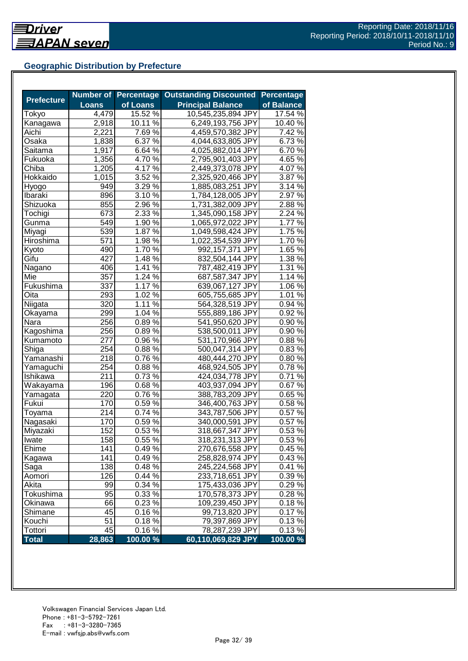## **Geographic Distribution by Prefecture**

|                   |              | <b>Number of Percentage</b> | <b>Outstanding Discounted</b> | <b>Percentage</b> |
|-------------------|--------------|-----------------------------|-------------------------------|-------------------|
| <b>Prefecture</b> | <b>Loans</b> | of Loans                    | <b>Principal Balance</b>      | of Balance        |
| Tokyo             | 4,479        | 15.52 %                     | 10,545,235,894 JPY            | 17.54 %           |
| <b>Kanagawa</b>   | 2,918        | 10.11 %                     | 6,249,193,756 JPY             | 10.40 %           |
| Aichi             | 2,221        | 7.69 %                      | 4,459,570,382 JPY             | 7.42 %            |
| <b>Osaka</b>      | 1,838        | 6.37 %                      | 4,044,633,805 JPY             | 6.73%             |
| Saitama           | 1,917        | 6.64 %                      | 4,025,882,014 JPY             | 6.70%             |
| Fukuoka           | 1,356        | 4.70 $\frac{6}{6}$          | 2,795,901,403 JPY             | 4.65 %            |
| Chiba             | 1,205        | $4.17\%$                    | 2,449,373,078 JPY             | 4.07%             |
| Hokkaido          | 1,015        | $3.52\%$                    | 2,325,920,466 JPY             | 3.87%             |
| Hyogo             | 949          | 3.29 %                      | 1,885,083,251 JPY             | 3.14 %            |
| Ibaraki           | 896          | $3.10\,\%$                  | 1,784,128,005 JPY             | 2.97 %            |
| Shizuoka          | 855          | 2.96 %                      | 1,731,382,009 JPY             | 2.88%             |
| Tochigi           | 673          | 2.33 %                      | 1,345,090,158 JPY             | 2.24 %            |
| Gunma             | 549          | 1.90 %                      | 1,065,972,022 JPY             | 1.77 %            |
| Miyagi            | 539          | 1.87 %                      | 1,049,598,424 JPY             | 1.75 %            |
| Hiroshima         | 571          | 1.98 %                      | 1,022,354,539 JPY             | 1.70%             |
| Kyoto             | 490          | 1.70%                       | 992,157,371 JPY               | 1.65 %            |
| Gifu              | 427          | 1.48 %                      | 832,504,144 JPY               | 1.38 %            |
| Nagano            | 406          | 1.41 $\frac{2}{6}$          | 787,482,419 JPY               | 1.31 %            |
| Mie               | 357          | $1.24\%$                    | 687,587,347 JPY               | 1.14 %            |
| Fukushima         | 337          | $1.17\%$                    | 639,067,127 JPY               | 1.06 %            |
| Oita              | 293          | $1.02\%$                    | 605,755,685 JPY               | $1.01\%$          |
| Niigata           | 320          | $1.11\%$                    | 564,328,519 JPY               | $0.94\%$          |
| Okayama           | 299          | 1.04%                       | 555,889,186 JPY               | 0.92%             |
| Nara              | 256          | 0.89%                       | 541,950,620 JPY               | 0.90%             |
| Kagoshima         | 256          | 0.89%                       | 538,500,011 JPY               | 0.90%             |
| Kumamoto          | 277          | 0.96 %                      | 531,170,966 JPY               | 0.88%             |
| Shiga             | 254          | 0.88%                       | 500,047,314 JPY               | 0.83%             |
| Yamanashi         | 218          | 0.76%                       | 480,444,270 JPY               | 0.80%             |
| Yamaguchi         | 254          | 0.88%                       | 468,924,505 JPY               | 0.78%             |
| Ishikawa          | 211          | 0.73%                       | 424,034,778 JPY               | 0.71%             |
| Wakayama          | 196          | 0.68%                       | 403,937,094 JPY               | 0.67%             |
| Yamagata          | 220          | $0.76\sqrt{26}$             | 388,783,209 JPY               | 0.65%             |
| Fukui             | 170          | $0.59\sqrt{6}$              | 346,400,763 JPY               | 0.58%             |
| Toyama            | 214          | $0.74\sqrt{26}$             | 343,787,506 JPY               | 0.57%             |
| Nagasaki          | 170          | $0.59\%$                    | 340,000,591 JPY               | 0.57%             |
| Miyazaki          | 152          | 0.53%                       | 318,667,347 JPY               | 0.53%             |
| Iwate             | 158          | 0.55%                       | 318,231,313 JPY               | 0.53%             |
| Ehime             | 141          | 0.49%                       | 270,676,558 JPY               | 0.45%             |
| Kagawa            | 141          | 0.49%                       | 258,828,974 JPY               | 0.43%             |
| Saga              | 138          | 0.48%                       | 245,224,568 JPY               | 0.41%             |
| Aomori            | 126          | 0.44 %                      | 233,718,651 JPY               | 0.39%             |
| Akita             | 99           | 0.34 %                      | 175,433,036 JPY               | 0.29%             |
| Tokushima         | 95           | 0.33 %                      | 170,578,373 JPY               | 0.28%             |
| Okinawa           | 66           | $0.23\%$                    | 109,239,450 JPY               | 0.18%             |
| Shimane           | 45           | $0.16\,\sqrt{2}$            | 99,713,820 JPY                | 0.17%             |
| Kouchi            | 51           | 0.18%                       | 79,397,869 JPY                | 0.13%             |
| Tottori           | 45           | 0.16%                       | 78,287,239 JPY                | 0.13%             |
| <b>Total</b>      | 28,863       | $100.00\%$                  | 60,110,069,829 JPY            | 100.00 %          |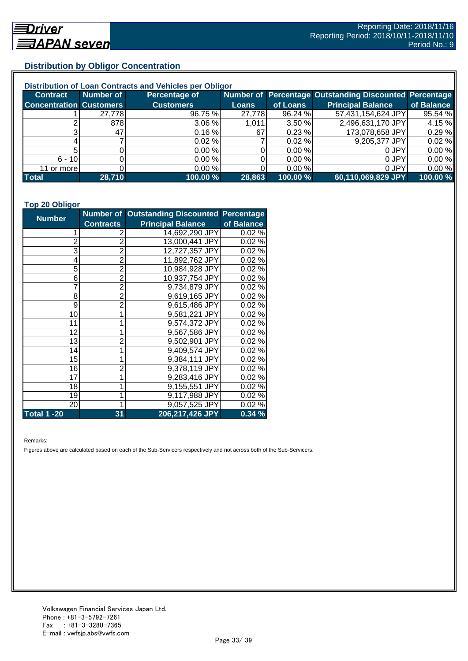## **Distribution by Obligor Concentration**

| Distribution of Loan Contracts and Vehicles per Obligor |           |                      |        |           |                                                        |            |  |
|---------------------------------------------------------|-----------|----------------------|--------|-----------|--------------------------------------------------------|------------|--|
| <b>Contract</b>                                         | Number of | <b>Percentage of</b> |        |           | Number of Percentage Outstanding Discounted Percentage |            |  |
| <b>Concentration Customers</b>                          |           | <b>Customers</b>     | Loans  | of Loans  | <b>Principal Balance</b>                               | of Balance |  |
|                                                         | 27,778    | 96.75 %              | 27,778 | 96.24 %   | 57,431,154,624 JPY                                     | 95.54 %    |  |
|                                                         | 878       | 3.06%                | 1.011  | 3.50%     | 2,496,631,170 JPY                                      | 4.15 %     |  |
| ົ                                                       | 471       | 0.16%                | 67     | 0.23%     | 173,078,658 JPY                                        | 0.29%      |  |
|                                                         |           | $0.02 \%$            |        | $0.02 \%$ | 9,205,377 JPY                                          | 0.02%      |  |
|                                                         |           | 0.00%                |        | 0.00 %    | 0 JPY                                                  | 0.00%      |  |
| $6 - 10$                                                |           | 0.00%                |        | 0.00 %    | 0 JPY                                                  | 0.00%      |  |
| 11 or more                                              |           | 0.00%                |        | 0.00 %    | 0 JPY                                                  | 0.00%      |  |
| <b>Total</b>                                            | 28,710    | 100.00 %             | 28,863 | 100.00 %  | 60,110,069,829 JPY                                     | 100.00 %   |  |

#### **Top 20 Obligor**

| <b>Number</b>      |                  | <b>Number of Outstanding Discounted Percentage</b> |            |
|--------------------|------------------|----------------------------------------------------|------------|
|                    | <b>Contracts</b> | <b>Principal Balance</b>                           | of Balance |
| 1                  | 2                | 14,692,290 JPY                                     | 0.02%      |
| $\overline{c}$     | $\overline{2}$   | 13,000,441 JPY                                     | 0.02%      |
| 3                  | $\overline{2}$   | 12,727,357 JPY                                     | 0.02%      |
| 4                  | $\overline{2}$   | 11,892,762 JPY                                     | 0.02%      |
| 5                  | $\overline{2}$   | 10,984,928 JPY                                     | 0.02%      |
| 6                  | $\overline{2}$   | 10,937,754 JPY                                     | 0.02%      |
| 7                  | $\overline{2}$   | 9,734,879 JPY                                      | 0.02%      |
| 8                  | $\overline{2}$   | 9,619,165 JPY                                      | 0.02%      |
| 9                  | $\overline{2}$   | 9,615,486 JPY                                      | 0.02%      |
| 10                 | $\mathbf{1}$     | 9,581,221 JPY                                      | 0.02%      |
| 11                 | 1                | 9,574,372 JPY                                      | 0.02%      |
| 12                 | 1                | 9,567,586 JPY                                      | 0.02%      |
| 13                 | $\overline{2}$   | 9,502,901 JPY                                      | 0.02%      |
| 14                 | $\mathbf 1$      | 9,409,574 JPY                                      | 0.02%      |
| 15                 | 1                | 9,384,111 JPY                                      | 0.02%      |
| 16                 | $\overline{2}$   | 9,378,119 JPY                                      | 0.02%      |
| 17                 | $\bar{1}$        | 9,283,416 JPY                                      | 0.02%      |
| 18                 | 1                | 9,155,551 JPY                                      | 0.02%      |
| 19                 | 1                | 9,117,988 JPY                                      | 0.02%      |
| 20                 | 1                | 9,057,525 JPY                                      | 0.02%      |
| <b>Total 1 -20</b> | 31               | 206,217,426 JPY                                    | 0.34%      |

Remarks:

Figures above are calculated based on each of the Sub-Servicers respectively and not across both of the Sub-Servicers.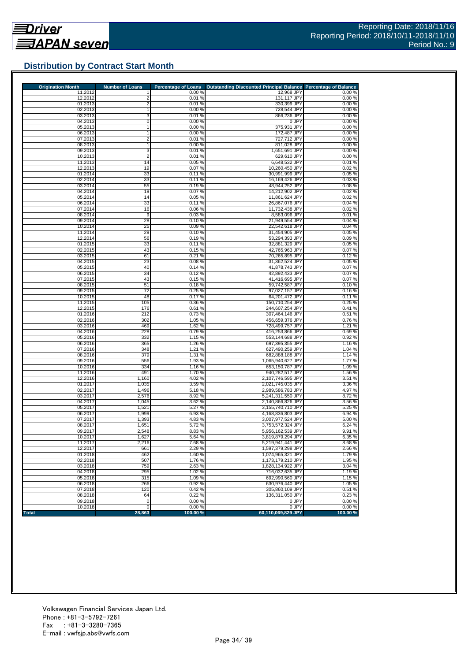

## **Distribution by Contract Start Month**

| <b>Origination Month</b> | <b>Number of Loans</b>           | <b>Percentage of Loans</b> | <b>Outstanding Discounted Principal Balance</b> | <b>Percentage of Balance</b> |
|--------------------------|----------------------------------|----------------------------|-------------------------------------------------|------------------------------|
| 11.2012<br>12.2012       |                                  | 0.00%                      | 12,968 JPY                                      | 0.00%                        |
| 01.2013                  | $\overline{2}$<br>$\overline{2}$ | 0.01%<br>0.01%             | 131,117 JPY<br>330,399 JPY                      | 0.00%<br>0.00%               |
| 02.2013                  |                                  | 0.00%                      | 728,544 JPY                                     | 0.00%                        |
| 03.2013                  | 3                                | 0.01%                      | 866,236 JPY                                     | 0.00%                        |
| 04.2013                  | $\overline{0}$                   | 0.00%                      | 0 JPY                                           | 0.00%                        |
| 05.2013                  | $\mathbf{1}$                     | 0.00%                      | 375,931 JPY                                     | 0.00%                        |
| 06.2013                  | 1                                | 0.00%                      | 172.487 JPY                                     | 0.00%                        |
| 07.2013                  | $\overline{2}$                   | 0.01%                      | 727,712 JPY                                     | 0.00%                        |
| 08.2013                  | 1                                | 0.00%<br>0.01%             | 811,028 JPY                                     | 0.00%<br>0.00%               |
| 09.2013<br>10.2013       | 3<br>$\overline{2}$              | 0.01%                      | 1,651,691 JPY<br>629,610 JPY                    | 0.00%                        |
| 11.2013                  | 14                               | 0.05%                      | 6,648,532 JPY                                   | 0.01%                        |
| 12.2013                  | 19                               | 0.07%                      | 10,260,450 JPY                                  | 0.02%                        |
| 01.2014                  | 33                               | 0.11%                      | 30,991,999 JPY                                  | 0.05%                        |
| 02.2014                  | 33                               | 0.11%                      | 16,169,426 JPY                                  | 0.03%                        |
| 03.2014                  | 55                               | 0.19%                      | 48,944,252 JPY                                  | 0.08%                        |
| 04.2014                  | 19                               | 0.07%                      | 14,212,902 JPY                                  | 0.02%                        |
| 05.2014                  | 14                               | 0.05%                      | 11,861,624 JPY                                  | 0.02%                        |
| 06.2014<br>07.2014       | 33<br>16                         | 0.11%<br>0.06%             | 26,867,076 JPY<br>11,732,438 JPY                | 0.04%<br>0.02%               |
| 08.2014                  | 9                                | 0.03%                      | 8,583,096 JPY                                   | 0.01%                        |
| 09.2014                  | 28                               | 0.10%                      | 21,949,554 JPY                                  | 0.04%                        |
| 10.2014                  | 25                               | 0.09%                      | 22,542,618 JPY                                  | 0.04%                        |
| 11.2014                  | 29                               | 0.10%                      | 31,454,905 JPY                                  | 0.05%                        |
| 12.2014                  | 56                               | 0.19%                      | 53,294,393 JPY                                  | 0.09%                        |
| 01.2015                  | 33                               | 0.11%                      | 32.881.329 JPY                                  | 0.05%                        |
| 02.2015                  | 43                               | 0.15%                      | 42,765,963 JPY                                  | 0.07%                        |
| 03.2015                  | 61                               | 0.21%                      | 70,265,895 JPY                                  | 0.12%                        |
| 04.2015                  | 23                               | 0.08%                      | 31,362,524 JPY                                  | 0.05%                        |
| 05.2015<br>06.2015       | 40<br>34                         | 0.14%<br>0.12%             | 41,878,743 JPY<br>42.892.433 JPY                | 0.07%<br>0.07%               |
| 07.2015                  | 43                               | 0.15%                      | 41,416,695 JPY                                  | 0.07%                        |
| 08.2015                  | 51                               | 0.18%                      | 59,742,587 JPY                                  | 0.10%                        |
| 09.2015                  | 72                               | 0.25 %                     | 97.027.157 JPY                                  | 0.16%                        |
| 10.2015                  | 48                               | 0.17%                      | 64,201,472 JPY                                  | 0.11%                        |
| 11.2015                  | 105                              | 0.36%                      | 150,710,254 JPY                                 | 0.25%                        |
| 12.2015                  | 176                              | 0.61%                      | 244,607,254 JPY                                 | 0.41%                        |
| 01.2016                  | 212                              | 0.73%                      | 307,464,146 JPY                                 | 0.51%                        |
| 02.2016                  | 302                              | 1.05 %                     | 456,659,376 JPY                                 | 0.76%                        |
| 03.2016<br>04.2016       | 469<br>228                       | 1.62%<br>0.79%             | 728,499,757 JPY<br>416,253,866 JPY              | 1.21 %<br>0.69%              |
| 05.2016                  | 332                              | 1.15%                      | 553,144,688 JPY                                 | 0.92%                        |
| 06.2016                  | 365                              | 1.26 %                     | 697,395,355 JPY                                 | 1.16%                        |
| 07.2016                  | 348                              | 1.21%                      | 627,490,259 JPY                                 | 1.04 %                       |
| 08.2016                  | 379                              | 1.31 %                     | 682,888,188 JPY                                 | 1.14 %                       |
| 09.2016                  | 556                              | 1.93 %                     | 1,065,940,627 JPY                               | 1.77%                        |
| 10.2016                  | 334                              | 1.16 %                     | 653,150,787 JPY                                 | 1.09 %                       |
| 11.2016                  | 491                              | 1.70%                      | 940,282,517 JPY                                 | 1.56 %                       |
| 12.2016                  | 1,160                            | 4.02%                      | 2,107,746,595 JPY                               | 3.51%                        |
| 01.2017<br>02.2017       | 1,035<br>1,496                   | 3.59%<br>5.18 %            | 2,021,745,035 JPY<br>2,989,586,783 JPY          | 3.36 %<br>4.97%              |
| 03.2017                  | 2,576                            | 8.92 %                     | 5,241,311,550 JPY                               | 8.72%                        |
| 04.2017                  | 1,045                            | 3.62 %                     | 2,140,866,826 JPY                               | 3.56 %                       |
| 05.2017                  | 1,521                            | 5.27 %                     | 3,155,740,710 JPY                               | 5.25%                        |
| 06.2017                  | 1,999                            | 6.93 %                     | 4.168.836.803 JPY                               | 6.94 %                       |
| 07.2017                  | 1,393                            | 4.83%                      | 3,007,977,524 JPY                               | 5.00%                        |
| 08.2017                  | 1,651                            | 5.72 %                     | 3,753,572,324 JPY                               | 6.24 %                       |
| 09.2017                  | 2,548                            | 8.83%                      | 5,956,162,539 JPY                               | 9.91%                        |
| 10.2017                  | 1,627                            | 5.64 %                     | 3,819,879,294 JPY                               | 6.35 %                       |
| 11.2017<br>12.2017       | 2,216<br>661                     | 7.68%<br>2.29 %            | 5,219,941,441 JPY<br>1,597,379,298 JPY          | 8.68%<br>2.66 %              |
| 01.2018                  | 462                              | 1.60%                      | 1,074,965,321 JPY                               | 1.79%                        |
| 02.2018                  | 507                              | 1.76%                      | 1,173,179,210 JPY                               | 1.95%                        |
| 03.2018                  | 759                              | 2.63%                      | 1,828,134,922 JPY                               | 3.04 %                       |
| 04.2018                  | 295                              | 1.02 %                     | 716,032,635 JPY                                 | 1.19%                        |
| 05.2018                  | 315                              | 1.09%                      | 692,990,560 JPY                                 | 1.15%                        |
| 06.2018                  | 266                              | 0.92%                      | 630,976,440 JPY                                 | 1.05 %                       |
| 07.2018                  | 120                              | 0.42%                      | 305,860,109 JPY                                 | 0.51%                        |
| 08.2018                  | 64                               | 0.22%                      | 136.311.050 JPY                                 | 0.23%                        |
| 09.2018<br>10.2018       | $\pmb{0}$                        | 0.00%<br>0.00%             | 0 JPY                                           | 0.00%                        |
|                          | 0                                |                            | 0 JPY                                           | 0.00%                        |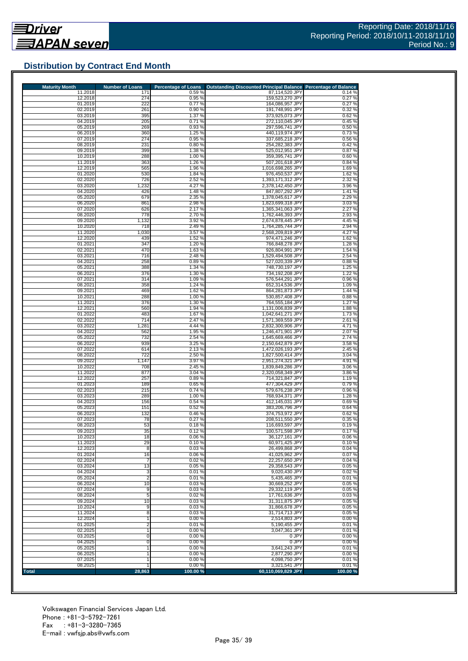## **Distribution by Contract End Month**

| <b>Maturity Month</b> | <b>Number of Loans</b> | <b>Percentage of Loans</b> | <b>Outstanding Discounted Principal Balance</b> | <b>Percentage of Balance</b> |
|-----------------------|------------------------|----------------------------|-------------------------------------------------|------------------------------|
| 11.2018<br>12.2018    | 171<br>274             | 0.59%<br>0.95 %            | 87,114,520 JPY<br>159,523,270 JPY               | 0.14%<br>0.27%               |
| 01.2019               | 222                    | 0.77%                      | 164,086,957 JPY                                 | 0.27%                        |
| 02.2019               | 261                    | 0.90%                      | 191,748,991 JPY                                 | 0.32%                        |
| 03.2019               | 395                    | 1.37 %                     | 373,925,073 JPY                                 | 0.62%                        |
| 04.2019               | 205                    | 0.71%                      | 272,110,045 JPY                                 | 0.45%                        |
| 05.2019<br>06.2019    | 269<br>360             | 0.93%<br>1.25 %            | 297.596.741 JPY<br>440,119,974 JPY              | 0.50%<br>0.73%               |
| 07.2019               | 274                    | 0.95 %                     | 337,685,218 JPY                                 | 0.56%                        |
| 08.2019               | 231                    | 0.80%                      | 254,282,383 JPY                                 | 0.42%                        |
| 09.2019               | 399                    | 1.38 %                     | 525,012,951 JPY                                 | 0.87%                        |
| 10.2019               | 288                    | 1.00 %                     | 359,395,741 JPY                                 | 0.60%                        |
| 11.2019               | 363                    | 1.26 %                     | 507,201,618 JPY                                 | 0.84%                        |
| 12.2019               | 565                    | 1.96 %                     | 1,016,698,265 JPY                               | 1.69%                        |
| 01.2020<br>02.2020    | 530<br>726             | 1.84 %<br>2.52 %           | 976,450,537 JPY<br>1,393,171,312 JPY            | 1.62%<br>2.32 %              |
| 03.2020               | 1,232                  | 4.27 %                     | 2,378,142,450 JPY                               | 3.96 %                       |
| 04.2020               | 426                    | 1.48%                      | 847,807,292 JPY                                 | 1.41 %                       |
| 05.2020               | 679                    | 2.35 %                     | 1,378,045,617 JPY                               | 2.29 %                       |
| 06.2020               | 861                    | 2.98 %                     | 1,823,699,318 JPY                               | 3.03%                        |
| 07.2020               | 626                    | 2.17%                      | 1,365,341,063 JPY                               | 2.27 %                       |
| 08.2020               | 778                    | 2.70 %                     | 1,762,446,393 JPY                               | 2.93%                        |
| 09.2020               | 1,132                  | 3.92 %                     | 2,674,878,445 JPY                               | 4.45 %                       |
| 10.2020<br>11.2020    | 718<br>1,030           | 2.49%<br>3.57%             | 1,764,285,744 JPY<br>2,568,209,819 JPY          | 2.94 %<br>4.27 %             |
| 12.2020               | 439                    | 1.52 %                     | 974,471,246 JPY                                 | 1.62 %                       |
| 01.2021               | 347                    | 1.20%                      | 766,848,278 JPY                                 | 1.28%                        |
| 02.2021               | 470                    | 1.63%                      | 926,804,991 JPY                                 | 1.54 %                       |
| 03.2021               | 716                    | 2.48 %                     | 1,529,494,508 JPY                               | 2.54 %                       |
| 04.2021               | 258                    | 0.89%                      | 527,020,339 JPY                                 | 0.88%                        |
| 05.2021               | 388                    | 1.34%                      | 748,730,197 JPY                                 | 1.25 %                       |
| 06.2021               | 376                    | 1.30 %<br>1.09 %           | 734,192,208 JPY                                 | 1.22 %                       |
| 07.2021<br>08.2021    | 314<br>358             | 1.24 %                     | 576,544,291 JPY<br>652,314,536 JPY              | 0.96%<br>1.09%               |
| 09.2021               | 469                    | 1.62%                      | 864,281,873 JPY                                 | 1.44 %                       |
| 10.2021               | 288                    | 1.00 %                     | 530,857,408 JPY                                 | 0.88%                        |
| 11.2021               | 376                    | 1.30 %                     | 764,555,184 JPY                                 | 1.27%                        |
| 12.2021               | 560                    | 1.94 %                     | 1,131,006,839 JPY                               | 1.88%                        |
| 01.2022               | 483                    | 1.67 %                     | 1,042,641,271 JPY                               | 1.73%                        |
| 02.2022               | 714                    | 2.47 %                     | 1,571,369,559 JPY                               | 2.61%                        |
| 03.2022<br>04.2022    | 1,281<br>562           | 4.44 %<br>1.95 %           | 2,832,300,906 JPY<br>1,246,471,901 JPY          | 4.71%<br>2.07%               |
| 05.2022               | 732                    | 2.54 %                     | 1,645,669,466 JPY                               | 2.74 %                       |
| 06.2022               | 939                    | 3.25 %                     | 2,150,642,879 JPY                               | 3.58%                        |
| 07.2022               | 614                    | 2.13%                      | 1,472,026,193 JPY                               | 2.45 %                       |
| 08.2022               | 722                    | 2.50 %                     | 1,827,500,414 JPY                               | 3.04 %                       |
| 09.2022               | 1,147                  | 3.97 %                     | 2,951,274,321 JPY                               | 4.91%                        |
| 10.2022               | 708                    | 2.45 %                     | 1,839,849,286 JPY                               | 3.06 %                       |
| 11.2022<br>12.2022    | 877<br>257             | 3.04%<br>0.89%             | 2,320,058,349 JPY<br>714,321,847 JPY            | 3.86 %<br>1.19%              |
| 01.2023               | 189                    | 0.65 %                     | 477,304,429 JPY                                 | 0.79%                        |
| 02.2023               | 215                    | 0.74%                      | 579,676,238 JPY                                 | 0.96%                        |
| 03.2023               | 289                    | 1.00 %                     | 768.934.371 JPY                                 | 1.28%                        |
| 04.2023               | 156                    | 0.54%                      | 412,145,031 JPY                                 | 0.69%                        |
| 05.2023               | 151                    | 0.52%                      | 383,206,796 JPY                                 | 0.64 %                       |
| 06.2023               | 132                    | 0.46%                      | 374,753,972 JPY                                 | 0.62%                        |
| 07.2023               | 78                     | 0.27%                      | 208,511,550 JPY                                 | 0.35%                        |
| 08.2023<br>09.2023    | 53<br>35               | 0.18%<br>0.12%             | 116,693,597 JPY<br>100,571,598 JPY              | 0.19%<br>0.17%               |
| 10.2023               | 18                     | 0.06%                      | 36,127,161 JPY                                  | 0.06%                        |
| 11.2023               | 29                     | 0.10%                      | 60,971,425 JPY                                  | 0.10%                        |
| 12.2023               | 8                      | 0.03%                      | 26,499,868 JPY                                  | 0.04%                        |
| 01.2024               | 16                     | 0.06%                      | 41,025,962 JPY                                  | 0.07%                        |
| 02.2024               | 7                      | 0.02%                      | 22,257,650 JPY                                  | 0.04%                        |
| 03.2024               | 13                     | 0.05%                      | 29,358,543 JPY                                  | 0.05%                        |
| 04.2024<br>05.2024    | 3<br>$\overline{2}$    | 0.01%<br>0.01%             | 9,020,430 JPY<br>5,435,465 JPY                  | 0.02%<br>0.01%               |
| 06.2024               | 10                     | 0.03%                      | 30,669,252 JPY                                  | 0.05%                        |
| 07.2024               | 9                      | 0.03%                      | 29,332,119 JPY                                  | 0.05%                        |
| 08.2024               | 5                      | 0.02%                      | 17,761,636 JPY                                  | 0.03%                        |
| 09.2024               | 10                     | 0.03%                      | 31,311,875 JPY                                  | 0.05%                        |
| 10.2024               | 9                      | 0.03%                      | 31,866,678 JPY                                  | 0.05%                        |
| 11.2024               | 8                      | 0.03%                      | 31,714,713 JPY                                  | 0.05%                        |
| 12.2024               |                        | 0.00%                      | 2,514,803 JPY                                   | 0.00%                        |
| 01.2025<br>02.2025    | 2                      | 0.01%<br>0.00%             | 5,190,455 JPY<br>3,047,361 JPY                  | 0.01%<br>0.01%               |
| 03.2025               | 0                      | 0.00%                      | 0 JPY                                           | 0.00%                        |
| 04.2025               | 0                      | 0.00%                      | 0 JPY                                           | 0.00%                        |
| 05.2025               |                        | 0.00%                      | 3,641,243 JPY                                   | 0.01%                        |
|                       |                        | 0.00 %                     | 2,877,290 JPY                                   | 0.00%                        |
| 06.2025               |                        |                            |                                                 |                              |
| 07.2025<br>08.2025    |                        | 0.00%<br>0.00%             | 4,098,750 JPY<br>3,321,541 JPY                  | 0.01%<br>0.01%               |

Volkswagen Financial Services Japan Ltd. Phone : +81-3-5792-7261 Fax : +81-3-3280-7365 E-mail : vwfsjp.abs@vwfs.com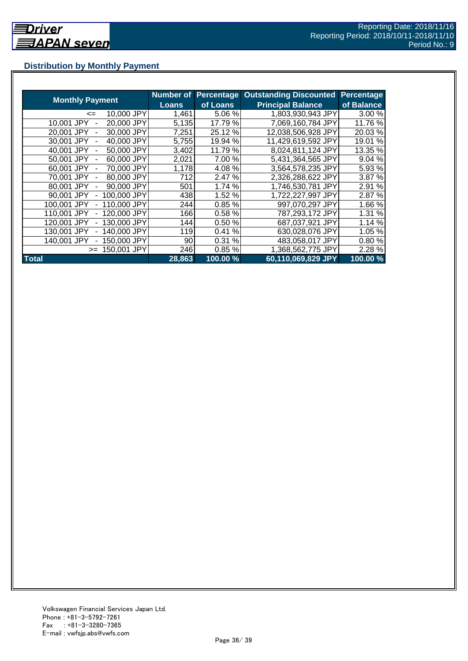## **Distribution by Monthly Payment**

|                            | <b>Number of</b> | Percentage   | <b>Outstanding Discounted</b> | Percentage |
|----------------------------|------------------|--------------|-------------------------------|------------|
| <b>Monthly Payment</b>     | <b>Loans</b>     | of Loans     | <b>Principal Balance</b>      | of Balance |
| 10,000 JPY<br><=           | 1,461            | 5.06 %       | 1,803,930,943 JPY             | 3.00 %     |
| 20,000 JPY<br>10.001 JPY   | 5,135            | 17.79 %      | 7,069,160,784 JPY             | 11.76 %    |
| 30,000 JPY<br>20.001 JPY   | 7,251            | 25.12 %      | 12,038,506,928 JPY            | 20.03%     |
| 30,001 JPY<br>40,000 JPY   | 5,755            | 19.94 %      | 11,429,619,592 JPY            | 19.01 %    |
| 50,000 JPY<br>40.001 JPY   | 3,402            | 11.79 %      | 8,024,811,124 JPY             | 13.35 %    |
| 60,000 JPY<br>50.001 JPY   | 2,021            | 7.00 %       | 5,431,364,565 JPY             | 9.04 %     |
| 70,000 JPY<br>60,001 JPY   | 1,178            | 4.08%        | 3,564,578,235 JPY             | 5.93 %     |
| 80,000 JPY<br>70,001 JPY   | 712              | 2.47 %       | 2,326,288,622 JPY             | 3.87 %     |
| 80,001 JPY<br>90,000 JPY   | 501              | 1.74 %       | 1,746,530,781 JPY             | 2.91 %     |
| 100,000 JPY<br>90,001 JPY  | 438              | 1.52 %       | 1,722,227,997 JPY             | 2.87 %     |
| 110,000 JPY<br>100,001 JPY | 244              | 0.85%        | 997,070,297 JPY               | 1.66 %     |
| 120,000 JPY<br>110,001 JPY | 166              | 0.58%        | 787,293,172 JPY               | 1.31 %     |
| 130,000 JPY<br>120,001 JPY | 144              | 0.50%        | 687,037,921 JPY               | 1.14 %     |
| 130,001 JPY<br>140,000 JPY | 119              | $\%$<br>0.41 | 630,028,076 JPY               | 1.05 %     |
| 140,001 JPY<br>150,000 JPY | 90               | 0.31%        | 483,058,017 JPY               | 0.80%      |
| 150,001 JPY<br>$>=$        | 2461             | 0.85%        | 1,368,562,775 JPY             | 2.28 %     |
| <b>Total</b>               | 28,863           | 100.00 %     | 60,110,069,829 JPY            | 100.00%    |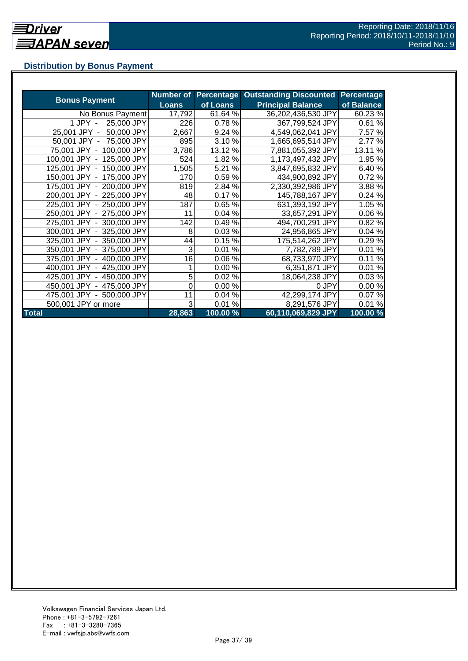## **Distribution by Bonus Payment**

|                            |              |          | Number of Percentage Outstanding Discounted | <b>Percentage</b> |
|----------------------------|--------------|----------|---------------------------------------------|-------------------|
| <b>Bonus Payment</b>       | <b>Loans</b> | of Loans | <b>Principal Balance</b>                    | of Balance        |
| No Bonus Payment           | 17,792       | 61.64 %  | 36,202,436,530 JPY                          | 60.23%            |
| 1 JPY -<br>25,000 JPY      | 226          | 0.78%    | 367,799,524 JPY                             | 0.61%             |
| 50,000 JPY<br>25,001 JPY - | 2,667        | 9.24 %   | 4,549,062,041 JPY                           | 7.57 %            |
| 50,001 JPY - 75,000 JPY    | 895          | 3.10%    | 1,665,695,514 JPY                           | 2.77 %            |
| 75,001 JPY - 100,000 JPY   | 3,786        | 13.12 %  | 7,881,055,392 JPY                           | 13.11 %           |
| 100,001 JPY - 125,000 JPY  | 524          | 1.82 %   | 1,173,497,432 JPY                           | 1.95 %            |
| 125,001 JPY - 150,000 JPY  | 1,505        | 5.21 %   | 3,847,695,832 JPY                           | 6.40%             |
| 150,001 JPY - 175,000 JPY  | 170          | 0.59%    | 434,900,892 JPY                             | 0.72%             |
| 175,001 JPY - 200,000 JPY  | 819          | 2.84 %   | 2,330,392,986 JPY                           | 3.88%             |
| 200,001 JPY - 225,000 JPY  | 48           | 0.17%    | 145,788,167 JPY                             | 0.24%             |
| 225,001 JPY - 250,000 JPY  | 187          | 0.65%    | 631,393,192 JPY                             | 1.05 %            |
| 250,001 JPY - 275,000 JPY  | 11           | 0.04%    | 33,657,291 JPY                              | 0.06%             |
| 275,001 JPY - 300,000 JPY  | 142          | 0.49%    | 494,700,291 JPY                             | 0.82%             |
| 300,001 JPY - 325,000 JPY  | 8            | 0.03%    | 24,956,865 JPY                              | 0.04%             |
| 325,001 JPY - 350,000 JPY  | 44           | 0.15%    | 175,514,262 JPY                             | 0.29%             |
| 350,001 JPY - 375,000 JPY  | 3            | 0.01%    | 7,782,789 JPY                               | 0.01%             |
| 375,001 JPY - 400,000 JPY  | 16           | 0.06%    | 68,733,970 JPY                              | 0.11%             |
| 400,001 JPY - 425,000 JPY  |              | 0.00%    | 6,351,871 JPY                               | 0.01%             |
| 425,001 JPY - 450,000 JPY  | 5            | 0.02%    | 18,064,238 JPY                              | 0.03%             |
| 450,001 JPY - 475,000 JPY  | 0            | 0.00%    | 0 JPY                                       | 0.00%             |
| 475,001 JPY - 500,000 JPY  | 11           | 0.04%    | 42,299,174 JPY                              | 0.07%             |
| 500,001 JPY or more        | 3            | 0.01%    | 8,291,576 JPY                               | 0.01%             |
| <b>Total</b>               | 28,863       | 100.00 % | 60,110,069,829 JPY                          | 100.00%           |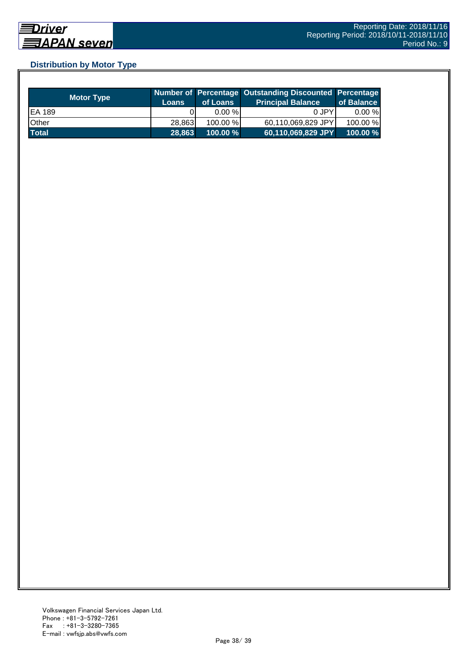## **Distribution by Motor Type**

| <b>Motor Type</b> | /Loans | of Loans    | Number of Percentage Outstanding Discounted Percentage<br><b>Principal Balance</b> | of Balance  |
|-------------------|--------|-------------|------------------------------------------------------------------------------------|-------------|
| EA 189            |        | $0.00 \%$   | 0 JPY                                                                              | $0.00 \%$   |
| Other             | 28.863 | 100.00 %    | 60,110,069,829 JPY                                                                 | 100.00 %    |
| <b>Total</b>      | 28,863 | $100.00 \%$ | 60,110,069,829 JPY                                                                 | $100.00 \%$ |